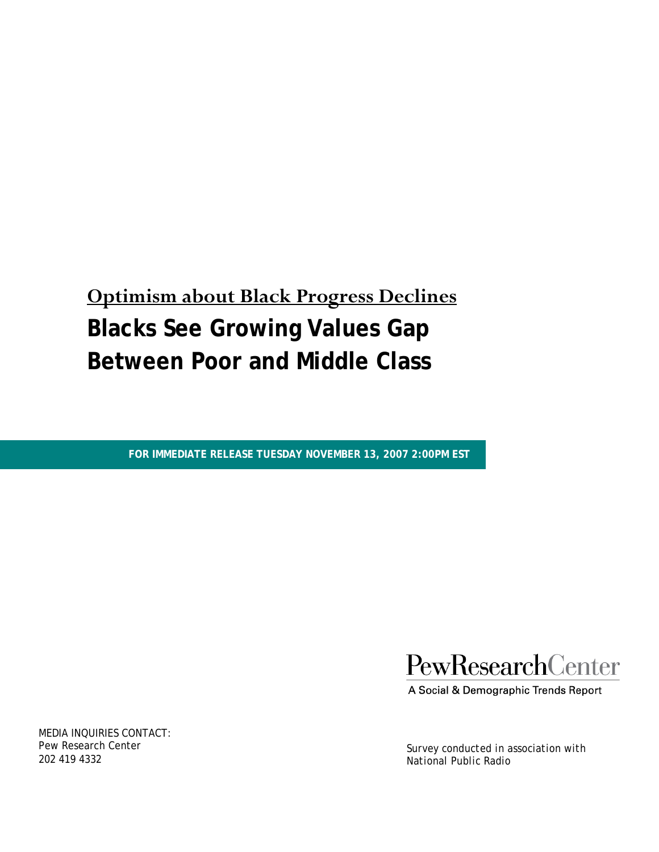# **Optimism about Black Progress Declines Blacks See Growing Values Gap Between Poor and Middle Class**

**FOR IMMEDIATE RELEASE TUESDAY NOVEMBER 13, 2007 2:00PM EST** 

PewResearchCenter

A Social & Demographic Trends Report

*Survey conducted in association with National Public Radio* 

MEDIA INQUIRIES CONTACT: Pew Research Center 202 419 4332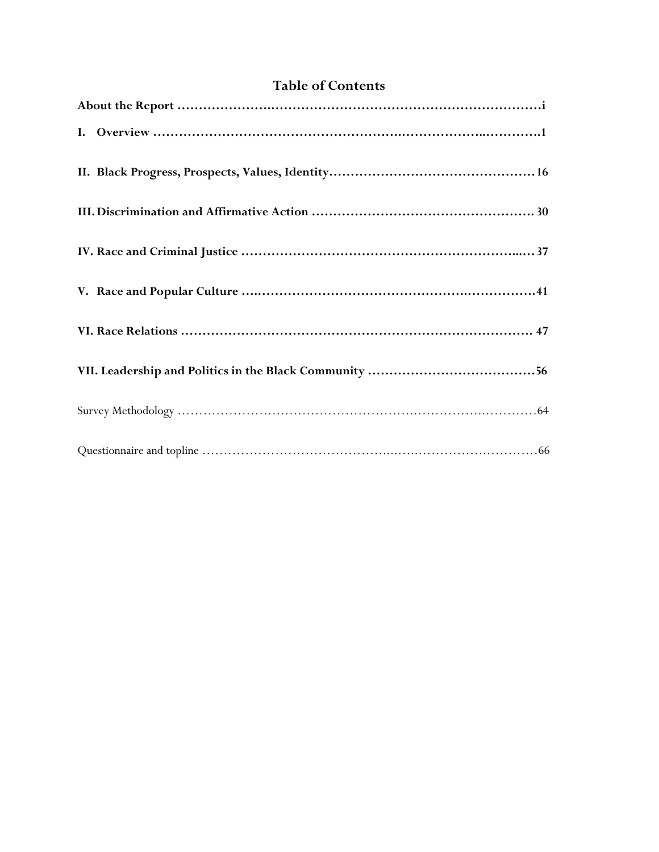# **Table of Contents**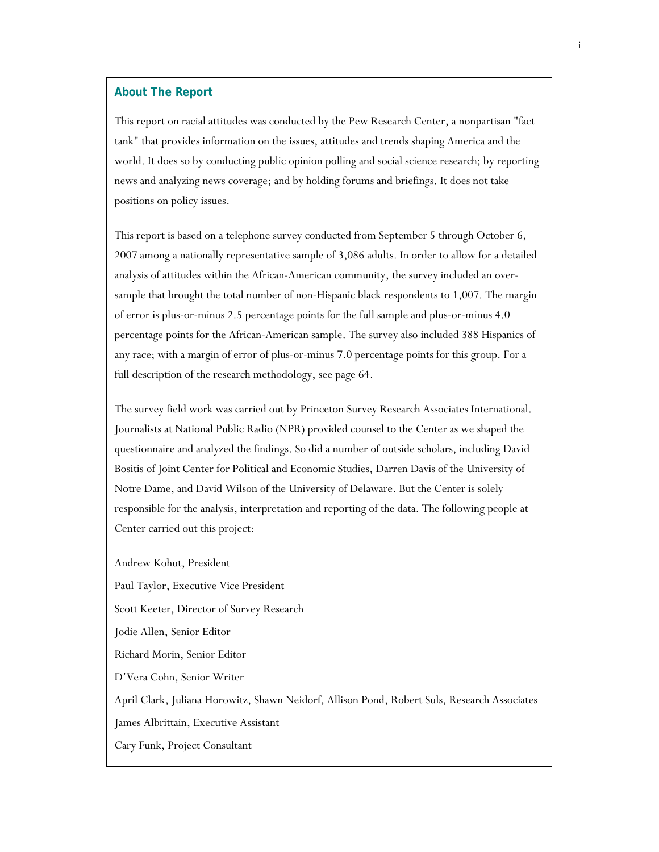#### **About The Report**

This report on racial attitudes was conducted by the Pew Research Center, a nonpartisan "fact tank" that provides information on the issues, attitudes and trends shaping America and the world. It does so by conducting public opinion polling and social science research; by reporting news and analyzing news coverage; and by holding forums and briefings. It does not take positions on policy issues.

This report is based on a telephone survey conducted from September 5 through October 6, 2007 among a nationally representative sample of 3,086 adults. In order to allow for a detailed analysis of attitudes within the African-American community, the survey included an oversample that brought the total number of non-Hispanic black respondents to 1,007. The margin of error is plus-or-minus 2.5 percentage points for the full sample and plus-or-minus 4.0 percentage points for the African-American sample. The survey also included 388 Hispanics of any race; with a margin of error of plus-or-minus 7.0 percentage points for this group. For a full description of the research methodology, see page 64.

The survey field work was carried out by Princeton Survey Research Associates International. Journalists at National Public Radio (NPR) provided counsel to the Center as we shaped the questionnaire and analyzed the findings. So did a number of outside scholars, including David Bositis of Joint Center for Political and Economic Studies, Darren Davis of the University of Notre Dame, and David Wilson of the University of Delaware. But the Center is solely responsible for the analysis, interpretation and reporting of the data. The following people at Center carried out this project:

Andrew Kohut, President Paul Taylor, Executive Vice President Scott Keeter, Director of Survey Research Jodie Allen, Senior Editor Richard Morin, Senior Editor D'Vera Cohn, Senior Writer April Clark, Juliana Horowitz, Shawn Neidorf, Allison Pond, Robert Suls, Research Associates James Albrittain, Executive Assistant Cary Funk, Project Consultant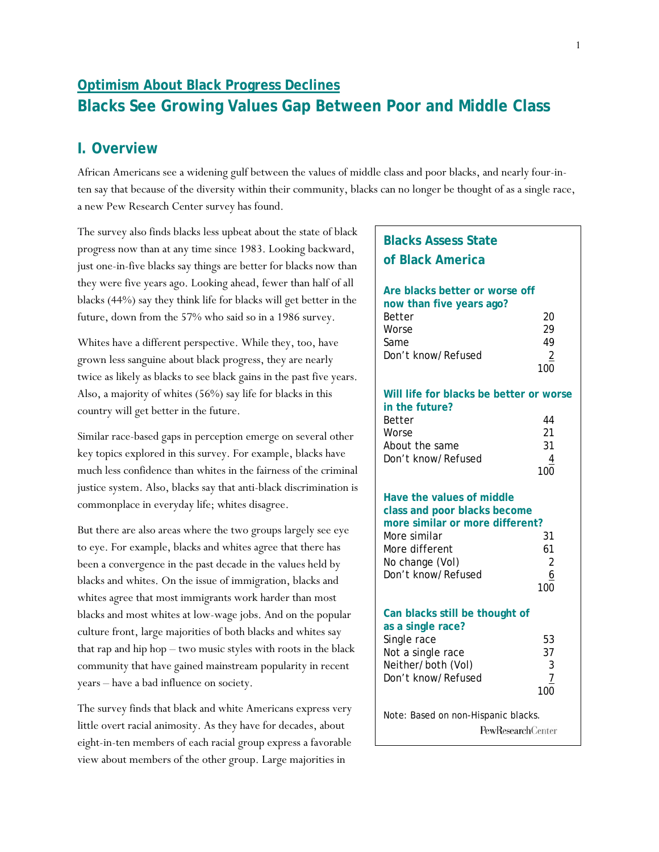# **Optimism About Black Progress Declines Blacks See Growing Values Gap Between Poor and Middle Class**

# **I. Overview**

African Americans see a widening gulf between the values of middle class and poor blacks, and nearly four-inten say that because of the diversity within their community, blacks can no longer be thought of as a single race, a new Pew Research Center survey has found.

The survey also finds blacks less upbeat about the state of black progress now than at any time since 1983. Looking backward, just one-in-five blacks say things are better for blacks now than they were five years ago. Looking ahead, fewer than half of all blacks (44%) say they think life for blacks will get better in the future, down from the 57% who said so in a 1986 survey.

Whites have a different perspective. While they, too, have grown less sanguine about black progress, they are nearly twice as likely as blacks to see black gains in the past five years. Also, a majority of whites (56%) say life for blacks in this country will get better in the future.

Similar race-based gaps in perception emerge on several other key topics explored in this survey. For example, blacks have much less confidence than whites in the fairness of the criminal justice system. Also, blacks say that anti-black discrimination is commonplace in everyday life; whites disagree.

But there are also areas where the two groups largely see eye to eye. For example, blacks and whites agree that there has been a convergence in the past decade in the values held by blacks and whites. On the issue of immigration, blacks and whites agree that most immigrants work harder than most blacks and most whites at low-wage jobs. And on the popular culture front, large majorities of both blacks and whites say that rap and hip hop – two music styles with roots in the black community that have gained mainstream popularity in recent years – have a bad influence on society.

The survey finds that black and white Americans express very little overt racial animosity. As they have for decades, about eight-in-ten members of each racial group express a favorable view about members of the other group. Large majorities in

| <b>Blacks Assess State</b>                                 |                       |
|------------------------------------------------------------|-----------------------|
| of Black America                                           |                       |
| Are blacks better or worse off<br>now than five years ago? |                       |
| Better<br>Worse                                            | 20<br>29              |
| Same                                                       | 49                    |
| Don't know/Refused                                         | $\overline{2}$<br>100 |
| Will life for blacks be better or worse<br>in the future?  |                       |
| Better<br>Worse                                            | 44<br>21              |
| About the same                                             | 31                    |
| Don't know/Refused                                         | 4<br>100              |
| Have the values of middle<br>class and poor blacks become  |                       |
| more similar or more different?                            |                       |
| More similar<br>More different                             | 31<br>61              |
| No change (Vol)                                            | $\overline{2}$        |
| Don't know/Refused                                         | 6<br>100              |
|                                                            |                       |
| Can blacks still be thought of<br>as a single race?        |                       |
| Single race                                                | 53                    |
| Not a single race<br>Neither/both (Vol)                    | 37<br>3               |
| Don't know/Refused                                         |                       |
|                                                            |                       |
| Note: Based on non-Hispanic blacks.                        |                       |
| <b>PewResearchCenter</b>                                   |                       |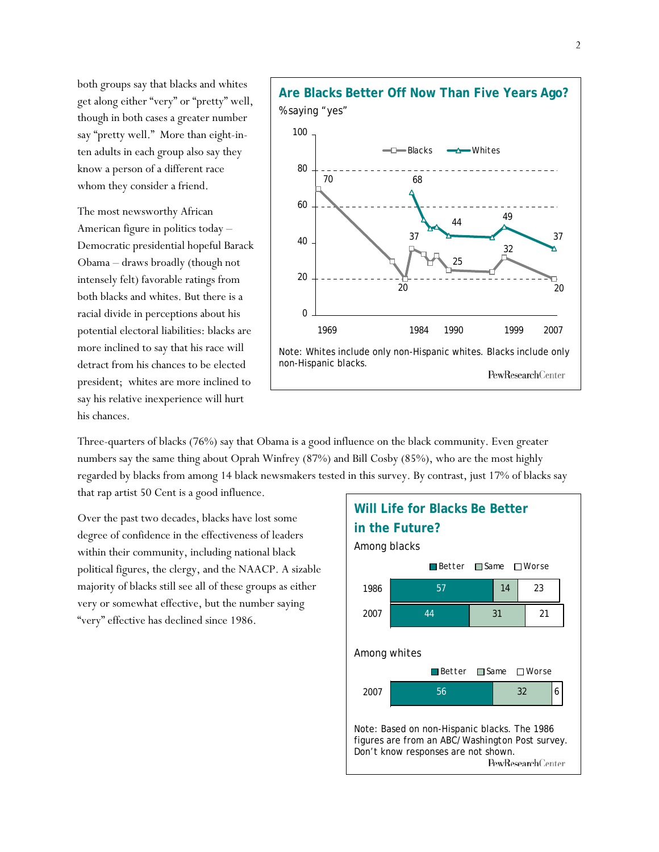both groups say that blacks and whites get along either "very" or "pretty" well, though in both cases a greater number say "pretty well." More than eight-inten adults in each group also say they know a person of a different race whom they consider a friend.

The most newsworthy African American figure in politics today – Democratic presidential hopeful Barack Obama – draws broadly (though not intensely felt) favorable ratings from both blacks and whites. But there is a racial divide in perceptions about his potential electoral liabilities: blacks are more inclined to say that his race will detract from his chances to be elected president; whites are more inclined to say his relative inexperience will hurt his chances.



Three-quarters of blacks (76%) say that Obama is a good influence on the black community. Even greater numbers say the same thing about Oprah Winfrey (87%) and Bill Cosby (85%), who are the most highly regarded by blacks from among 14 black newsmakers tested in this survey. By contrast, just 17% of blacks say that rap artist 50 Cent is a good influence.

Over the past two decades, blacks have lost some degree of confidence in the effectiveness of leaders within their community, including national black political figures, the clergy, and the NAACP. A sizable majority of blacks still see all of these groups as either very or somewhat effective, but the number saying "very" effective has declined since 1986.

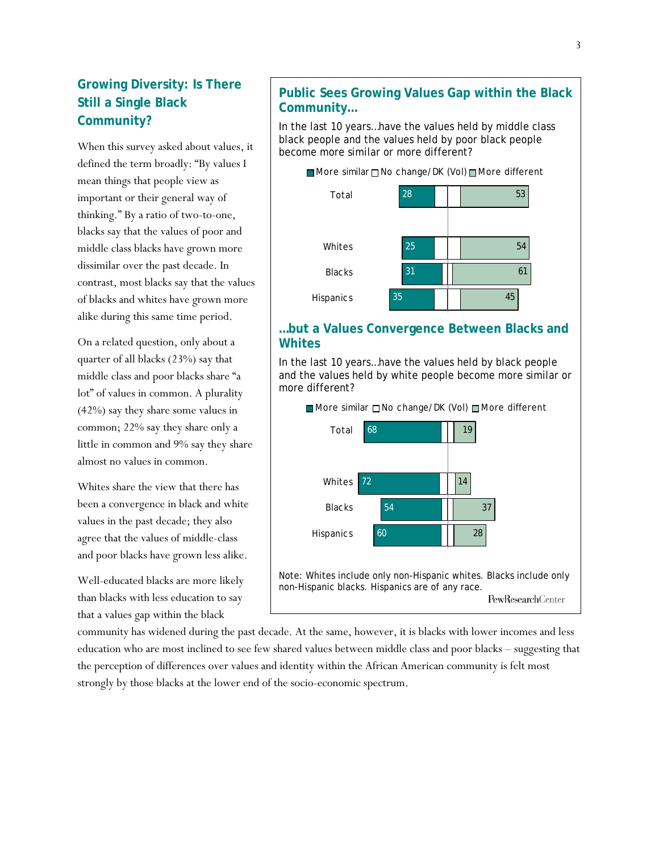# **Growing Diversity: Is There Still a Single Black Community?**

When this survey asked about values, it defined the term broadly: "By values I mean things that people view as important or their general way of thinking." By a ratio of two-to-one, blacks say that the values of poor and middle class blacks have grown more dissimilar over the past decade. In contrast, most blacks say that the values of blacks and whites have grown more alike during this same time period.

On a related question, only about a quarter of all blacks (23%) say that middle class and poor blacks share "a lot" of values in common. A plurality (42%) say they share some values in common; 22% say they share only a little in common and 9% say they share almost no values in common.

Whites share the view that there has been a convergence in black and white values in the past decade; they also agree that the values of middle-class and poor blacks have grown less alike.

Well-educated blacks are more likely than blacks with less education to say that a values gap within the black

### **Public Sees Growing Values Gap within the Black Community…**

In the last 10 years…have the values held by middle class black people and the values held by poor black people become more similar or more different?



#### **…but a Values Convergence Between Blacks and Whites**

In the last 10 years…have the values held by black people and the values held by white people become more similar or more different?



community has widened during the past decade. At the same, however, it is blacks with lower incomes and less education who are most inclined to see few shared values between middle class and poor blacks – suggesting that the perception of differences over values and identity within the African American community is felt most strongly by those blacks at the lower end of the socio-economic spectrum.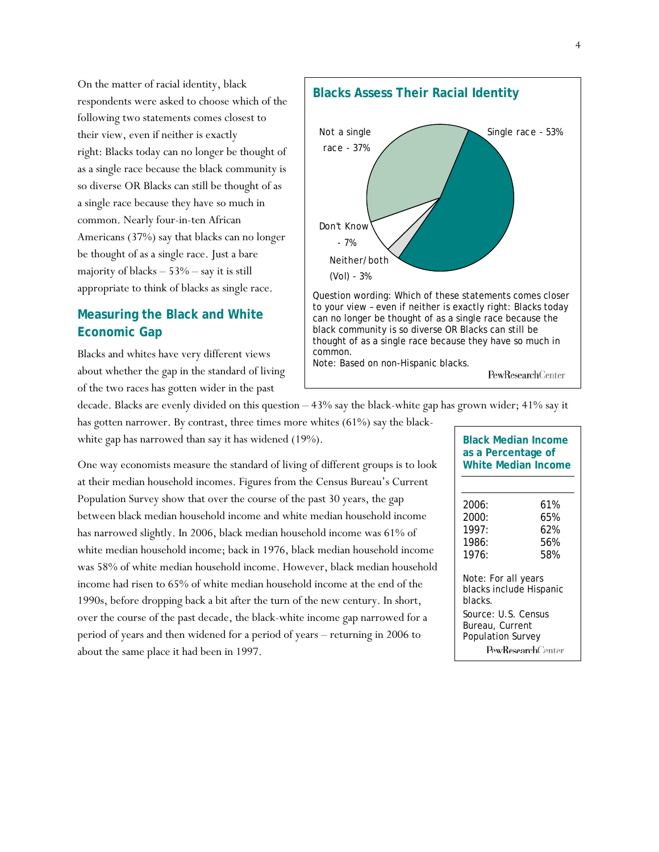On the matter of racial identity, black respondents were asked to choose which of the following two statements comes closest to their view, even if neither is exactly right: Blacks today can no longer be thought of as a single race because the black community is so diverse OR Blacks can still be thought of as a single race because they have so much in common. Nearly four-in-ten African Americans (37%) say that blacks can no longer be thought of as a single race. Just a bare majority of blacks  $-53%$  – say it is still appropriate to think of blacks as single race.

# **Measuring the Black and White Economic Gap**

Blacks and whites have very different views about whether the gap in the standard of living of the two races has gotten wider in the past



decade. Blacks are evenly divided on this question – 43% say the black-white gap has grown wider; 41% say it

has gotten narrower. By contrast, three times more whites (61%) say the blackwhite gap has narrowed than say it has widened (19%).

One way economists measure the standard of living of different groups is to look at their median household incomes. Figures from the Census Bureau's Current Population Survey show that over the course of the past 30 years, the gap between black median household income and white median household income has narrowed slightly. In 2006, black median household income was 61% of white median household income; back in 1976, black median household income was 58% of white median household income. However, black median household income had risen to 65% of white median household income at the end of the 1990s, before dropping back a bit after the turn of the new century. In short, over the course of the past decade, the black-white income gap narrowed for a period of years and then widened for a period of years – returning in 2006 to about the same place it had been in 1997.

| <b>Black Median Income</b><br>as a Percentage of<br>White Median Income |     |  |  |  |  |
|-------------------------------------------------------------------------|-----|--|--|--|--|
|                                                                         |     |  |  |  |  |
| 2006:                                                                   | 61% |  |  |  |  |
| 2000:                                                                   | 65% |  |  |  |  |
| 1997:                                                                   | 62% |  |  |  |  |
| 1986:                                                                   | 56% |  |  |  |  |
| 1976.                                                                   | 58% |  |  |  |  |
| Note: For all years                                                     |     |  |  |  |  |
| blacks include Hispanic                                                 |     |  |  |  |  |
| blacks.                                                                 |     |  |  |  |  |
| Source: U.S. Census                                                     |     |  |  |  |  |
| Bureau, Current                                                         |     |  |  |  |  |
| <b>Population Survey</b>                                                |     |  |  |  |  |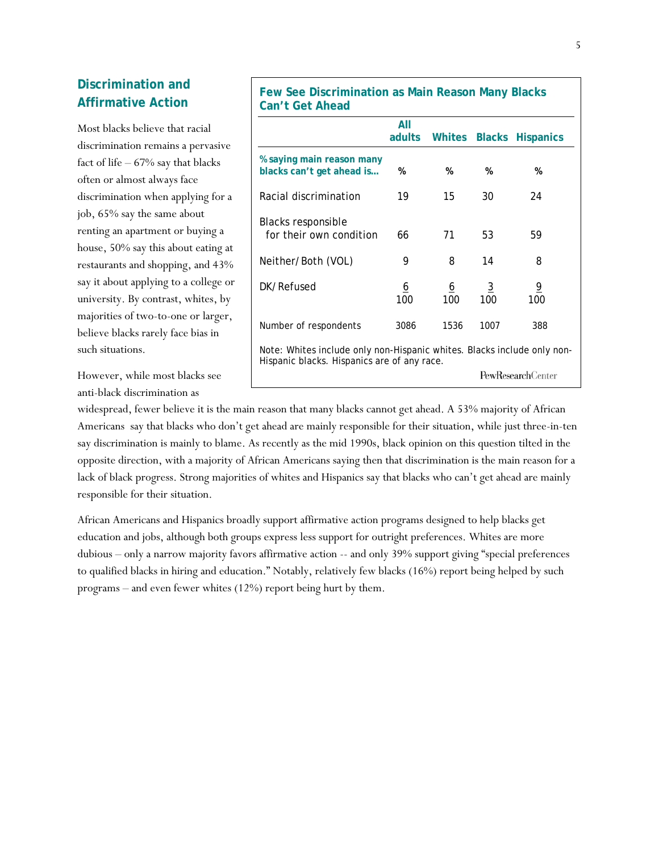# **Discrimination and Affirmative Action**

Most blacks believe that racial discrimination remains a pervasive fact of life  $-67\%$  say that blacks often or almost always face discrimination when applying for a job, 65% say the same about renting an apartment or buying a house, 50% say this about eating at restaurants and shopping, and 43% say it about applying to a college or university. By contrast, whites, by majorities of two-to-one or larger, believe blacks rarely face bias in such situations.

**Few See Discrimination as Main Reason Many Blacks Can't Get Ahead** 

| . over in loud                                                          |                                                                         |                 |                       |                         |  |  |  |
|-------------------------------------------------------------------------|-------------------------------------------------------------------------|-----------------|-----------------------|-------------------------|--|--|--|
|                                                                         | All<br>adults                                                           | Whites          |                       | <b>Blacks Hispanics</b> |  |  |  |
| % saying main reason many<br>blacks can't get ahead is                  | %                                                                       | %               | %                     | %                       |  |  |  |
| Racial discrimination                                                   | 19                                                                      | 15              | 30                    | 24                      |  |  |  |
| Blacks responsible<br>for their own condition                           | 66                                                                      | 71              | 53                    | 59                      |  |  |  |
| Neither/Both (VOL)                                                      | 9                                                                       | 8               | 14                    | 8                       |  |  |  |
| DK/Refused                                                              | <u>6</u><br>100                                                         | <u>6</u><br>100 | $\overline{3}$<br>100 | $\overline{6}$<br>100   |  |  |  |
| Number of respondents                                                   | 3086                                                                    | 1536            | 1007                  | 388                     |  |  |  |
|                                                                         | Note: Whites include only non-Hispanic whites. Blacks include only non- |                 |                       |                         |  |  |  |
| Hispanic blacks. Hispanics are of any race.<br><b>PewResearchCenter</b> |                                                                         |                 |                       |                         |  |  |  |

However, while most blacks see anti-black discrimination as

widespread, fewer believe it is the main reason that many blacks cannot get ahead. A 53% majority of African Americans say that blacks who don't get ahead are mainly responsible for their situation, while just three-in-ten say discrimination is mainly to blame. As recently as the mid 1990s, black opinion on this question tilted in the opposite direction, with a majority of African Americans saying then that discrimination is the main reason for a lack of black progress. Strong majorities of whites and Hispanics say that blacks who can't get ahead are mainly responsible for their situation.

African Americans and Hispanics broadly support affirmative action programs designed to help blacks get education and jobs, although both groups express less support for outright preferences. Whites are more dubious – only a narrow majority favors affirmative action -- and only 39% support giving "special preferences to qualified blacks in hiring and education." Notably, relatively few blacks (16%) report being helped by such programs – and even fewer whites (12%) report being hurt by them.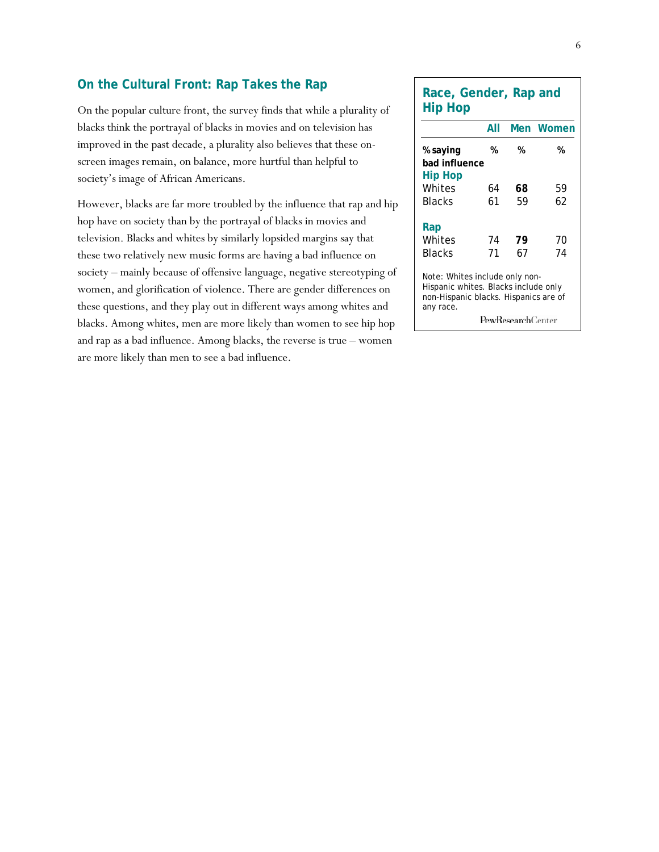#### **On the Cultural Front: Rap Takes the Rap**

On the popular culture front, the survey finds that while a plurality of blacks think the portrayal of blacks in movies and on television has improved in the past decade, a plurality also believes that these onscreen images remain, on balance, more hurtful than helpful to society's image of African Americans.

However, blacks are far more troubled by the influence that rap and hip hop have on society than by the portrayal of blacks in movies and television. Blacks and whites by similarly lopsided margins say that these two relatively new music forms are having a bad influence on society – mainly because of offensive language, negative stereotyping of women, and glorification of violence. There are gender differences on these questions, and they play out in different ways among whites and blacks. Among whites, men are more likely than women to see hip hop and rap as a bad influence. Among blacks, the reverse is true – women are more likely than men to see a bad influence.

| Race, Gender, Rap and<br><b>Hip Hop</b>                                                                                                                   |     |    |           |  |  |  |  |
|-----------------------------------------------------------------------------------------------------------------------------------------------------------|-----|----|-----------|--|--|--|--|
|                                                                                                                                                           | All |    | Men Women |  |  |  |  |
| % saying<br>bad influence<br>Hip Hop                                                                                                                      | %   | %  | %         |  |  |  |  |
| Whites                                                                                                                                                    | 64  | 68 | 59        |  |  |  |  |
| Blacks                                                                                                                                                    | 61  | 59 | 62        |  |  |  |  |
| Rap                                                                                                                                                       |     |    |           |  |  |  |  |
| Whites                                                                                                                                                    | 74  | 79 | 70        |  |  |  |  |
| Blacks                                                                                                                                                    | 71  | 67 | 74        |  |  |  |  |
| Note: Whites include only non-<br>Hispanic whites. Blacks include only<br>non-Hispanic blacks. Hispanics are of<br>any race.<br><b>PewResearch</b> Center |     |    |           |  |  |  |  |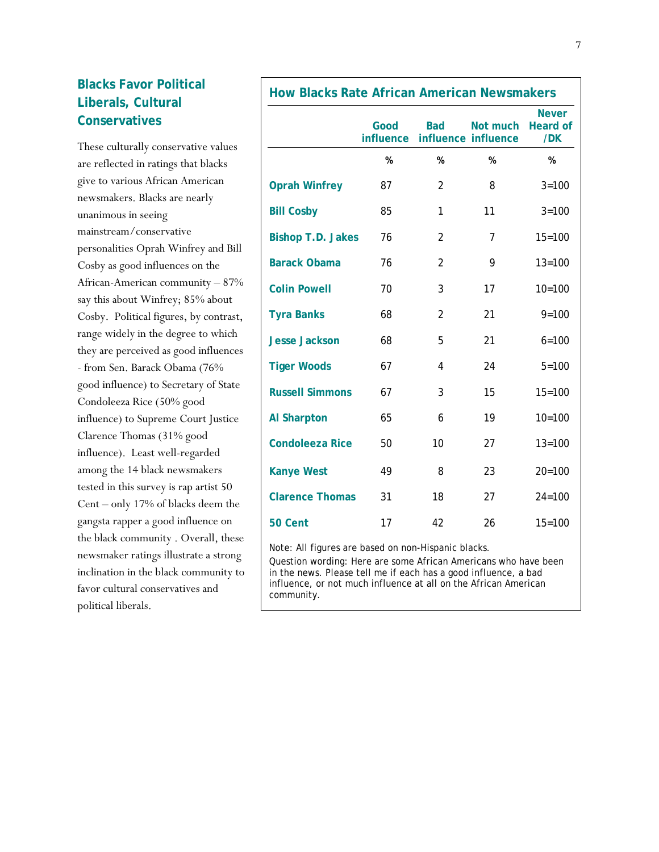# **Blacks Favor Political Liberals, Cultural Conservatives**

These culturally conservative values are reflected in ratings that blacks give to various African American newsmakers. Blacks are nearly unanimous in seeing mainstream/conservative personalities Oprah Winfrey and Bill Cosby as good influences on the African-American community – 87% say this about Winfrey; 85% about Cosby. Political figures, by contrast, range widely in the degree to which they are perceived as good influences - from Sen. Barack Obama (76% good influence) to Secretary of State Condoleeza Rice (50% good influence) to Supreme Court Justice Clarence Thomas (31% good influence). Least well-regarded among the 14 black newsmakers tested in this survey is rap artist 50 Cent – only 17% of blacks deem the gangsta rapper a good influence on the black community . Overall, these newsmaker ratings illustrate a strong inclination in the black community to favor cultural conservatives and political liberals.

| <b>How Blacks Rate African American Newsmakers</b> |                   |                |                                 |                                        |  |  |
|----------------------------------------------------|-------------------|----------------|---------------------------------|----------------------------------------|--|--|
|                                                    | Good<br>influence | <b>Bad</b>     | Not much<br>influence influence | <b>Never</b><br><b>Heard of</b><br>/DK |  |  |
|                                                    | $\%$              | %              | $\%$                            | $\%$                                   |  |  |
| <b>Oprah Winfrey</b>                               | 87                | 2              | 8                               | $3 = 100$                              |  |  |
| <b>Bill Cosby</b>                                  | 85                | 1              | 11                              | $3 = 100$                              |  |  |
| <b>Bishop T.D. Jakes</b>                           | 76                | 2              | $\overline{7}$                  | $15 = 100$                             |  |  |
| <b>Barack Obama</b>                                | 76                | $\overline{2}$ | 9                               | $13 = 100$                             |  |  |
| <b>Colin Powell</b>                                | 70                | 3              | 17                              | $10 = 100$                             |  |  |
| <b>Tyra Banks</b>                                  | 68                | 2              | 21                              | $9 = 100$                              |  |  |
| <b>Jesse Jackson</b>                               | 68                | 5              | 21                              | $6 = 100$                              |  |  |
| <b>Tiger Woods</b>                                 | 67                | 4              | 24                              | $5 = 100$                              |  |  |
| <b>Russell Simmons</b>                             | 67                | 3              | 15                              | $15 = 100$                             |  |  |
| <b>Al Sharpton</b>                                 | 65                | 6              | 19                              | $10 = 100$                             |  |  |
| <b>Condoleeza Rice</b>                             | 50                | 10             | 27                              | $13 = 100$                             |  |  |
| <b>Kanye West</b>                                  | 49                | 8              | 23                              | $20 = 100$                             |  |  |
| <b>Clarence Thomas</b>                             | 31                | 18             | 27                              | $24 = 100$                             |  |  |
| 50 Cent                                            | 17                | 42             | 26                              | $15 = 100$                             |  |  |

Note: All figures are based on non-Hispanic blacks.

Question wording: Here are some African Americans who have been in the news. Please tell me if each has a good influence, a bad influence, or not much influence at all on the African American community.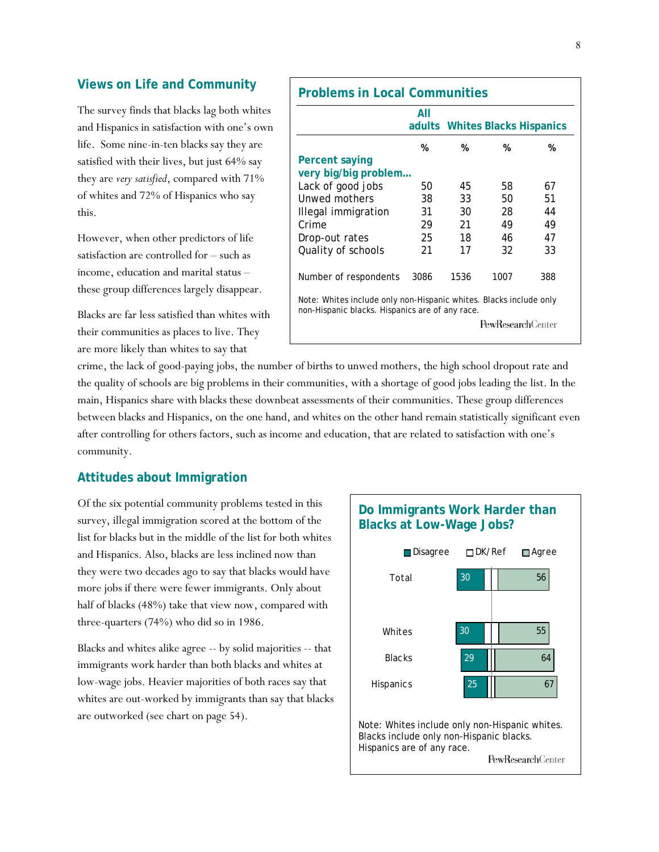#### **Views on Life and Community**

The survey finds that blacks lag both whites and Hispanics in satisfaction with one's own life. Some nine-in-ten blacks say they are satisfied with their lives, but just 64% say they are *very satisfied*, compared with 71% of whites and 72% of Hispanics who say this.

However, when other predictors of life satisfaction are controlled for – such as income, education and marital status – these group differences largely disappear.

Blacks are far less satisfied than whites with their communities as places to live. They are more likely than whites to say that

|                                                                                                                       | All  |      |      | adults Whites Blacks Hispanics |
|-----------------------------------------------------------------------------------------------------------------------|------|------|------|--------------------------------|
|                                                                                                                       | %    | %    | %    | %                              |
| Percent saying                                                                                                        |      |      |      |                                |
| very big/big problem                                                                                                  |      |      |      |                                |
| Lack of good jobs                                                                                                     | 50   | 45   | 58   | 67                             |
| Unwed mothers                                                                                                         | 38   | 33   | 50   | 51                             |
| Illegal immigration                                                                                                   | 31   | 30   | 28   | 44                             |
| Crime                                                                                                                 | 29   | 21   | 49   | 49                             |
| Drop-out rates                                                                                                        | 25   | 18   | 46   | 47                             |
| Quality of schools                                                                                                    | 21   | 17   | 32   | 33                             |
| Number of respondents                                                                                                 | 3086 | 1536 | 1007 | 388                            |
| Note: Whites include only non-Hispanic whites. Blacks include only<br>non-Hispanic blacks. Hispanics are of any race. |      |      |      |                                |

crime, the lack of good-paying jobs, the number of births to unwed mothers, the high school dropout rate and the quality of schools are big problems in their communities, with a shortage of good jobs leading the list. In the main, Hispanics share with blacks these downbeat assessments of their communities. These group differences between blacks and Hispanics, on the one hand, and whites on the other hand remain statistically significant even after controlling for others factors, such as income and education, that are related to satisfaction with one's community.

#### **Attitudes about Immigration**

Of the six potential community problems tested in this survey, illegal immigration scored at the bottom of the list for blacks but in the middle of the list for both whites and Hispanics. Also, blacks are less inclined now than they were two decades ago to say that blacks would have more jobs if there were fewer immigrants. Only about half of blacks (48%) take that view now, compared with three-quarters (74%) who did so in 1986.

Blacks and whites alike agree -- by solid majorities -- that immigrants work harder than both blacks and whites at low-wage jobs. Heavier majorities of both races say that whites are out-worked by immigrants than say that blacks are outworked (see chart on page 54).

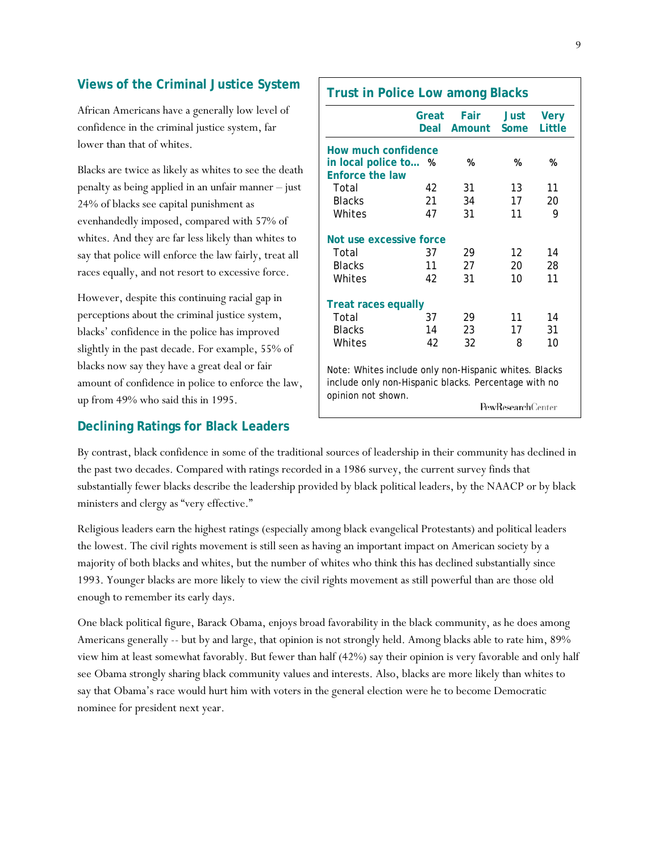## **Views of the Criminal Justice System**

African Americans have a generally low level of confidence in the criminal justice system, far lower than that of whites.

Blacks are twice as likely as whites to see the death penalty as being applied in an unfair manner – just 24% of blacks see capital punishment as evenhandedly imposed, compared with 57% of whites. And they are far less likely than whites to say that police will enforce the law fairly, treat all races equally, and not resort to excessive force.

However, despite this continuing racial gap in perceptions about the criminal justice system, blacks' confidence in the police has improved slightly in the past decade. For example, 55% of blacks now say they have a great deal or fair amount of confidence in police to enforce the law, up from 49% who said this in 1995.

#### **Declining Ratings for Black Leaders**

|                                                                                                                                     | Great<br>Deal | <b>Fair</b><br>Amount | Just<br>Some                                                                                                  | <b>Very</b><br>Little |
|-------------------------------------------------------------------------------------------------------------------------------------|---------------|-----------------------|---------------------------------------------------------------------------------------------------------------|-----------------------|
| How much confidence                                                                                                                 |               |                       |                                                                                                               |                       |
| in local police to %                                                                                                                |               | %                     | %                                                                                                             | %                     |
| <b>Enforce the law</b>                                                                                                              |               |                       |                                                                                                               |                       |
| Total                                                                                                                               | 42            | 31                    | 13                                                                                                            | 11                    |
| <b>Blacks</b>                                                                                                                       | 21            | 34                    | 17                                                                                                            | 20                    |
| Whites                                                                                                                              | 47            | 31                    | 11                                                                                                            | 9                     |
| Not use excessive force                                                                                                             |               |                       |                                                                                                               |                       |
| Total                                                                                                                               | 37            | 29                    | 12                                                                                                            | 14                    |
| <b>Blacks</b>                                                                                                                       | 11            | 27                    | 20                                                                                                            | 28                    |
| Whites                                                                                                                              | 42            | 31                    | 10                                                                                                            | 11                    |
| <b>Treat races equally</b>                                                                                                          |               |                       |                                                                                                               |                       |
| Total                                                                                                                               | 37            | 29                    | 11                                                                                                            | 14                    |
| <b>Blacks</b>                                                                                                                       | 14            | 23                    | 17                                                                                                            | 31                    |
| Whites                                                                                                                              | 42            | 32                    | 8                                                                                                             | 10                    |
| Note: Whites include only non-Hispanic whites. Blacks<br>include only non-Hispanic blacks. Percentage with no<br>opinion not shown. |               |                       | $\mathbf{p}_{\alpha\mathbf{w}}\mathbf{R}_{\alpha\mathbf{e}\alpha\mathbf{a}\mathbf{r}\alpha}\mathbf{h}$ Center |                       |

By contrast, black confidence in some of the traditional sources of leadership in their community has declined in the past two decades. Compared with ratings recorded in a 1986 survey, the current survey finds that substantially fewer blacks describe the leadership provided by black political leaders, by the NAACP or by black ministers and clergy as "very effective."

Religious leaders earn the highest ratings (especially among black evangelical Protestants) and political leaders the lowest. The civil rights movement is still seen as having an important impact on American society by a majority of both blacks and whites, but the number of whites who think this has declined substantially since 1993. Younger blacks are more likely to view the civil rights movement as still powerful than are those old enough to remember its early days.

One black political figure, Barack Obama, enjoys broad favorability in the black community, as he does among Americans generally -- but by and large, that opinion is not strongly held. Among blacks able to rate him, 89% view him at least somewhat favorably. But fewer than half (42%) say their opinion is very favorable and only half see Obama strongly sharing black community values and interests. Also, blacks are more likely than whites to say that Obama's race would hurt him with voters in the general election were he to become Democratic nominee for president next year.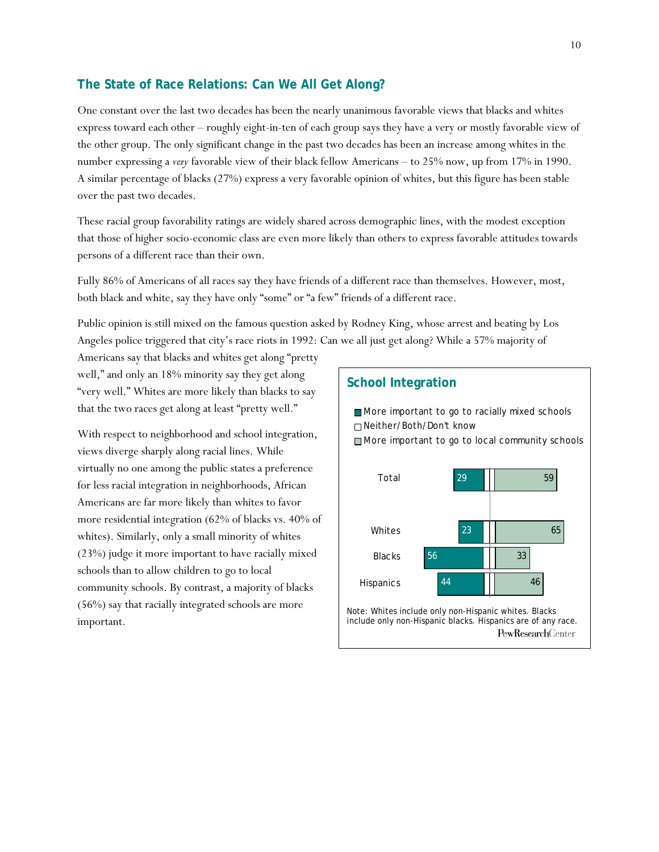#### **The State of Race Relations: Can We All Get Along?**

One constant over the last two decades has been the nearly unanimous favorable views that blacks and whites express toward each other – roughly eight-in-ten of each group says they have a very or mostly favorable view of the other group. The only significant change in the past two decades has been an increase among whites in the number expressing a *very* favorable view of their black fellow Americans – to 25% now, up from 17% in 1990. A similar percentage of blacks (27%) express a very favorable opinion of whites, but this figure has been stable over the past two decades.

These racial group favorability ratings are widely shared across demographic lines, with the modest exception that those of higher socio-economic class are even more likely than others to express favorable attitudes towards persons of a different race than their own.

Fully 86% of Americans of all races say they have friends of a different race than themselves. However, most, both black and white, say they have only "some" or "a few" friends of a different race.

Public opinion is still mixed on the famous question asked by Rodney King, whose arrest and beating by Los Angeles police triggered that city's race riots in 1992: Can we all just get along? While a 57% majority of

Americans say that blacks and whites get along "pretty well," and only an 18% minority say they get along "very well." Whites are more likely than blacks to say that the two races get along at least "pretty well."

With respect to neighborhood and school integration, views diverge sharply along racial lines. While virtually no one among the public states a preference for less racial integration in neighborhoods, African Americans are far more likely than whites to favor more residential integration (62% of blacks vs. 40% of whites). Similarly, only a small minority of whites (23%) judge it more important to have racially mixed schools than to allow children to go to local community schools. By contrast, a majority of blacks (56%) say that racially integrated schools are more important.

#### **School Integration**

More important to go to racially mixed schools Neither/Both/Don't know More important to go to local community schools

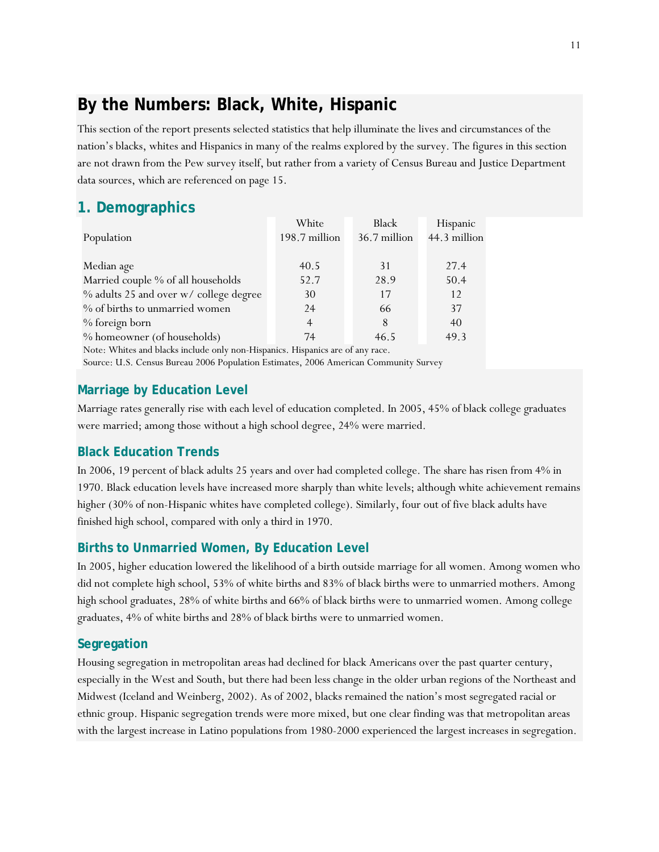# **By the Numbers: Black, White, Hispanic**

This section of the report presents selected statistics that help illuminate the lives and circumstances of the nation's blacks, whites and Hispanics in many of the realms explored by the survey. The figures in this section are not drawn from the Pew survey itself, but rather from a variety of Census Bureau and Justice Department data sources, which are referenced on page 15.

# **1. Demographics**

|                                        | White          | Black        | Hispanic     |
|----------------------------------------|----------------|--------------|--------------|
| Population                             | 198.7 million  | 36.7 million | 44.3 million |
|                                        |                |              |              |
| Median age                             | 40.5           | 31           | 27.4         |
| Married couple % of all households     | 52.7           | 28.9         | 50.4         |
| % adults 25 and over w/ college degree | 30             | 17           | 12           |
| % of births to unmarried women         | 24             | 66           | 37           |
| % foreign born                         | $\overline{4}$ | 8            | 40           |
| % homeowner (of households)            | 74             | 46.5         | 49.3         |

Note: Whites and blacks include only non-Hispanics. Hispanics are of any race.

Source: U.S. Census Bureau 2006 Population Estimates, 2006 American Community Survey

# **Marriage by Education Level**

Marriage rates generally rise with each level of education completed. In 2005, 45% of black college graduates were married; among those without a high school degree, 24% were married.

# **Black Education Trends**

In 2006, 19 percent of black adults 25 years and over had completed college. The share has risen from 4% in 1970. Black education levels have increased more sharply than white levels; although white achievement remains higher (30% of non-Hispanic whites have completed college). Similarly, four out of five black adults have finished high school, compared with only a third in 1970.

# **Births to Unmarried Women, By Education Level**

In 2005, higher education lowered the likelihood of a birth outside marriage for all women. Among women who did not complete high school, 53% of white births and 83% of black births were to unmarried mothers. Among high school graduates, 28% of white births and 66% of black births were to unmarried women. Among college graduates, 4% of white births and 28% of black births were to unmarried women.

## **Segregation**

Housing segregation in metropolitan areas had declined for black Americans over the past quarter century, especially in the West and South, but there had been less change in the older urban regions of the Northeast and Midwest (Iceland and Weinberg, 2002). As of 2002, blacks remained the nation's most segregated racial or ethnic group. Hispanic segregation trends were more mixed, but one clear finding was that metropolitan areas with the largest increase in Latino populations from 1980-2000 experienced the largest increases in segregation.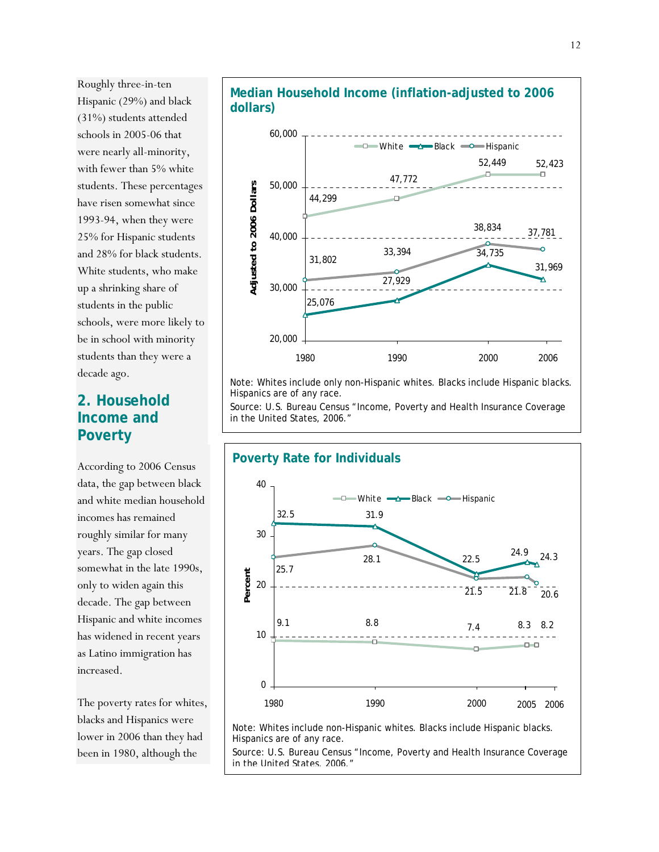Roughly three-in-ten Hispanic (29%) and black (31%) students attended schools in 2005-06 that were nearly all-minority, with fewer than 5% white students. These percentages have risen somewhat since 1993-94, when they were 25% for Hispanic students and 28% for black students. White students, who make up a shrinking share of students in the public schools, were more likely to be in school with minority students than they were a decade ago.

# **2. Household Income and Poverty**

According to 2006 Census data, the gap between black and white median household incomes has remained roughly similar for many years. The gap closed somewhat in the late 1990s, only to widen again this decade. The gap between Hispanic and white incomes has widened in recent years as Latino immigration has increased.

The poverty rates for whites, blacks and Hispanics were lower in 2006 than they had been in 1980, although the





Note: Whites include only non-Hispanic whites. Blacks include Hispanic blacks. Hispanics are of any race.

Source: U.S. Bureau Census "Income, Poverty and Health Insurance Coverage in the United States, 2006."



Note: Whites include non-Hispanic whites. Blacks include Hispanic blacks. Hispanics are of any race.

Source: U.S. Bureau Census "Income, Poverty and Health Insurance Coverage in the United States, 2006."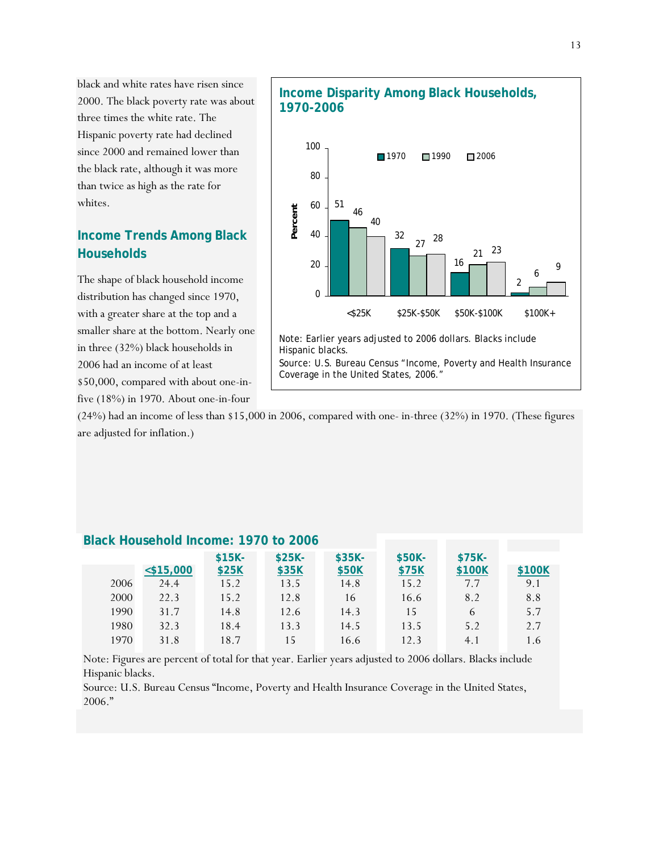black and white rates have risen since 2000. The black poverty rate was about three times the white rate. The Hispanic poverty rate had declined since 2000 and remained lower than the black rate, although it was more than twice as high as the rate for whites.

# **Income Trends Among Black Households**

The shape of black household income distribution has changed since 1970, with a greater share at the top and a smaller share at the bottom. Nearly one in three (32%) black households in 2006 had an income of at least \$50,000, compared with about one-in-

five (18%) in 1970. About one-in-four



(24%) had an income of less than \$15,000 in 2006, compared with one- in-three (32%) in 1970. (These figures are adjusted for inflation.)

|      |              | $$15K-$ | $$25K-$ | $$35K-$ | \$50K- | $$75K-$ |        |
|------|--------------|---------|---------|---------|--------|---------|--------|
|      | $<$ \$15,000 | \$25K   | \$35K   | \$50K   | \$75K  | \$100K  | \$100K |
| 2006 | 24.4         | 15.2    | 13.5    | 14.8    | 15.2   | 7.7     | 9.1    |
| 2000 | 22.3         | 15.2    | 12.8    | 16      | 16.6   | 8.2     | 8.8    |
| 1990 | 31.7         | 14.8    | 12.6    | 14.3    | 15     | 6       | 5.7    |
| 1980 | 32.3         | 18.4    | 13.3    | 14.5    | 13.5   | 5.2     | 2.7    |
| 1970 | 31.8         | 18.7    | 15      | 16.6    | 12.3   | 4.1     | 1.6    |

#### **Black Household Income: 1970 to 2006**

Note: Figures are percent of total for that year. Earlier years adjusted to 2006 dollars. Blacks include Hispanic blacks.

Source: U.S. Bureau Census "Income, Poverty and Health Insurance Coverage in the United States, 2006."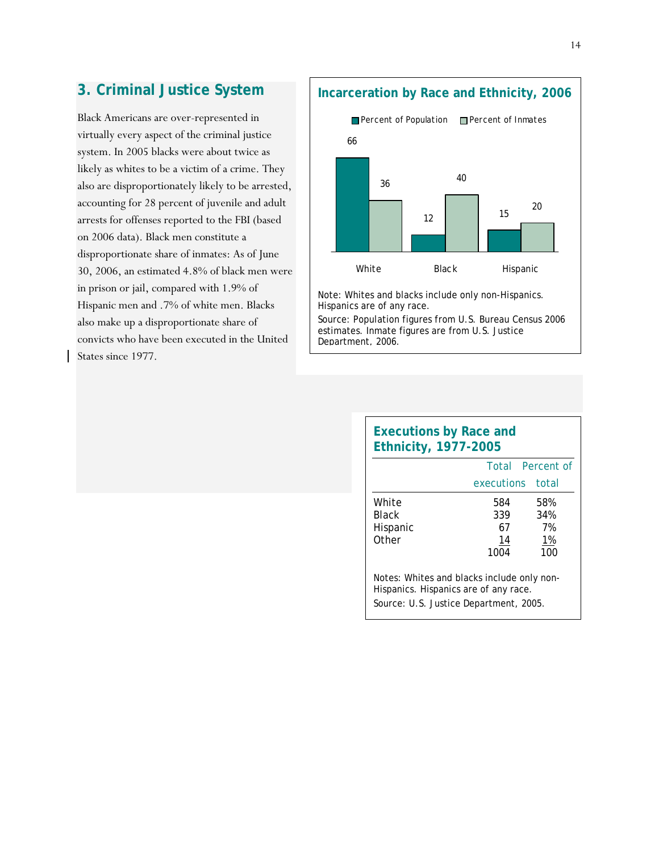# **3. Criminal Justice System**

Black Americans are over-represented in virtually every aspect of the criminal justice system. In 2005 blacks were about twice as likely as whites to be a victim of a crime. They also are disproportionately likely to be arrested, accounting for 28 percent of juvenile and adult arrests for offenses reported to the FBI (based on 2006 data). Black men constitute a disproportionate share of inmates: As of June 30, 2006, an estimated 4.8% of black men were in prison or jail, compared with 1.9% of Hispanic men and .7% of white men. Blacks also make up a disproportionate share of convicts who have been executed in the United States since 1977.

**Incarceration by Race and Ethnicity, 2006**



Note: Whites and blacks include only non-Hispanics. Hispanics are of any race.

Source: Population figures from U.S. Bureau Census 2006 estimates. Inmate figures are from U.S. Justice Department, 2006.

| <b>Executions by Race and</b><br><b>Ethnicity, 1977-2005</b>                                                                  |                                |                               |
|-------------------------------------------------------------------------------------------------------------------------------|--------------------------------|-------------------------------|
|                                                                                                                               |                                | Total Percent of              |
|                                                                                                                               | executions total               |                               |
| White<br><b>Black</b><br>Hispanic<br>Other                                                                                    | 584<br>339<br>67<br>14<br>1004 | 58%<br>34%<br>7%<br>1%<br>100 |
| Notes: Whites and blacks include only non-<br>Hispanics. Hispanics are of any race.<br>Source: U.S. Justice Department, 2005. |                                |                               |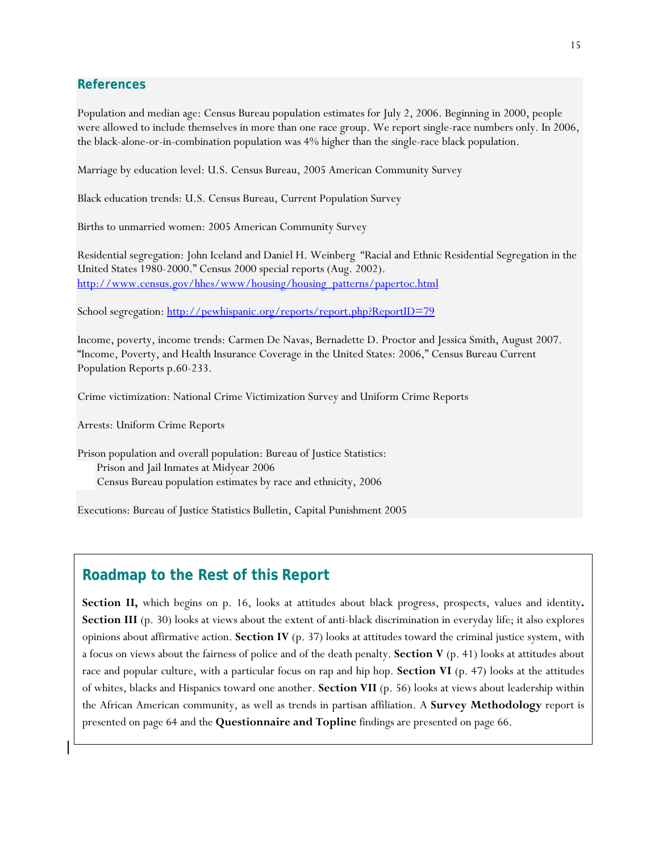#### **References**

Population and median age: Census Bureau population estimates for July 2, 2006. Beginning in 2000, people were allowed to include themselves in more than one race group. We report single-race numbers only. In 2006, the black-alone-or-in-combination population was 4% higher than the single-race black population.

Marriage by education level: U.S. Census Bureau, 2005 American Community Survey

Black education trends: U.S. Census Bureau, Current Population Survey

Births to unmarried women: 2005 American Community Survey

Residential segregation: John Iceland and Daniel H. Weinberg "Racial and Ethnic Residential Segregation in the United States 1980-2000." Census 2000 special reports (Aug. 2002). http://www.census.gov/hhes/www/housing/housing\_patterns/papertoc.html

School segregation: http://pewhispanic.org/reports/report.php?ReportID=79

Income, poverty, income trends: Carmen De Navas, Bernadette D. Proctor and Jessica Smith, August 2007. "Income, Poverty, and Health Insurance Coverage in the United States: 2006," Census Bureau Current Population Reports p.60-233.

Crime victimization: National Crime Victimization Survey and Uniform Crime Reports

Arrests: Uniform Crime Reports

Prison population and overall population: Bureau of Justice Statistics: Prison and Jail Inmates at Midyear 2006 Census Bureau population estimates by race and ethnicity, 2006

Executions: Bureau of Justice Statistics Bulletin, Capital Punishment 2005

## **Roadmap to the Rest of this Report**

**Section II,** which begins on p. 16, looks at attitudes about black progress, prospects, values and identity**. Section III** (p. 30) looks at views about the extent of anti-black discrimination in everyday life; it also explores opinions about affirmative action. **Section IV** (p. 37) looks at attitudes toward the criminal justice system, with a focus on views about the fairness of police and of the death penalty. **Section V** (p. 41) looks at attitudes about race and popular culture, with a particular focus on rap and hip hop. **Section VI** (p. 47) looks at the attitudes of whites, blacks and Hispanics toward one another. **Section VII** (p. 56) looks at views about leadership within the African American community, as well as trends in partisan affiliation. A **Survey Methodology** report is presented on page 64 and the **Questionnaire and Topline** findings are presented on page 66.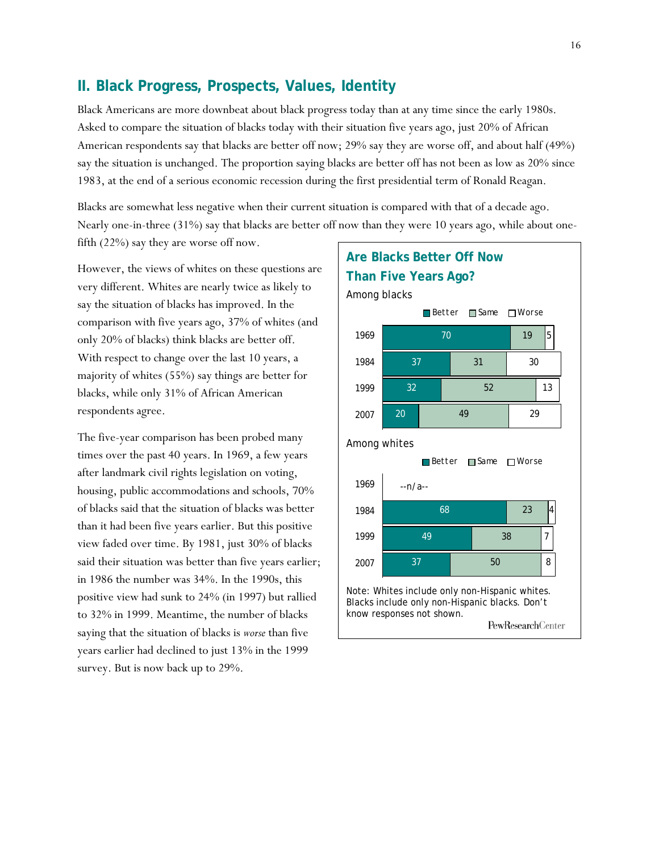## **II. Black Progress, Prospects, Values, Identity**

Black Americans are more downbeat about black progress today than at any time since the early 1980s. Asked to compare the situation of blacks today with their situation five years ago, just 20% of African American respondents say that blacks are better off now; 29% say they are worse off, and about half (49%) say the situation is unchanged. The proportion saying blacks are better off has not been as low as 20% since 1983, at the end of a serious economic recession during the first presidential term of Ronald Reagan.

Blacks are somewhat less negative when their current situation is compared with that of a decade ago. Nearly one-in-three (31%) say that blacks are better off now than they were 10 years ago, while about onefifth (22%) say they are worse off now.

However, the views of whites on these questions are very different. Whites are nearly twice as likely to say the situation of blacks has improved. In the comparison with five years ago, 37% of whites (and only 20% of blacks) think blacks are better off. With respect to change over the last 10 years, a majority of whites (55%) say things are better for blacks, while only 31% of African American respondents agree.

The five-year comparison has been probed many times over the past 40 years. In 1969, a few years after landmark civil rights legislation on voting, housing, public accommodations and schools, 70% of blacks said that the situation of blacks was better than it had been five years earlier. But this positive view faded over time. By 1981, just 30% of blacks said their situation was better than five years earlier; in 1986 the number was 34%. In the 1990s, this positive view had sunk to 24% (in 1997) but rallied to 32% in 1999. Meantime, the number of blacks saying that the situation of blacks is *worse* than five years earlier had declined to just 13% in the 1999 survey. But is now back up to 29%.

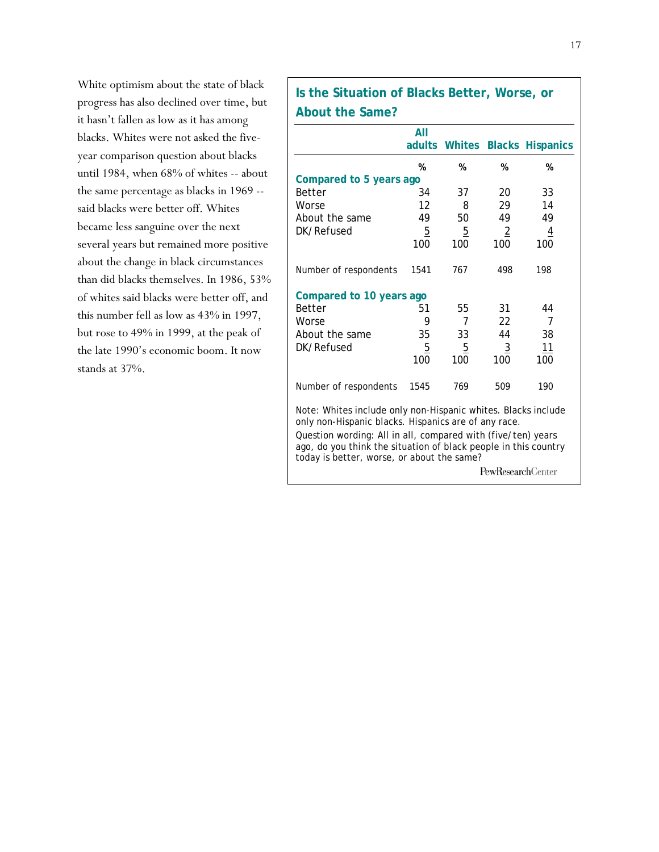White optimism about the state of black progress has also declined over time, but it hasn't fallen as low as it has among blacks. Whites were not asked the fiveyear comparison question about blacks until 1984, when 68% of whites -- about the same percentage as blacks in 1969 - said blacks were better off. Whites became less sanguine over the next several years but remained more positive about the change in black circumstances than did blacks themselves. In 1986, 53% of whites said blacks were better off, and this number fell as low as 43% in 1997, but rose to 49% in 1999, at the peak of the late 1990's economic boom. It now stands at 37%.

# **Is the Situation of Blacks Better, Worse, or About the Same?**

|                                                                                                                                                                                                                                                          | All<br>adults  | Whites         |                          | <b>Blacks Hispanics</b> |  |  |
|----------------------------------------------------------------------------------------------------------------------------------------------------------------------------------------------------------------------------------------------------------|----------------|----------------|--------------------------|-------------------------|--|--|
|                                                                                                                                                                                                                                                          | %              | %              | %                        | %                       |  |  |
| Compared to 5 years ago                                                                                                                                                                                                                                  |                |                |                          |                         |  |  |
| <b>Better</b>                                                                                                                                                                                                                                            | 34             | 37             | 20                       | 33                      |  |  |
| Worse                                                                                                                                                                                                                                                    | 12             | 8              | 29                       | 14                      |  |  |
| About the same                                                                                                                                                                                                                                           | 49             | 50             | 49                       | 49                      |  |  |
| DK/Refused                                                                                                                                                                                                                                               | $\overline{5}$ | $\overline{5}$ | $\overline{2}$           |                         |  |  |
|                                                                                                                                                                                                                                                          | 100            | 100            | 100                      | 100                     |  |  |
| Number of respondents                                                                                                                                                                                                                                    | 1541           | 767            | 498                      | 198                     |  |  |
| Compared to 10 years ago                                                                                                                                                                                                                                 |                |                |                          |                         |  |  |
| <b>Better</b>                                                                                                                                                                                                                                            | 51             | 55             | 31                       | 44                      |  |  |
| Worse                                                                                                                                                                                                                                                    | 9              | 7              | 22                       | 7                       |  |  |
| About the same                                                                                                                                                                                                                                           | 35             | 33             | 44                       | 38                      |  |  |
| DK/Refused                                                                                                                                                                                                                                               | $\overline{5}$ | $\overline{5}$ | $\overline{3}$           | 11                      |  |  |
|                                                                                                                                                                                                                                                          | 100            | 100            | 100                      | 100                     |  |  |
| Number of respondents                                                                                                                                                                                                                                    | 1545           | 769            | 509                      | 190                     |  |  |
| Note: Whites include only non-Hispanic whites. Blacks include<br>only non-Hispanic blacks. Hispanics are of any race.<br>Question wording: All in all, compared with (five/ten) years<br>ago, do you think the situation of black people in this country |                |                |                          |                         |  |  |
| today is better, worse, or about the same?                                                                                                                                                                                                               |                |                |                          |                         |  |  |
|                                                                                                                                                                                                                                                          |                |                | <b>PewResearchCenter</b> |                         |  |  |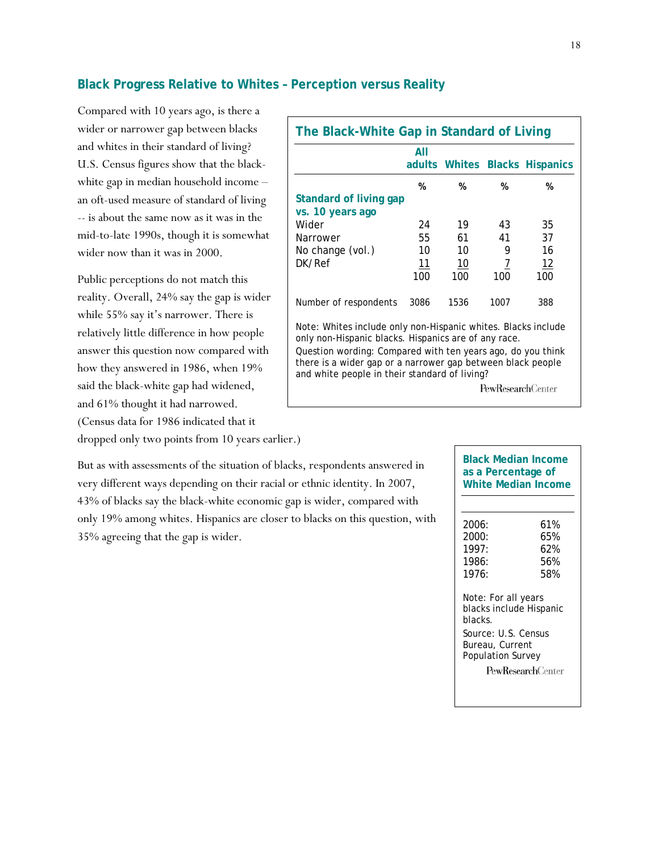#### **Black Progress Relative to Whites – Perception versus Reality**

Compared with 10 years ago, is there a wider or narrower gap between blacks and whites in their standard of living? U.S. Census figures show that the blackwhite gap in median household income – an oft-used measure of standard of living -- is about the same now as it was in the mid-to-late 1990s, though it is somewhat wider now than it was in 2000.

Public perceptions do not match this reality. Overall, 24% say the gap is wider while 55% say it's narrower. There is relatively little difference in how people answer this question now compared with how they answered in 1986, when 19% said the black-white gap had widened, and 61% thought it had narrowed. (Census data for 1986 indicated that it dropped only two points from 10 years earlier.)

| The Black-White Gap in Standard of Living                                                                                                                                   |      |      |                   |                                |  |  |
|-----------------------------------------------------------------------------------------------------------------------------------------------------------------------------|------|------|-------------------|--------------------------------|--|--|
|                                                                                                                                                                             | All  |      |                   | adults Whites Blacks Hispanics |  |  |
|                                                                                                                                                                             | %    | %    | %                 | %                              |  |  |
| <b>Standard of living gap</b>                                                                                                                                               |      |      |                   |                                |  |  |
| vs. 10 years ago                                                                                                                                                            |      |      |                   |                                |  |  |
| Wider                                                                                                                                                                       | 24   | 19   | 43                | 35                             |  |  |
| Narrower                                                                                                                                                                    | 55   | 61   | 41                | 37                             |  |  |
| No change (vol.)                                                                                                                                                            | 10   | 10   | 9                 | 16                             |  |  |
| DK/Ref                                                                                                                                                                      | 11   | 10   | 7                 | 12                             |  |  |
|                                                                                                                                                                             | 100  | 100  | 100               | 100                            |  |  |
| Number of respondents                                                                                                                                                       | 3086 | 1536 | 1007              | 388                            |  |  |
| Note: Whites include only non-Hispanic whites. Blacks include<br>only non-Hispanic blacks. Hispanics are of any race.                                                       |      |      |                   |                                |  |  |
| Question wording: Compared with ten years ago, do you think<br>there is a wider gap or a narrower gap between black people<br>and white people in their standard of living? |      |      |                   |                                |  |  |
|                                                                                                                                                                             |      |      | PewResearchCenter |                                |  |  |

But as with assessments of the situation of blacks, respondents answered in very different ways depending on their racial or ethnic identity. In 2007, 43% of blacks say the black-white economic gap is wider, compared with only 19% among whites. Hispanics are closer to blacks on this question, with 35% agreeing that the gap is wider.

# **Black Median Income as a Percentage of White Median Income**  2006: 61% 2000: 65% 1997: 62% 1986: 56% 1976: 58% Note: For all years

blacks include Hispanic blacks. Source: U.S. Census Bureau, Current Population Survey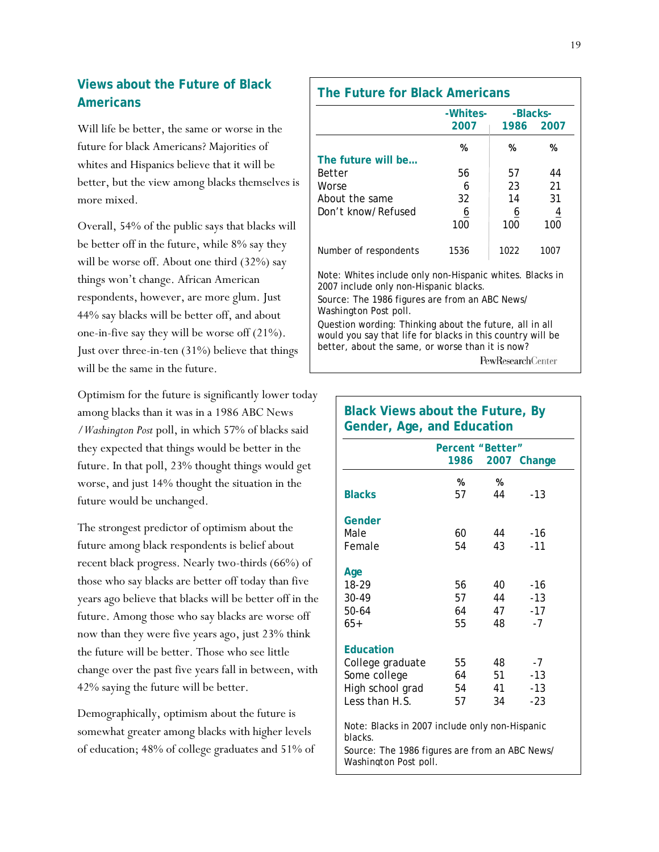# **Views about the Future of Black Americans**

Will life be better, the same or worse in the future for black Americans? Majorities of whites and Hispanics believe that it will be better, but the view among blacks themselves is more mixed.

Overall, 54% of the public says that blacks will be better off in the future, while 8% say they will be worse off. About one third (32%) say things won't change. African American respondents, however, are more glum. Just 44% say blacks will be better off, and about one-in-five say they will be worse off (21%). Just over three-in-ten (31%) believe that things will be the same in the future.

Optimism for the future is significantly lower today among blacks than it was in a 1986 ABC News /*Washington Post* poll, in which 57% of blacks said they expected that things would be better in the future. In that poll, 23% thought things would get worse, and just 14% thought the situation in the future would be unchanged.

The strongest predictor of optimism about the future among black respondents is belief about recent black progress. Nearly two-thirds (66%) of those who say blacks are better off today than five years ago believe that blacks will be better off in the future. Among those who say blacks are worse off now than they were five years ago, just 23% think the future will be better. Those who see little change over the past five years fall in between, with 42% saying the future will be better.

Demographically, optimism about the future is somewhat greater among blacks with higher levels of education; 48% of college graduates and 51% of

|                                                                                                                                                                           | -Whites- | -Blacks-  |                |
|---------------------------------------------------------------------------------------------------------------------------------------------------------------------------|----------|-----------|----------------|
|                                                                                                                                                                           | 2007     | 1986 2007 |                |
|                                                                                                                                                                           | %        | %         | %              |
| The future will be                                                                                                                                                        |          |           |                |
| Better                                                                                                                                                                    | 56       | 57        | 44             |
| Worse                                                                                                                                                                     | 6        | 23        | 21             |
| About the same                                                                                                                                                            | 32       | 14        | 31             |
| Don't know/Refused                                                                                                                                                        | <u>6</u> | <u>6</u>  | $\overline{4}$ |
|                                                                                                                                                                           | 100      | 100       | 100            |
| Number of respondents                                                                                                                                                     | 1536     | 1022      | 1007           |
| Note: Whites include only non-Hispanic whites. Blacks in<br>2007 include only non-Hispanic blacks.                                                                        |          |           |                |
| Source: The 1986 figures are from an ABC News/<br><i>Washington Post poll.</i>                                                                                            |          |           |                |
| Question wording: Thinking about the future, all in all<br>would you say that life for blacks in this country will be<br>better, about the same, or worse than it is now? |          |           |                |

**Black Views about the Future, By** 

|                                                                                | Percent "Better" |    |             |
|--------------------------------------------------------------------------------|------------------|----|-------------|
|                                                                                | 1986             |    | 2007 Change |
|                                                                                | %                | %  |             |
| <b>Blacks</b>                                                                  | 57               | 44 | $-1.3$      |
| Gender                                                                         |                  |    |             |
| Male                                                                           | 60               | 44 | -16         |
| Female                                                                         | 54               | 43 | $-11$       |
| Age                                                                            |                  |    |             |
| 18-29                                                                          | 56               | 40 | -16         |
| 30-49                                                                          | 57               | 44 | $-13$       |
| 50-64                                                                          | 64               | 47 | $-17$       |
| $65+$                                                                          | 55               | 48 | $-7$        |
| <b>Education</b>                                                               |                  |    |             |
| College graduate                                                               | 55               | 48 | $-7$        |
| Some college                                                                   | 64               | 51 | $-1.3$      |
| High school grad                                                               | 54               | 41 | $-1.3$      |
| Less than H.S.                                                                 | 57               | 34 | $-23$       |
| Note: Blacks in 2007 include only non-Hispanic<br>blacks.                      |                  |    |             |
| Source: The 1986 figures are from an ABC News/<br><i>Washington Post poll.</i> |                  |    |             |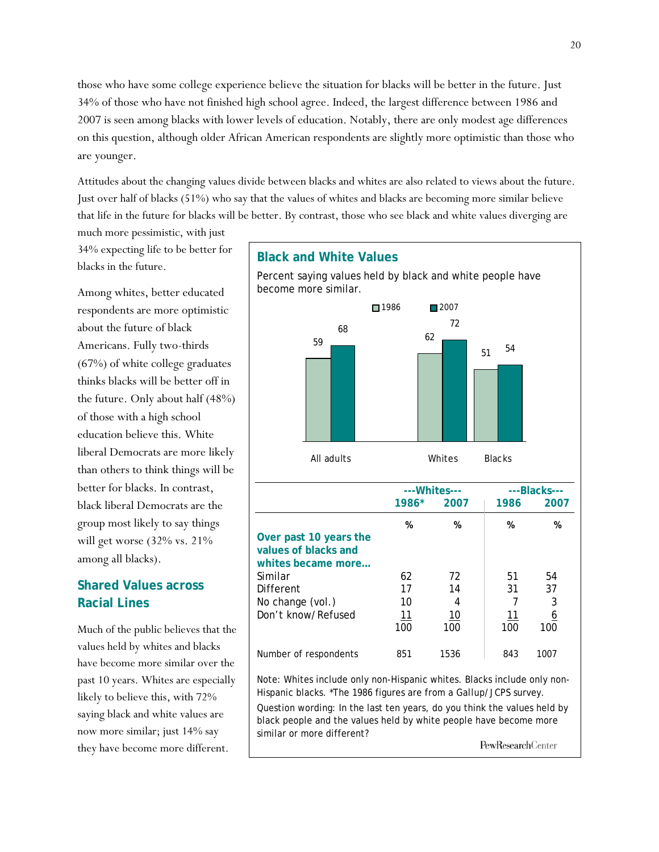those who have some college experience believe the situation for blacks will be better in the future. Just 34% of those who have not finished high school agree. Indeed, the largest difference between 1986 and 2007 is seen among blacks with lower levels of education. Notably, there are only modest age differences on this question, although older African American respondents are slightly more optimistic than those who are younger.

Attitudes about the changing values divide between blacks and whites are also related to views about the future. Just over half of blacks (51%) who say that the values of whites and blacks are becoming more similar believe that life in the future for blacks will be better. By contrast, those who see black and white values diverging are

much more pessimistic, with just 34% expecting life to be better for blacks in the future.

Among whites, better educated respondents are more optimistic about the future of black Americans. Fully two-thirds (67%) of white college graduates thinks blacks will be better off in the future. Only about half (48%) of those with a high school education believe this. White liberal Democrats are more likely than others to think things will be better for blacks. In contrast, black liberal Democrats are the group most likely to say things will get worse (32% vs. 21% among all blacks).

# **Shared Values across Racial Lines**

Much of the public believes that the values held by whites and blacks have become more similar over the past 10 years. Whites are especially likely to believe this, with 72% saying black and white values are now more similar; just 14% say they have become more different.



Hispanic blacks. \*The 1986 figures are from a *Gallup*/JCPS survey. Question wording: In the last ten years, do you think the values held by black people and the values held by white people have become more similar or more different?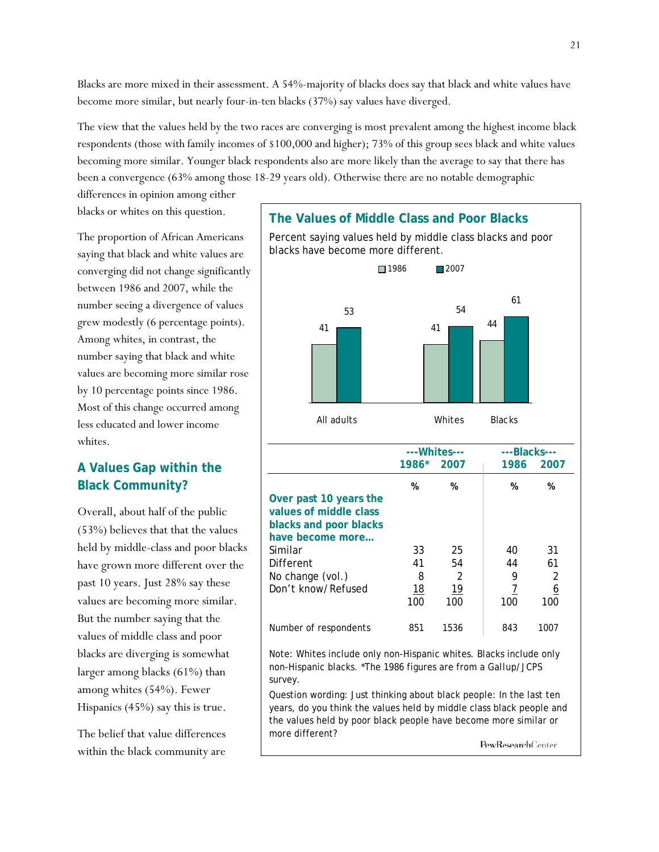Blacks are more mixed in their assessment. A 54%-majority of blacks does say that black and white values have become more similar, but nearly four-in-ten blacks (37%) say values have diverged.

The view that the values held by the two races are converging is most prevalent among the highest income black respondents (those with family incomes of \$100,000 and higher); 73% of this group sees black and white values becoming more similar. Younger black respondents also are more likely than the average to say that there has been a convergence (63% among those 18-29 years old). Otherwise there are no notable demographic

differences in opinion among either blacks or whites on this question.

The proportion of African Americans saying that black and white values are converging did not change significantly between 1986 and 2007, while the number seeing a divergence of values grew modestly (6 percentage points). Among whites, in contrast, the number saying that black and white values are becoming more similar rose by 10 percentage points since 1986. Most of this change occurred among less educated and lower income whites.

# **A Values Gap within the Black Community?**

Overall, about half of the public (53%) believes that that the values held by middle-class and poor blacks have grown more different over the past 10 years. Just 28% say these values are becoming more similar. But the number saying that the values of middle class and poor blacks are diverging is somewhat larger among blacks (61%) than among whites (54%). Fewer Hispanics (45%) say this is true.

The belief that value differences within the black community are

Percent saying values held by middle class blacks and poor blacks have become more different.

**The Values of Middle Class and Poor Blacks** 



Note: Whites include only non-Hispanic whites. Blacks include only non-Hispanic blacks. \*The 1986 figures are from a *Gallup*/JCPS survey.

Question wording: Just thinking about black people: In the last ten years, do you think the values held by middle class black people and the values held by poor black people have become more similar or more different?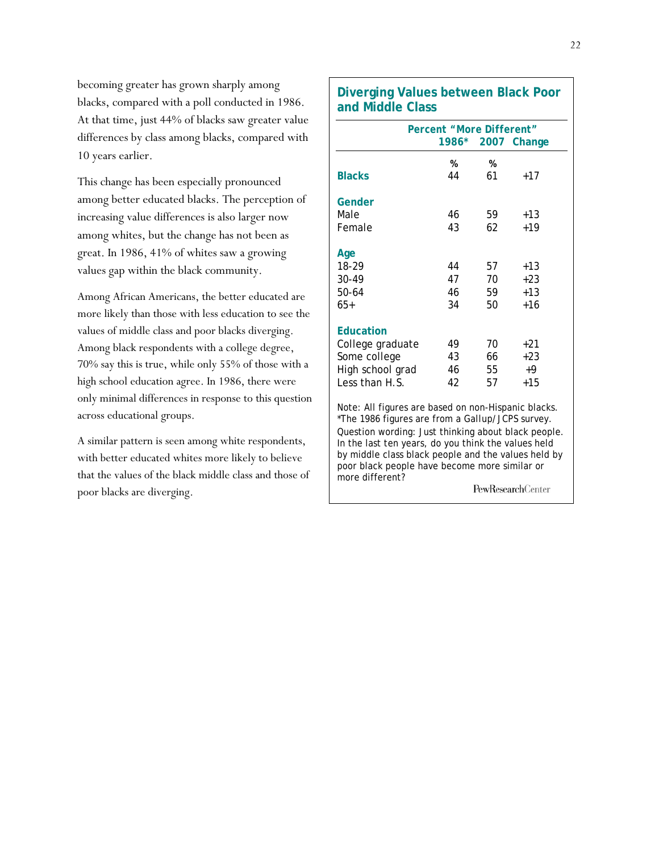becoming greater has grown sharply among blacks, compared with a poll conducted in 1986. At that time, just 44% of blacks saw greater value differences by class among blacks, compared with 10 years earlier.

This change has been especially pronounced among better educated blacks. The perception of increasing value differences is also larger now among whites, but the change has not been as great. In 1986, 41% of whites saw a growing values gap within the black community.

Among African Americans, the better educated are more likely than those with less education to see the values of middle class and poor blacks diverging. Among black respondents with a college degree, 70% say this is true, while only 55% of those with a high school education agree. In 1986, there were only minimal differences in response to this question across educational groups.

A similar pattern is seen among white respondents, with better educated whites more likely to believe that the values of the black middle class and those of poor blacks are diverging.

#### **Diverging Values between Black Poor and Middle Class**

| <b>Percent "More Different"</b><br>1986* 2007 Change |    |    |       |  |  |
|------------------------------------------------------|----|----|-------|--|--|
|                                                      |    |    |       |  |  |
|                                                      | %  | %  |       |  |  |
| <b>Blacks</b>                                        | 44 | 61 | +17   |  |  |
| Gender                                               |    |    |       |  |  |
| Male                                                 | 46 | 59 | +13   |  |  |
| Female                                               | 43 | 62 | $+19$ |  |  |
| Age                                                  |    |    |       |  |  |
| 18-29                                                | 44 | 57 | $+13$ |  |  |
| 30-49                                                | 47 | 70 | $+23$ |  |  |
| 50-64                                                | 46 | 59 | $+13$ |  |  |
| 65+                                                  | 34 | 50 | +16   |  |  |
| <b>Education</b>                                     |    |    |       |  |  |
| College graduate                                     | 49 | 70 | $+21$ |  |  |
| Some college                                         | 43 | 66 | $+23$ |  |  |
| High school grad                                     | 46 | 55 | +9    |  |  |
| Less than H.S.                                       | 42 | 57 | $+15$ |  |  |
| Noto: All figures are besed on non Hispania blooks   |    |    |       |  |  |

Note: All figures are based on non-Hispanic blacks. \*The 1986 figures are from a *Gallup*/JCPS survey. Question wording: Just thinking about black people. In the last ten years, do you think the values held by middle class black people and the values held by poor black people have become more similar or more different? **PewResearchCenter**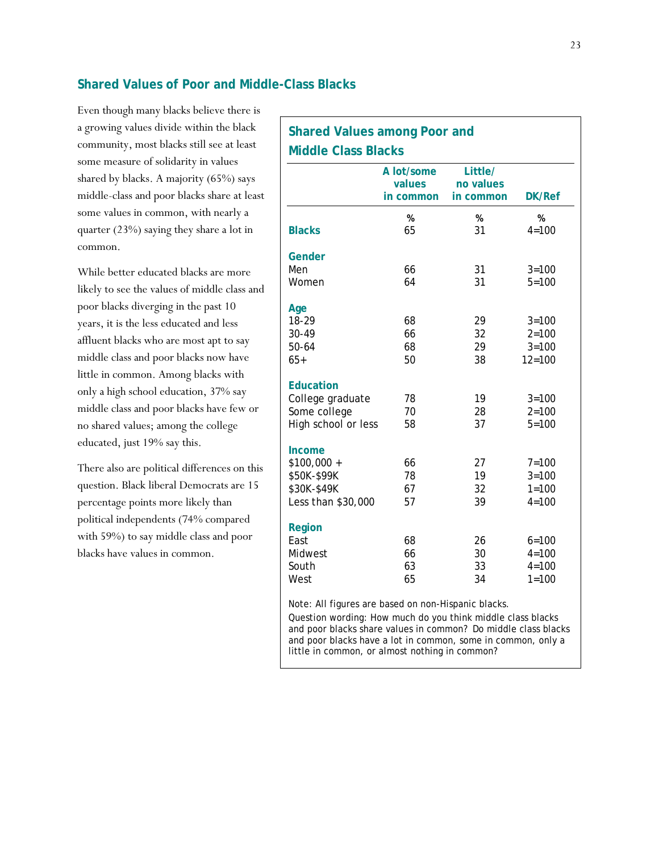#### **Shared Values of Poor and Middle-Class Blacks**

Even though many blacks believe there is a growing values divide within the black community, most blacks still see at least some measure of solidarity in values shared by blacks. A majority (65%) says middle-class and poor blacks share at least some values in common, with nearly a quarter (23%) saying they share a lot in common.

While better educated blacks are more likely to see the values of middle class and poor blacks diverging in the past 10 years, it is the less educated and less affluent blacks who are most apt to say middle class and poor blacks now have little in common. Among blacks with only a high school education, 37% say middle class and poor blacks have few or no shared values; among the college educated, just 19% say this.

There also are political differences on this question. Black liberal Democrats are 15 percentage points more likely than political independents (74% compared with 59%) to say middle class and poor blacks have values in common.

| <b>Shared Values among Poor and</b> |                                   |                                   |                |  |  |
|-------------------------------------|-----------------------------------|-----------------------------------|----------------|--|--|
| <b>Middle Class Blacks</b>          |                                   |                                   |                |  |  |
|                                     | A lot/some<br>values<br>in common | Little/<br>no values<br>in common | <b>DK/Ref</b>  |  |  |
| <b>Blacks</b>                       | %<br>65                           | %<br>31                           | %<br>$4 = 100$ |  |  |
| Gender                              |                                   |                                   |                |  |  |
| Men                                 | 66                                | 31                                | $3 = 100$      |  |  |
| Women                               | 64                                | 31                                | $5 = 100$      |  |  |
| Age                                 |                                   |                                   |                |  |  |
| 18-29                               | 68                                | 29                                | $3 = 100$      |  |  |
| 30-49                               | 66                                | 32                                | $2 = 100$      |  |  |
| $50 - 64$                           | 68                                | 29                                | $3 = 100$      |  |  |
| $65+$                               | 50                                | 38                                | $12 = 100$     |  |  |
| <b>Education</b>                    |                                   |                                   |                |  |  |
| College graduate                    | 78                                | 19                                | $3 = 100$      |  |  |
| Some college                        | 70                                | 28                                | $2 = 100$      |  |  |
| High school or less                 | 58                                | 37                                | $5 = 100$      |  |  |
| Income                              |                                   |                                   |                |  |  |
| $$100,000 +$                        | 66                                | 27                                | $7 = 100$      |  |  |
| \$50K-\$99K                         | 78                                | 19                                | $3 = 100$      |  |  |
| \$30K-\$49K                         | 67                                | 32                                | $1 = 100$      |  |  |
| Less than \$30,000                  | 57                                | 39                                | $4 = 100$      |  |  |
| Region                              |                                   |                                   |                |  |  |
| East                                | 68                                | 26                                | $6 = 100$      |  |  |
| Midwest                             | 66                                | 30                                | $4 = 100$      |  |  |
| South                               | 63                                | 33                                | $4 = 100$      |  |  |
| West                                | 65                                | 34                                | $1 = 100$      |  |  |

Note: All figures are based on non-Hispanic blacks.

Question wording: How much do you think middle class blacks and poor blacks share values in common? Do middle class blacks and poor blacks have a lot in common, some in common, only a little in common, or almost nothing in common?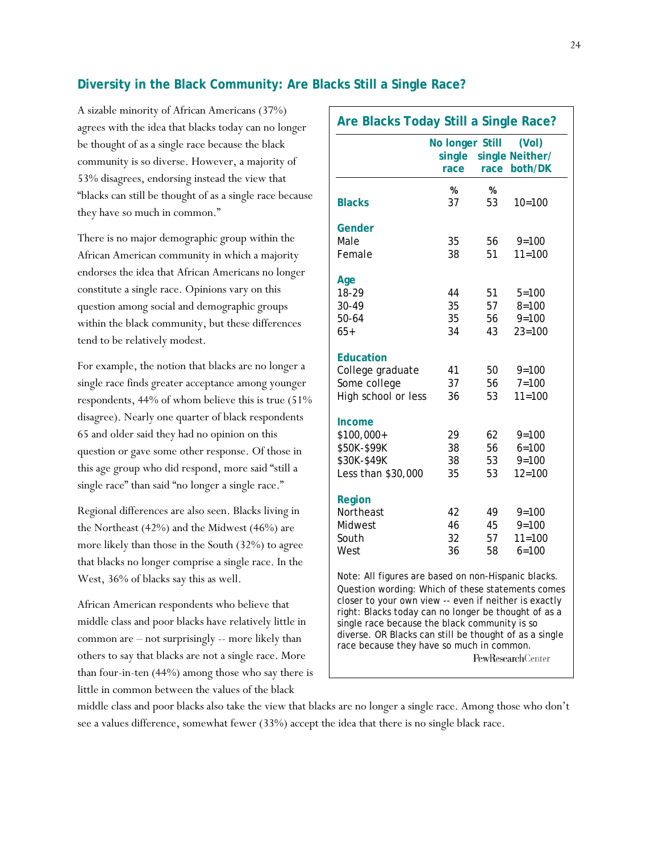#### **Diversity in the Black Community: Are Blacks Still a Single Race?**

A sizable minority of African Americans (37%) agrees with the idea that blacks today can no longer be thought of as a single race because the black community is so diverse. However, a majority of 53% disagrees, endorsing instead the view that "blacks can still be thought of as a single race because they have so much in common."

There is no major demographic group within the African American community in which a majority endorses the idea that African Americans no longer constitute a single race. Opinions vary on this question among social and demographic groups within the black community, but these differences tend to be relatively modest.

For example, the notion that blacks are no longer a single race finds greater acceptance among younger respondents, 44% of whom believe this is true (51% disagree). Nearly one quarter of black respondents 65 and older said they had no opinion on this question or gave some other response. Of those in this age group who did respond, more said "still a single race" than said "no longer a single race."

Regional differences are also seen. Blacks living in the Northeast (42%) and the Midwest (46%) are more likely than those in the South (32%) to agree that blacks no longer comprise a single race. In the West, 36% of blacks say this as well.

African American respondents who believe that middle class and poor blacks have relatively little in common are – not surprisingly -- more likely than others to say that blacks are not a single race. More than four-in-ten (44%) among those who say there is little in common between the values of the black

| Are Blacks Today Still a Single Race?                                                                                                                                                                                                                                                                                                                                                                         |                                   |          |                                     |  |  |
|---------------------------------------------------------------------------------------------------------------------------------------------------------------------------------------------------------------------------------------------------------------------------------------------------------------------------------------------------------------------------------------------------------------|-----------------------------------|----------|-------------------------------------|--|--|
|                                                                                                                                                                                                                                                                                                                                                                                                               | No longer Still<br>single<br>race | race     | (Vol)<br>single Neither/<br>both/DK |  |  |
| <b>Blacks</b>                                                                                                                                                                                                                                                                                                                                                                                                 | %<br>37                           | %<br>53  | $10=100$                            |  |  |
| Gender                                                                                                                                                                                                                                                                                                                                                                                                        |                                   |          |                                     |  |  |
| Male<br>Female                                                                                                                                                                                                                                                                                                                                                                                                | 35<br>38                          | 56<br>51 | $9 = 100$<br>$11 = 100$             |  |  |
| Age                                                                                                                                                                                                                                                                                                                                                                                                           |                                   |          |                                     |  |  |
| 18-29                                                                                                                                                                                                                                                                                                                                                                                                         | 44                                | 51       | $5 = 100$                           |  |  |
| 30-49<br>$50 - 64$                                                                                                                                                                                                                                                                                                                                                                                            | 35<br>35                          | 57       | $8 = 100$<br>$9 = 100$              |  |  |
| $65+$                                                                                                                                                                                                                                                                                                                                                                                                         | 34                                | 56<br>43 | $23 = 100$                          |  |  |
| Education                                                                                                                                                                                                                                                                                                                                                                                                     |                                   |          |                                     |  |  |
| College graduate                                                                                                                                                                                                                                                                                                                                                                                              | 41                                | 50       | $9 = 100$                           |  |  |
| Some college<br>High school or less                                                                                                                                                                                                                                                                                                                                                                           | 37<br>36                          | 56<br>53 | $7 = 100$<br>$11 = 100$             |  |  |
|                                                                                                                                                                                                                                                                                                                                                                                                               |                                   |          |                                     |  |  |
| Income                                                                                                                                                                                                                                                                                                                                                                                                        |                                   |          |                                     |  |  |
| \$100,000+<br>\$50K-\$99K                                                                                                                                                                                                                                                                                                                                                                                     | 29<br>38                          | 62<br>56 | $9 = 100$<br>$6 = 100$              |  |  |
| \$30K-\$49K                                                                                                                                                                                                                                                                                                                                                                                                   | 38                                | 53       | $9 = 100$                           |  |  |
| Less than \$30,000                                                                                                                                                                                                                                                                                                                                                                                            | 35                                | 53       | $12 = 100$                          |  |  |
| Region                                                                                                                                                                                                                                                                                                                                                                                                        |                                   |          |                                     |  |  |
| Northeast                                                                                                                                                                                                                                                                                                                                                                                                     | 42                                | 49       | $9 = 100$                           |  |  |
| Midwest                                                                                                                                                                                                                                                                                                                                                                                                       | 46                                | 45       | $9 = 100$                           |  |  |
| South                                                                                                                                                                                                                                                                                                                                                                                                         | 32                                | 57       | $11 = 100$                          |  |  |
| West                                                                                                                                                                                                                                                                                                                                                                                                          | 36                                | 58       | $6 = 100$                           |  |  |
| Note: All figures are based on non-Hispanic blacks.<br>Question wording: Which of these statements comes<br>closer to your own view -- even if neither is exactly<br>right: Blacks today can no longer be thought of as a<br>single race because the black community is so<br>diverse. OR Blacks can still be thought of as a single<br>race because they have so much in common.<br><b>PewResearchCenter</b> |                                   |          |                                     |  |  |

middle class and poor blacks also take the view that blacks are no longer a single race. Among those who don't see a values difference, somewhat fewer (33%) accept the idea that there is no single black race.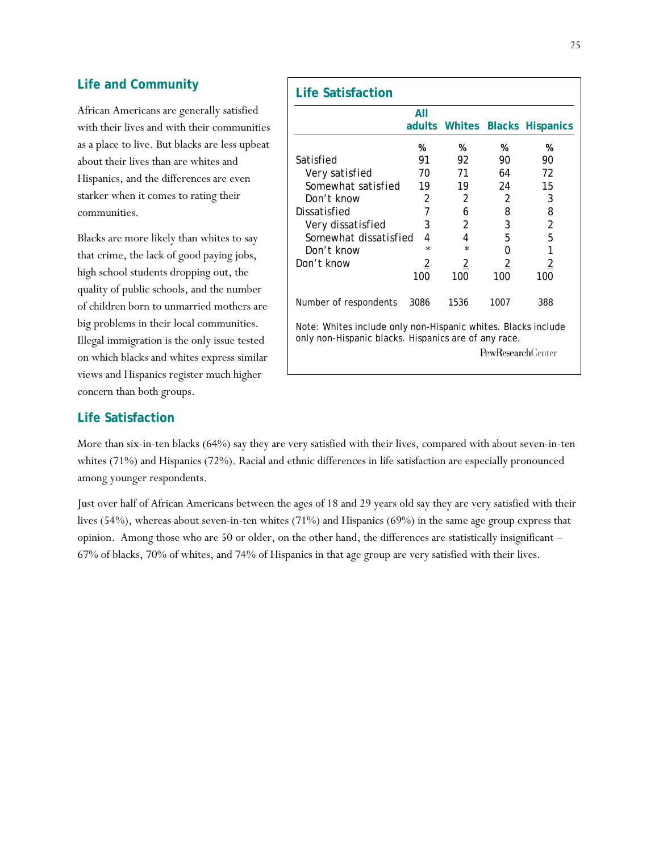#### **Life and Community**

African Americans are generally satisfied with their lives and with their communities as a place to live. But blacks are less upbeat about their lives than are whites and Hispanics, and the differences are even starker when it comes to rating their communities.

Blacks are more likely than whites to say that crime, the lack of good paying jobs, high school students dropping out, the quality of public schools, and the number of children born to unmarried mothers are big problems in their local communities. Illegal immigration is the only issue tested on which blacks and whites express similar views and Hispanics register much higher concern than both groups.

# **Life Satisfaction** *All* **All adults Whites Blacks Hispanics % % % %**  Satisfied 91 92 90 90  *Very satisfied 70 71 64 72 Somewhat satisfied 19 19 24 15 Don't know 2 2 2 3*  Dissatisfied 7 6 8 8  *Very dissatisfied 3 2 3 2 Somewhat dissatisfied 4 4 5 5 Don't know \* \* 0 1*  Don't know 2 2 2 2 100 100 100 100 Number of respondents 3086 1536 1007 388 Note: Whites include only non-Hispanic whites. Blacks include only non-Hispanic blacks. Hispanics are of any race. PewResearchCenter

#### **Life Satisfaction**

More than six-in-ten blacks (64%) say they are very satisfied with their lives, compared with about seven-in-ten whites (71%) and Hispanics (72%). Racial and ethnic differences in life satisfaction are especially pronounced among younger respondents.

Just over half of African Americans between the ages of 18 and 29 years old say they are very satisfied with their lives (54%), whereas about seven-in-ten whites (71%) and Hispanics (69%) in the same age group express that opinion. Among those who are 50 or older, on the other hand, the differences are statistically insignificant – 67% of blacks, 70% of whites, and 74% of Hispanics in that age group are very satisfied with their lives.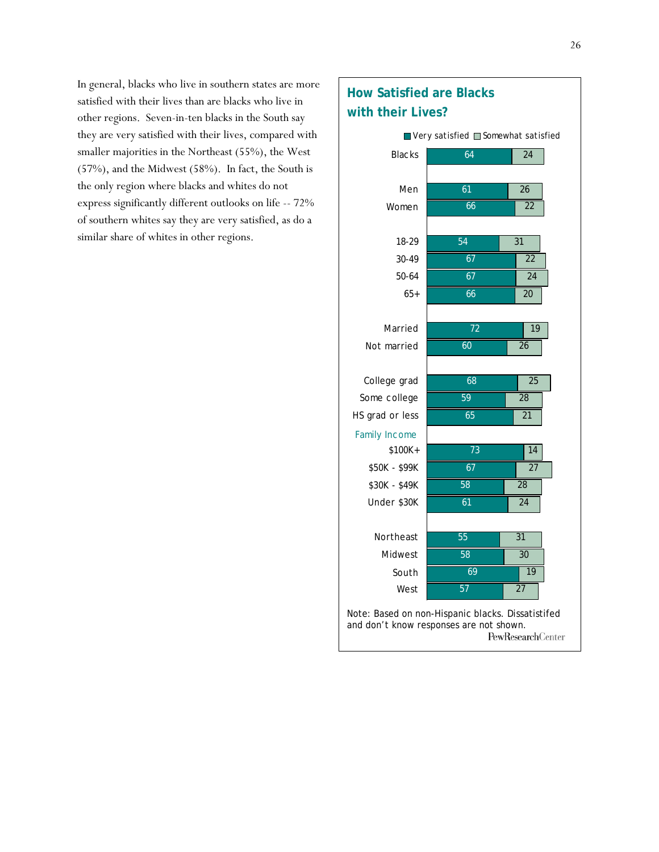In general, blacks who live in southern states are more satisfied with their lives than are blacks who live in other regions. Seven-in-ten blacks in the South say they are very satisfied with their lives, compared with smaller majorities in the Northeast (55%), the West (57%), and the Midwest (58%). In fact, the South is the only region where blacks and whites do not express significantly different outlooks on life -- 72% of southern whites say they are very satisfied, as do a similar share of whites in other regions.

# **How Satisfied are Blacks with their Lives?**

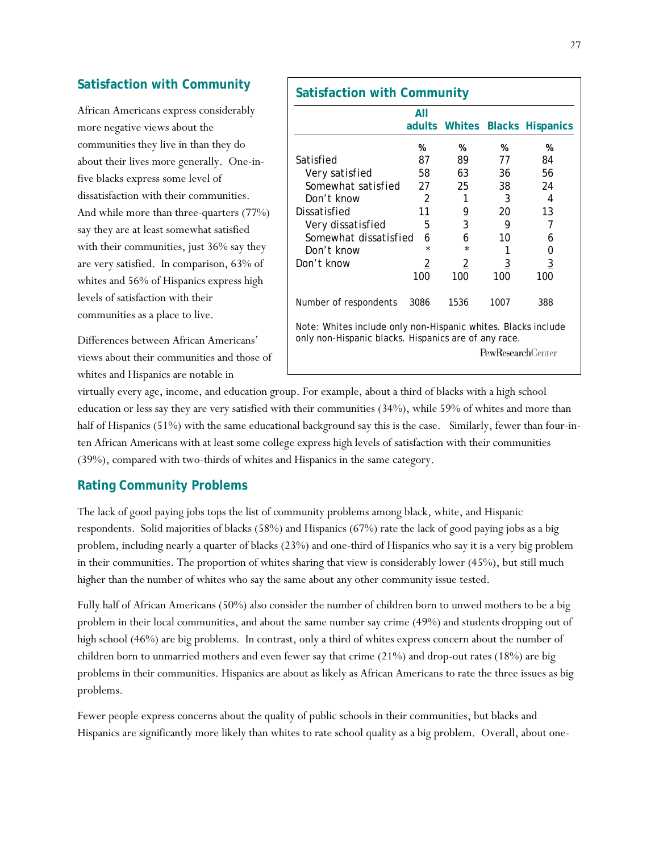#### **Satisfaction with Community**

African Americans express considerably more negative views about the communities they live in than they do about their lives more generally. One-infive blacks express some level of dissatisfaction with their communities. And while more than three-quarters (77%) say they are at least somewhat satisfied with their communities, just 36% say they are very satisfied. In comparison, 63% of whites and 56% of Hispanics express high levels of satisfaction with their communities as a place to live.

Differences between African Americans' views about their communities and those of whites and Hispanics are notable in

|                                                                                                                       | All            |                |                          | adults Whites Blacks Hispanics |
|-----------------------------------------------------------------------------------------------------------------------|----------------|----------------|--------------------------|--------------------------------|
|                                                                                                                       | %              | %              | %                        | %                              |
| Satisfied                                                                                                             | 87             | 89             | 77                       | 84                             |
| Very satisfied                                                                                                        | 58             | 63             | 36                       | 56                             |
| Somewhat satisfied 27                                                                                                 |                | 25             | 38                       | 24                             |
| Don't know                                                                                                            | 2              | 1              | 3                        | 4                              |
| Dissatisfied                                                                                                          | 11             | 9              | 20                       | 13                             |
| Very dissatisfied                                                                                                     | 5              | 3              | 9                        | 7                              |
| Somewhat dissatisfied                                                                                                 | 6              | 6              | 10                       | h                              |
| Don't know                                                                                                            | $\star$        |                |                          | Ω                              |
| Don't know                                                                                                            | $\overline{2}$ | $\overline{2}$ | $\overline{3}$           | $\overline{3}$                 |
|                                                                                                                       | 100            | 100            | 100                      | 100                            |
| Number of respondents                                                                                                 | 3086           | 1536           | 1007                     | 388                            |
| Note: Whites include only non-Hispanic whites. Blacks include<br>only non-Hispanic blacks. Hispanics are of any race. |                |                | <b>PewResearchCenter</b> |                                |

virtually every age, income, and education group. For example, about a third of blacks with a high school education or less say they are very satisfied with their communities (34%), while 59% of whites and more than half of Hispanics (51%) with the same educational background say this is the case. Similarly, fewer than four-inten African Americans with at least some college express high levels of satisfaction with their communities (39%), compared with two-thirds of whites and Hispanics in the same category.

#### **Rating Community Problems**

The lack of good paying jobs tops the list of community problems among black, white, and Hispanic respondents. Solid majorities of blacks (58%) and Hispanics (67%) rate the lack of good paying jobs as a big problem, including nearly a quarter of blacks (23%) and one-third of Hispanics who say it is a very big problem in their communities. The proportion of whites sharing that view is considerably lower (45%), but still much higher than the number of whites who say the same about any other community issue tested.

Fully half of African Americans (50%) also consider the number of children born to unwed mothers to be a big problem in their local communities, and about the same number say crime (49%) and students dropping out of high school (46%) are big problems. In contrast, only a third of whites express concern about the number of children born to unmarried mothers and even fewer say that crime (21%) and drop-out rates (18%) are big problems in their communities. Hispanics are about as likely as African Americans to rate the three issues as big problems.

Fewer people express concerns about the quality of public schools in their communities, but blacks and Hispanics are significantly more likely than whites to rate school quality as a big problem. Overall, about one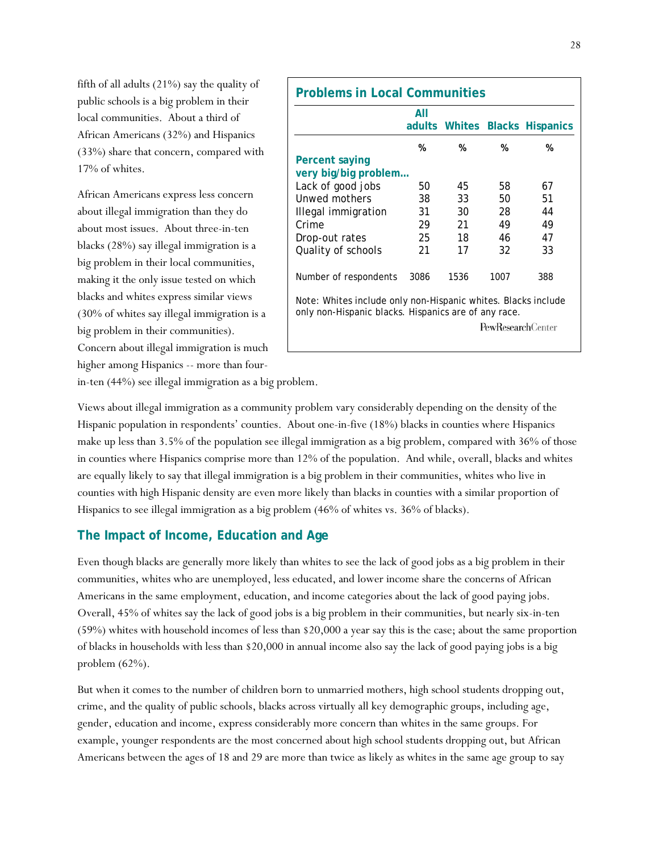fifth of all adults (21%) say the quality of public schools is a big problem in their local communities. About a third of African Americans (32%) and Hispanics (33%) share that concern, compared with 17% of whites.

African Americans express less concern about illegal immigration than they do about most issues. About three-in-ten blacks (28%) say illegal immigration is a big problem in their local communities, making it the only issue tested on which blacks and whites express similar views (30% of whites say illegal immigration is a big problem in their communities). Concern about illegal immigration is much higher among Hispanics -- more than four-

| All                                                                                                                   |      |      |                          |                                |  |  |
|-----------------------------------------------------------------------------------------------------------------------|------|------|--------------------------|--------------------------------|--|--|
|                                                                                                                       |      |      |                          | adults Whites Blacks Hispanics |  |  |
|                                                                                                                       | %    | %    | %                        | %                              |  |  |
| Percent saying                                                                                                        |      |      |                          |                                |  |  |
| very big/big problem                                                                                                  |      |      |                          |                                |  |  |
| Lack of good jobs                                                                                                     | 50   | 45   | 58                       | 67                             |  |  |
| Unwed mothers                                                                                                         | 38   | 33   | 50                       | 51                             |  |  |
| Illegal immigration                                                                                                   | 31   | 30   | 28                       | 44                             |  |  |
| Crime                                                                                                                 | 29   | 21   | 49                       | 49                             |  |  |
| Drop-out rates                                                                                                        | 25   | 18   | 46                       | 47                             |  |  |
| Quality of schools                                                                                                    | 21   | 17   | 32                       | 33                             |  |  |
| Number of respondents                                                                                                 | 3086 | 1536 | 1007                     | 388                            |  |  |
| Note: Whites include only non-Hispanic whites. Blacks include<br>only non-Hispanic blacks. Hispanics are of any race. |      |      |                          |                                |  |  |
|                                                                                                                       |      |      | <b>PewResearchCenter</b> |                                |  |  |

in-ten (44%) see illegal immigration as a big problem.

Views about illegal immigration as a community problem vary considerably depending on the density of the Hispanic population in respondents' counties. About one-in-five (18%) blacks in counties where Hispanics make up less than 3.5% of the population see illegal immigration as a big problem, compared with 36% of those in counties where Hispanics comprise more than 12% of the population. And while, overall, blacks and whites are equally likely to say that illegal immigration is a big problem in their communities, whites who live in counties with high Hispanic density are even more likely than blacks in counties with a similar proportion of Hispanics to see illegal immigration as a big problem (46% of whites vs. 36% of blacks).

#### **The Impact of Income, Education and Age**

Even though blacks are generally more likely than whites to see the lack of good jobs as a big problem in their communities, whites who are unemployed, less educated, and lower income share the concerns of African Americans in the same employment, education, and income categories about the lack of good paying jobs. Overall, 45% of whites say the lack of good jobs is a big problem in their communities, but nearly six-in-ten (59%) whites with household incomes of less than \$20,000 a year say this is the case; about the same proportion of blacks in households with less than \$20,000 in annual income also say the lack of good paying jobs is a big problem (62%).

But when it comes to the number of children born to unmarried mothers, high school students dropping out, crime, and the quality of public schools, blacks across virtually all key demographic groups, including age, gender, education and income, express considerably more concern than whites in the same groups. For example, younger respondents are the most concerned about high school students dropping out, but African Americans between the ages of 18 and 29 are more than twice as likely as whites in the same age group to say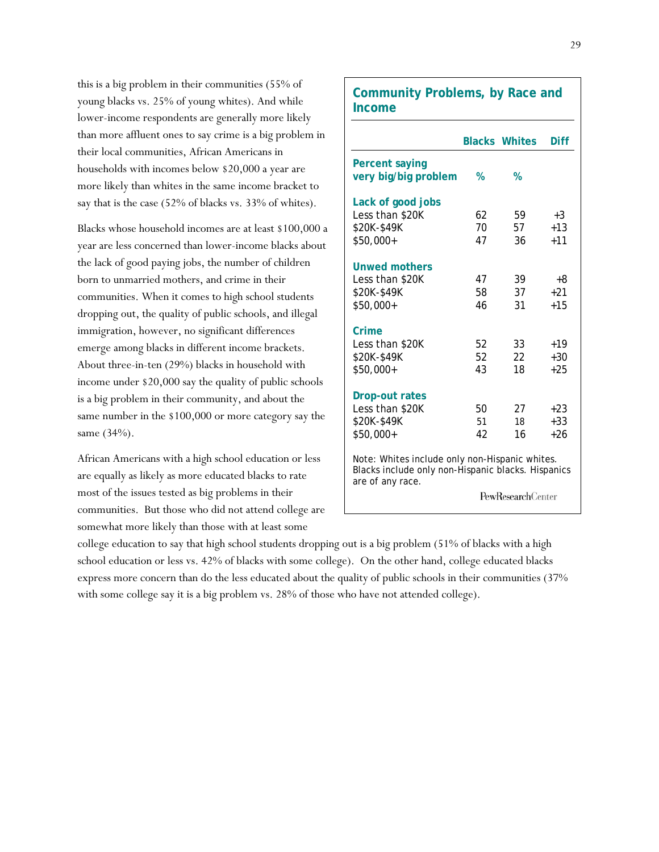this is a big problem in their communities (55% of young blacks vs. 25% of young whites). And while lower-income respondents are generally more likely than more affluent ones to say crime is a big problem in their local communities, African Americans in households with incomes below \$20,000 a year are more likely than whites in the same income bracket to say that is the case (52% of blacks vs. 33% of whites).

Blacks whose household incomes are at least \$100,000 a year are less concerned than lower-income blacks about the lack of good paying jobs, the number of children born to unmarried mothers, and crime in their communities. When it comes to high school students dropping out, the quality of public schools, and illegal immigration, however, no significant differences emerge among blacks in different income brackets. About three-in-ten (29%) blacks in household with income under \$20,000 say the quality of public schools is a big problem in their community, and about the same number in the \$100,000 or more category say the same (34%).

African Americans with a high school education or less are equally as likely as more educated blacks to rate most of the issues tested as big problems in their communities. But those who did not attend college are somewhat more likely than those with at least some

### **Community Problems, by Race and Income**

|                                                                                                                                                      |    | <b>Blacks Whites</b> | Diff   |  |  |
|------------------------------------------------------------------------------------------------------------------------------------------------------|----|----------------------|--------|--|--|
| <b>Percent saying</b><br>very big/big problem                                                                                                        | %  | %                    |        |  |  |
| Lack of good jobs                                                                                                                                    |    |                      |        |  |  |
| Less than \$20K                                                                                                                                      | 62 | 59                   | $+3$   |  |  |
| \$20K-\$49K                                                                                                                                          | 70 | 57                   | $+1.3$ |  |  |
| $$50,000+$                                                                                                                                           | 47 | 36                   | $+11$  |  |  |
| <b>Unwed mothers</b>                                                                                                                                 |    |                      |        |  |  |
| Less than \$20K                                                                                                                                      | 47 | 39                   | +8     |  |  |
| \$20K-\$49K                                                                                                                                          | 58 | 37                   | $+21$  |  |  |
| $$50,000+$                                                                                                                                           | 46 | 31                   | $+1.5$ |  |  |
| Crime                                                                                                                                                |    |                      |        |  |  |
| Less than \$20K                                                                                                                                      | 52 | 33                   | $+19$  |  |  |
| \$20K-\$49K                                                                                                                                          | 52 | 22                   | $+30$  |  |  |
| \$50,000+                                                                                                                                            | 43 | 18                   | $+25$  |  |  |
| <b>Drop-out rates</b>                                                                                                                                |    |                      |        |  |  |
| Less than \$20K                                                                                                                                      | 50 | 27                   | $+2.3$ |  |  |
| \$20K-\$49K                                                                                                                                          | 51 | 18                   | $+33$  |  |  |
| $$50,000+$                                                                                                                                           | 42 | 16                   | $+26$  |  |  |
| Note: Whites include only non-Hispanic whites.<br>Blacks include only non-Hispanic blacks. Hispanics<br>are of any race.<br><b>PewResearchCenter</b> |    |                      |        |  |  |

college education to say that high school students dropping out is a big problem (51% of blacks with a high school education or less vs. 42% of blacks with some college). On the other hand, college educated blacks express more concern than do the less educated about the quality of public schools in their communities (37% with some college say it is a big problem vs. 28% of those who have not attended college).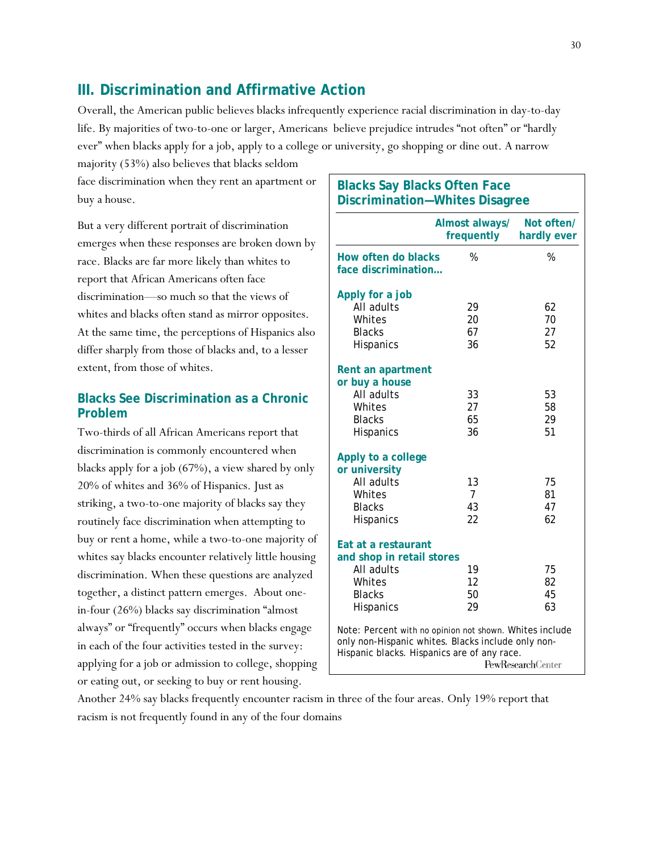# **III. Discrimination and Affirmative Action**

Overall, the American public believes blacks infrequently experience racial discrimination in day-to-day life. By majorities of two-to-one or larger, Americans believe prejudice intrudes "not often" or "hardly ever" when blacks apply for a job, apply to a college or university, go shopping or dine out. A narrow

majority (53%) also believes that blacks seldom face discrimination when they rent an apartment or buy a house.

But a very different portrait of discrimination emerges when these responses are broken down by race. Blacks are far more likely than whites to report that African Americans often face discrimination—so much so that the views of whites and blacks often stand as mirror opposites. At the same time, the perceptions of Hispanics also differ sharply from those of blacks and, to a lesser extent, from those of whites.

#### **Blacks See Discrimination as a Chronic Problem**

Two-thirds of all African Americans report that discrimination is commonly encountered when blacks apply for a job (67%), a view shared by only 20% of whites and 36% of Hispanics. Just as striking, a two-to-one majority of blacks say they routinely face discrimination when attempting to buy or rent a home, while a two-to-one majority of whites say blacks encounter relatively little housing discrimination. When these questions are analyzed together, a distinct pattern emerges. About onein-four (26%) blacks say discrimination "almost always" or "frequently" occurs when blacks engage in each of the four activities tested in the survey: applying for a job or admission to college, shopping or eating out, or seeking to buy or rent housing.

# **Blacks Say Blacks Often Face Discrimination—Whites Disagree Almost always/ Not often/ frequently hardly ever How often do blacks** % % **face discrimination…**

| Apply for a job                                                                                               |                          |          |  |  |  |
|---------------------------------------------------------------------------------------------------------------|--------------------------|----------|--|--|--|
| All adults                                                                                                    | 29                       | 62       |  |  |  |
| Whites                                                                                                        | 20                       | 70       |  |  |  |
| <b>Blacks</b><br><b>Hispanics</b>                                                                             | 67<br>36                 | 27<br>52 |  |  |  |
|                                                                                                               |                          |          |  |  |  |
| Rent an apartment                                                                                             |                          |          |  |  |  |
| or buy a house                                                                                                |                          |          |  |  |  |
| All adults                                                                                                    | 33                       | 53       |  |  |  |
| Whites                                                                                                        | 27                       | 58       |  |  |  |
| <b>Blacks</b>                                                                                                 | 65                       | 29       |  |  |  |
| <b>Hispanics</b>                                                                                              | 36                       | 51       |  |  |  |
|                                                                                                               |                          |          |  |  |  |
| Apply to a college<br>or university                                                                           |                          |          |  |  |  |
| All adults                                                                                                    | 13                       | 75       |  |  |  |
| Whites                                                                                                        | $\overline{7}$           | 81       |  |  |  |
| <b>Blacks</b>                                                                                                 | 43                       | 47       |  |  |  |
| <b>Hispanics</b>                                                                                              | 22                       | 62       |  |  |  |
| Eat at a restaurant                                                                                           |                          |          |  |  |  |
| and shop in retail stores                                                                                     |                          |          |  |  |  |
| All adults                                                                                                    | 19                       | 75       |  |  |  |
| Whites                                                                                                        | 12                       | 82       |  |  |  |
| <b>Blacks</b>                                                                                                 | 50                       | 45       |  |  |  |
| Hispanics                                                                                                     | 29                       | 63       |  |  |  |
| Note: Percent with no opinion not shown. Whites include<br>only non-Hispanic whites. Blacks include only non- |                          |          |  |  |  |
| Hispanic blacks. Hispanics are of any race.                                                                   | <b>PewResearchCenter</b> |          |  |  |  |

Another 24% say blacks frequently encounter racism in three of the four areas. Only 19% report that racism is not frequently found in any of the four domains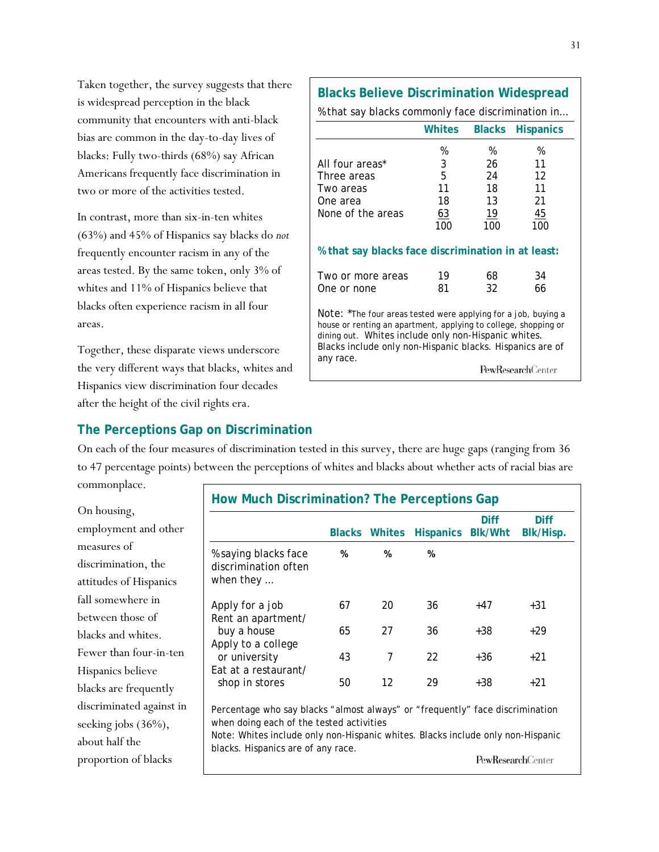Taken together, the survey suggests that there is widespread perception in the black community that encounters with anti-black bias are common in the day-to-day lives of blacks: Fully two-thirds (68%) say African Americans frequently face discrimination in two or more of the activities tested.

In contrast, more than six-in-ten whites (63%) and 45% of Hispanics say blacks do *not* frequently encounter racism in any of the areas tested. By the same token, only 3% of whites and 11% of Hispanics believe that blacks often experience racism in all four areas.

Together, these disparate views underscore the very different ways that blacks, whites and Hispanics view discrimination four decades after the height of the civil rights era.

# % that say blacks commonly face discrimination in…  **Whites Blacks Hispanics**  % % % All four areas<sup>\*</sup> 3 26 11 Three areas 5 24 12 Two areas **11** 18 11 One area 18 13 21 None of the areas  $\frac{63}{19}$   $\frac{19}{45}$  100 100 100 **% that say blacks face discrimination in at least:**  Two or more areas 19 68 34 One or none 81 32 66

**Blacks Believe Discrimination Widespread**

Note: \*The four areas tested were applying for a job, buying a house or renting an apartment, applying to college, shopping or dining out. Whites include only non-Hispanic whites. Blacks include only non-Hispanic blacks. Hispanics are of any race.

PewResearchCenter

### **The Perceptions Gap on Discrimination**

On each of the four measures of discrimination tested in this survey, there are huge gaps (ranging from 36 to 47 percentage points) between the perceptions of whites and blacks about whether acts of racial bias are commonplace.

On housing, employment and other measures of discrimination, the attitudes of Hispanics fall somewhere in between those of blacks and whites. Fewer than four-in-ten Hispanics believe blacks are frequently discriminated against in seeking jobs (36%), about half the proportion of blacks

|                                                                                                                           |    |                 | Blacks Whites Hispanics Blk/Wht | <b>Diff</b>              | <b>Diff</b><br>Blk/Hisp. |
|---------------------------------------------------------------------------------------------------------------------------|----|-----------------|---------------------------------|--------------------------|--------------------------|
| % saying blacks face<br>discrimination often<br>when they $\ldots$                                                        | %  | %               | %                               |                          |                          |
| Apply for a job<br>Rent an apartment/                                                                                     | 67 | 20              | 36                              | $+47$                    | $+31$                    |
| buy a house                                                                                                               | 65 | 27              | 36                              | $+38$                    | $+29$                    |
| Apply to a college                                                                                                        |    |                 |                                 |                          |                          |
| or university                                                                                                             | 43 | 7               | 22                              | +36                      | $+21$                    |
| Fat at a restaurant/<br>shop in stores                                                                                    | 50 | 12 <sup>2</sup> | 29                              | $+38$                    | $+21$                    |
| Percentage who say blacks "almost always" or "frequently" face discrimination<br>when doing each of the tested activities |    |                 |                                 |                          |                          |
| Note: Whites include only non-Hispanic whites. Blacks include only non-Hispanic<br>blacks. Hispanics are of any race.     |    |                 |                                 |                          |                          |
|                                                                                                                           |    |                 |                                 | <b>PewResearchCenter</b> |                          |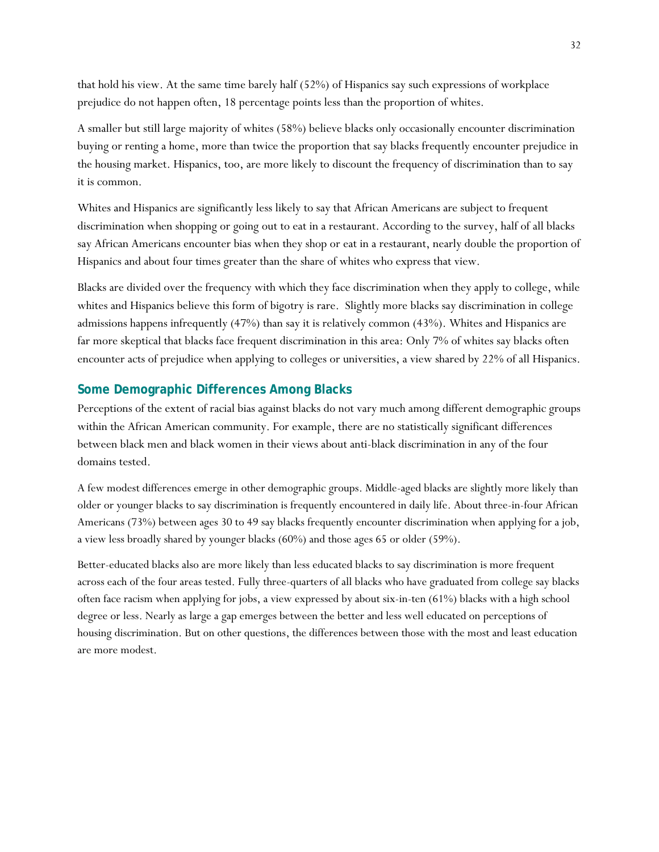that hold his view. At the same time barely half (52%) of Hispanics say such expressions of workplace prejudice do not happen often, 18 percentage points less than the proportion of whites.

A smaller but still large majority of whites (58%) believe blacks only occasionally encounter discrimination buying or renting a home, more than twice the proportion that say blacks frequently encounter prejudice in the housing market. Hispanics, too, are more likely to discount the frequency of discrimination than to say it is common.

Whites and Hispanics are significantly less likely to say that African Americans are subject to frequent discrimination when shopping or going out to eat in a restaurant. According to the survey, half of all blacks say African Americans encounter bias when they shop or eat in a restaurant, nearly double the proportion of Hispanics and about four times greater than the share of whites who express that view.

Blacks are divided over the frequency with which they face discrimination when they apply to college, while whites and Hispanics believe this form of bigotry is rare. Slightly more blacks say discrimination in college admissions happens infrequently (47%) than say it is relatively common (43%). Whites and Hispanics are far more skeptical that blacks face frequent discrimination in this area: Only 7% of whites say blacks often encounter acts of prejudice when applying to colleges or universities, a view shared by 22% of all Hispanics.

#### **Some Demographic Differences Among Blacks**

Perceptions of the extent of racial bias against blacks do not vary much among different demographic groups within the African American community. For example, there are no statistically significant differences between black men and black women in their views about anti-black discrimination in any of the four domains tested.

A few modest differences emerge in other demographic groups. Middle-aged blacks are slightly more likely than older or younger blacks to say discrimination is frequently encountered in daily life. About three-in-four African Americans (73%) between ages 30 to 49 say blacks frequently encounter discrimination when applying for a job, a view less broadly shared by younger blacks (60%) and those ages 65 or older (59%).

Better-educated blacks also are more likely than less educated blacks to say discrimination is more frequent across each of the four areas tested. Fully three-quarters of all blacks who have graduated from college say blacks often face racism when applying for jobs, a view expressed by about six-in-ten (61%) blacks with a high school degree or less. Nearly as large a gap emerges between the better and less well educated on perceptions of housing discrimination. But on other questions, the differences between those with the most and least education are more modest.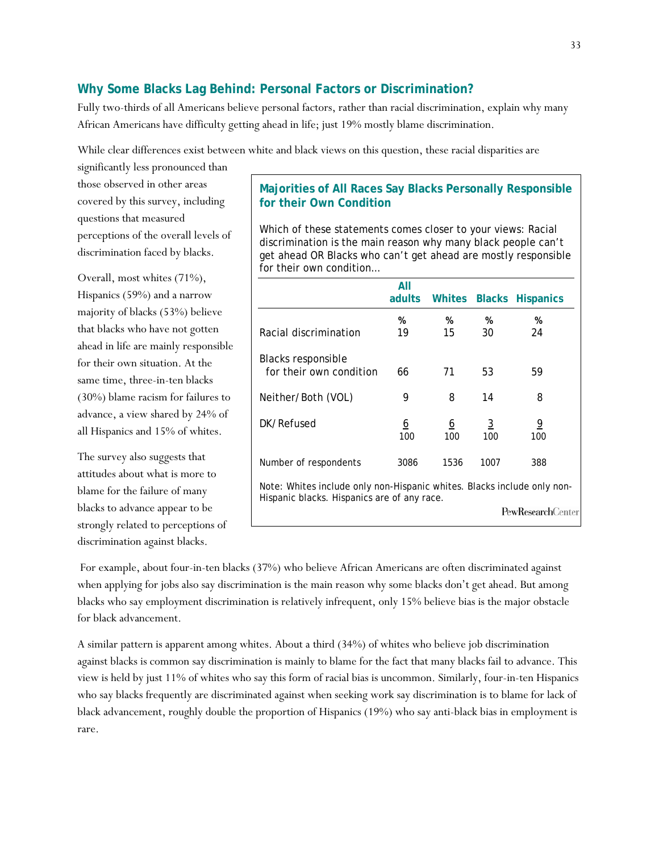#### **Why Some Blacks Lag Behind: Personal Factors or Discrimination?**

Fully two-thirds of all Americans believe personal factors, rather than racial discrimination, explain why many African Americans have difficulty getting ahead in life; just 19% mostly blame discrimination.

While clear differences exist between white and black views on this question, these racial disparities are

significantly less pronounced than those observed in other areas covered by this survey, including questions that measured perceptions of the overall levels of discrimination faced by blacks.

Overall, most whites (71%), Hispanics (59%) and a narrow majority of blacks (53%) believe that blacks who have not gotten ahead in life are mainly responsible for their own situation. At the same time, three-in-ten blacks (30%) blame racism for failures to advance, a view shared by 24% of all Hispanics and 15% of whites.

The survey also suggests that attitudes about what is more to blame for the failure of many blacks to advance appear to be strongly related to perceptions of discrimination against blacks.

#### **Majorities of All Races Say Blacks Personally Responsible for their Own Condition**

Which of these statements comes closer to your views: Racial discrimination is the main reason why many black people can't get ahead OR Blacks who can't get ahead are mostly responsible for their own condition…

|                                                                                                                        | All<br>adults   | Whites          | <b>Blacks</b>         | <b>Hispanics</b>          |  |
|------------------------------------------------------------------------------------------------------------------------|-----------------|-----------------|-----------------------|---------------------------|--|
|                                                                                                                        | %               | %               | %                     | %                         |  |
| Racial discrimination                                                                                                  | 19              | 15              | 30                    | 24                        |  |
| Blacks responsible<br>for their own condition                                                                          | 66              | 71              | 53                    | 59                        |  |
| Neither/Both (VOL)                                                                                                     | 9               | 8               | 14                    | 8                         |  |
| DK/Refused                                                                                                             | <u>6</u><br>100 | <u>6</u><br>100 | $\overline{3}$<br>100 | <u>9</u><br>100           |  |
| Number of respondents                                                                                                  | 3086            | 1536            | 1007                  | 388                       |  |
| Note: Whites include only non-Hispanic whites. Blacks include only non-<br>Hispanic blacks. Hispanics are of any race. |                 |                 |                       |                           |  |
|                                                                                                                        |                 |                 |                       | <b>PewResearch</b> Center |  |

 For example, about four-in-ten blacks (37%) who believe African Americans are often discriminated against when applying for jobs also say discrimination is the main reason why some blacks don't get ahead. But among blacks who say employment discrimination is relatively infrequent, only 15% believe bias is the major obstacle for black advancement.

A similar pattern is apparent among whites. About a third (34%) of whites who believe job discrimination against blacks is common say discrimination is mainly to blame for the fact that many blacks fail to advance. This view is held by just 11% of whites who say this form of racial bias is uncommon. Similarly, four-in-ten Hispanics who say blacks frequently are discriminated against when seeking work say discrimination is to blame for lack of black advancement, roughly double the proportion of Hispanics (19%) who say anti-black bias in employment is rare.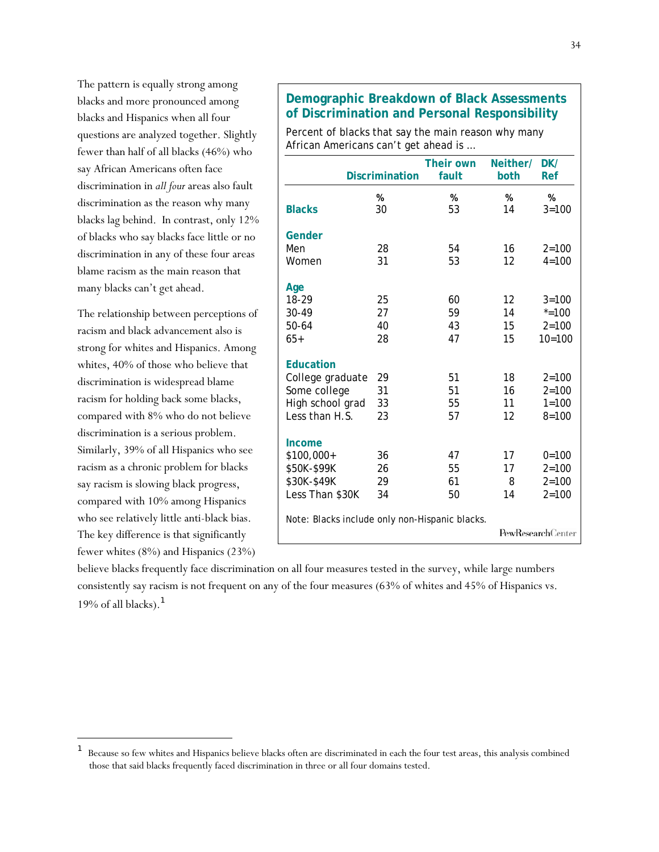The pattern is equally strong among blacks and more pronounced among blacks and Hispanics when all four questions are analyzed together. Slightly fewer than half of all blacks (46%) who say African Americans often face discrimination in *all four* areas also fault discrimination as the reason why many blacks lag behind. In contrast, only 12% of blacks who say blacks face little or no discrimination in any of these four areas blame racism as the main reason that many blacks can't get ahead.

The relationship between perceptions of racism and black advancement also is strong for whites and Hispanics. Among whites, 40% of those who believe that discrimination is widespread blame racism for holding back some blacks, compared with 8% who do not believe discrimination is a serious problem. Similarly, 39% of all Hispanics who see racism as a chronic problem for blacks say racism is slowing black progress, compared with 10% among Hispanics who see relatively little anti-black bias. The key difference is that significantly fewer whites (8%) and Hispanics (23%)

l

### **Demographic Breakdown of Black Assessments of Discrimination and Personal Responsibility**

Percent of blacks that say the main reason why many African Americans can't get ahead is …

|                                                | <b>Discrimination</b> | <b>Their own</b><br>fault | Neither/<br>both | DK/<br><b>Ref</b> |
|------------------------------------------------|-----------------------|---------------------------|------------------|-------------------|
| <b>Blacks</b>                                  | %<br>30               | %<br>53                   | %<br>14          | %<br>$3 = 100$    |
| Gender                                         |                       |                           |                  |                   |
| Men                                            | 28                    | 54                        | 16               | $2 = 100$         |
| Women                                          | 31                    | 53                        | 12               | $4 = 100$         |
| Age                                            |                       |                           |                  |                   |
| 18-29                                          | 25                    | 60                        | 12               | $3 = 100$         |
| 30-49                                          | 27                    | 59                        | 14               | $* = 100$         |
| 50-64                                          | 40                    | 43                        | 15               | $2 = 100$         |
| $65+$                                          | 28                    | 47                        | 15               | $10 = 100$        |
| <b>Education</b>                               |                       |                           |                  |                   |
| College graduate                               | 29                    | 51                        | 18               | $2 = 100$         |
| Some college                                   | 31                    | 51                        | 16               | $2 = 100$         |
| High school grad                               | 33                    | 55                        | 11               | $1 = 100$         |
| Less than H.S.                                 | 23                    | 57                        | 12               | $8 = 100$         |
| Income                                         |                       |                           |                  |                   |
| \$100,000+                                     | 36                    | 47                        | 17               | $0 = 100$         |
| \$50K-\$99K                                    | 26                    | 55                        | 17               | $2 = 100$         |
| \$30K-\$49K                                    | 29                    | 61                        | 8                | $2 = 100$         |
| Less Than \$30K                                | 34                    | 50                        | 14               | $2 = 100$         |
| Note: Blacks include only non-Hispanic blacks. |                       |                           |                  |                   |
|                                                |                       |                           |                  | PewResearchCenter |

believe blacks frequently face discrimination on all four measures tested in the survey, while large numbers consistently say racism is not frequent on any of the four measures (63% of whites and 45% of Hispanics vs. 19% of all blacks). $<sup>1</sup>$ </sup>

<sup>1</sup> Because so few whites and Hispanics believe blacks often are discriminated in each the four test areas, this analysis combined those that said blacks frequently faced discrimination in three or all four domains tested.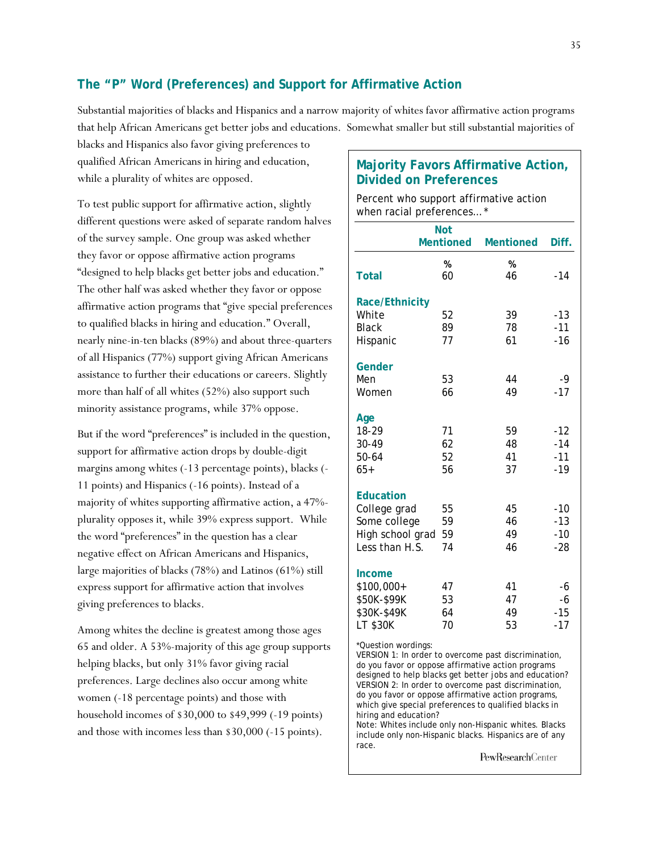### **The "P" Word (Preferences) and Support for Affirmative Action**

Substantial majorities of blacks and Hispanics and a narrow majority of whites favor affirmative action programs that help African Americans get better jobs and educations. Somewhat smaller but still substantial majorities of

blacks and Hispanics also favor giving preferences to qualified African Americans in hiring and education, while a plurality of whites are opposed.

To test public support for affirmative action, slightly different questions were asked of separate random halves of the survey sample. One group was asked whether they favor or oppose affirmative action programs "designed to help blacks get better jobs and education." The other half was asked whether they favor or oppose affirmative action programs that "give special preferences to qualified blacks in hiring and education." Overall, nearly nine-in-ten blacks (89%) and about three-quarters of all Hispanics (77%) support giving African Americans assistance to further their educations or careers. Slightly more than half of all whites (52%) also support such minority assistance programs, while 37% oppose.

But if the word "preferences" is included in the question, support for affirmative action drops by double-digit margins among whites (-13 percentage points), blacks (- 11 points) and Hispanics (-16 points). Instead of a majority of whites supporting affirmative action, a 47% plurality opposes it, while 39% express support. While the word "preferences" in the question has a clear negative effect on African Americans and Hispanics, large majorities of blacks (78%) and Latinos (61%) still express support for affirmative action that involves giving preferences to blacks.

Among whites the decline is greatest among those ages 65 and older. A 53%-majority of this age group supports helping blacks, but only 31% favor giving racial preferences. Large declines also occur among white women (-18 percentage points) and those with household incomes of \$30,000 to \$49,999 (-19 points) and those with incomes less than \$30,000 (-15 points).

### **Majority Favors Affirmative Action, Divided on Preferences**

Percent who support affirmative action when racial preferences… \*

|                                                                                                                                                                                                                                                                                                                                                                                                                                                                                                                          | <b>Not</b>       |                  |       |
|--------------------------------------------------------------------------------------------------------------------------------------------------------------------------------------------------------------------------------------------------------------------------------------------------------------------------------------------------------------------------------------------------------------------------------------------------------------------------------------------------------------------------|------------------|------------------|-------|
|                                                                                                                                                                                                                                                                                                                                                                                                                                                                                                                          | <b>Mentioned</b> | <b>Mentioned</b> | Diff. |
|                                                                                                                                                                                                                                                                                                                                                                                                                                                                                                                          | %                | %                |       |
| <b>Total</b>                                                                                                                                                                                                                                                                                                                                                                                                                                                                                                             | 60               | 46               | $-14$ |
| <b>Race/Ethnicity</b>                                                                                                                                                                                                                                                                                                                                                                                                                                                                                                    |                  |                  |       |
| White                                                                                                                                                                                                                                                                                                                                                                                                                                                                                                                    | 52               | 39               | $-13$ |
| <b>Black</b>                                                                                                                                                                                                                                                                                                                                                                                                                                                                                                             | 89               | 78               | $-11$ |
| Hispanic                                                                                                                                                                                                                                                                                                                                                                                                                                                                                                                 | 77               | 61               | $-16$ |
| Gender                                                                                                                                                                                                                                                                                                                                                                                                                                                                                                                   |                  |                  |       |
| Men                                                                                                                                                                                                                                                                                                                                                                                                                                                                                                                      | 53               | 44               | -9    |
| Women                                                                                                                                                                                                                                                                                                                                                                                                                                                                                                                    | 66               | 49               | $-17$ |
| Age                                                                                                                                                                                                                                                                                                                                                                                                                                                                                                                      |                  |                  |       |
| 18-29                                                                                                                                                                                                                                                                                                                                                                                                                                                                                                                    | 71               | 59               | $-12$ |
| 30-49                                                                                                                                                                                                                                                                                                                                                                                                                                                                                                                    | 62               | 48               | $-14$ |
| 50-64                                                                                                                                                                                                                                                                                                                                                                                                                                                                                                                    | 52               | 41               | $-11$ |
| $65+$                                                                                                                                                                                                                                                                                                                                                                                                                                                                                                                    | 56               | 37               | $-19$ |
| <b>Education</b>                                                                                                                                                                                                                                                                                                                                                                                                                                                                                                         |                  |                  |       |
| College grad                                                                                                                                                                                                                                                                                                                                                                                                                                                                                                             | 55               | 45               | $-10$ |
| Some college                                                                                                                                                                                                                                                                                                                                                                                                                                                                                                             | 59               | 46               | $-13$ |
| High school grad                                                                                                                                                                                                                                                                                                                                                                                                                                                                                                         | 59               | 49               | $-10$ |
| Less than H.S.                                                                                                                                                                                                                                                                                                                                                                                                                                                                                                           | 74               | 46               | $-28$ |
| <b>Income</b>                                                                                                                                                                                                                                                                                                                                                                                                                                                                                                            |                  |                  |       |
| \$100,000+                                                                                                                                                                                                                                                                                                                                                                                                                                                                                                               | 47               | 41               | -6    |
| \$50K-\$99K                                                                                                                                                                                                                                                                                                                                                                                                                                                                                                              | 53               | 47               | $-6$  |
| \$30K-\$49K                                                                                                                                                                                                                                                                                                                                                                                                                                                                                                              | 64               | 49               | $-15$ |
| LT \$30K                                                                                                                                                                                                                                                                                                                                                                                                                                                                                                                 | 70               | 53               | $-17$ |
| *Question wordings:<br>VERSION 1: In order to overcome past discrimination,<br>do you favor or oppose affirmative action programs<br>designed to help blacks get better jobs and education?<br>VERSION 2: In order to overcome past discrimination,<br>do you favor or oppose affirmative action programs,<br>which give special preferences to qualified blacks in<br>hiring and education?<br>Note: Whites include only non-Hispanic whites. Blacks<br>include only non-Hispanic blacks. Hispanics are of any<br>race. |                  |                  |       |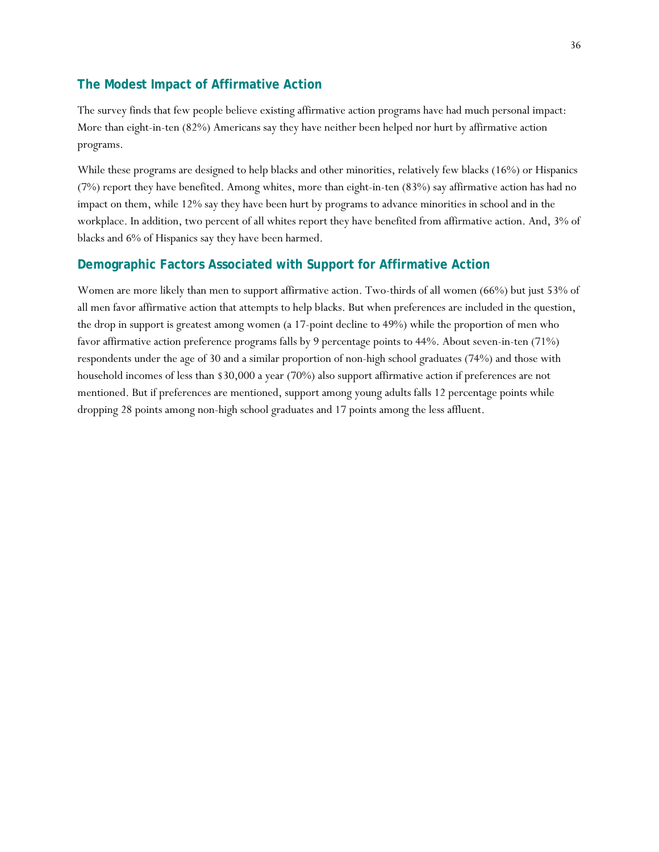### **The Modest Impact of Affirmative Action**

The survey finds that few people believe existing affirmative action programs have had much personal impact: More than eight-in-ten (82%) Americans say they have neither been helped nor hurt by affirmative action programs.

While these programs are designed to help blacks and other minorities, relatively few blacks (16%) or Hispanics (7%) report they have benefited. Among whites, more than eight-in-ten (83%) say affirmative action has had no impact on them, while 12% say they have been hurt by programs to advance minorities in school and in the workplace. In addition, two percent of all whites report they have benefited from affirmative action. And, 3% of blacks and 6% of Hispanics say they have been harmed.

### **Demographic Factors Associated with Support for Affirmative Action**

Women are more likely than men to support affirmative action. Two-thirds of all women (66%) but just 53% of all men favor affirmative action that attempts to help blacks. But when preferences are included in the question, the drop in support is greatest among women (a 17-point decline to 49%) while the proportion of men who favor affirmative action preference programs falls by 9 percentage points to 44%. About seven-in-ten (71%) respondents under the age of 30 and a similar proportion of non-high school graduates (74%) and those with household incomes of less than \$30,000 a year (70%) also support affirmative action if preferences are not mentioned. But if preferences are mentioned, support among young adults falls 12 percentage points while dropping 28 points among non-high school graduates and 17 points among the less affluent.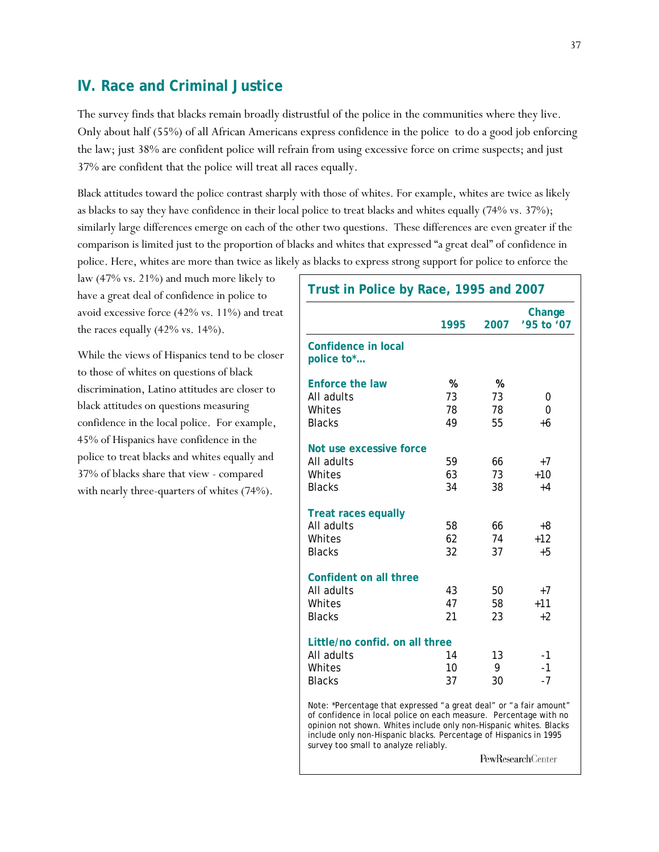### **IV. Race and Criminal Justice**

The survey finds that blacks remain broadly distrustful of the police in the communities where they live. Only about half (55%) of all African Americans express confidence in the police to do a good job enforcing the law; just 38% are confident police will refrain from using excessive force on crime suspects; and just 37% are confident that the police will treat all races equally.

Black attitudes toward the police contrast sharply with those of whites. For example, whites are twice as likely as blacks to say they have confidence in their local police to treat blacks and whites equally (74% vs. 37%); similarly large differences emerge on each of the other two questions. These differences are even greater if the comparison is limited just to the proportion of blacks and whites that expressed "a great deal" of confidence in police. Here, whites are more than twice as likely as blacks to express strong support for police to enforce the

law (47% vs. 21%) and much more likely to have a great deal of confidence in police to avoid excessive force (42% vs. 11%) and treat the races equally (42% vs. 14%).

While the views of Hispanics tend to be closer to those of whites on questions of black discrimination, Latino attitudes are closer to black attitudes on questions measuring confidence in the local police. For example, 45% of Hispanics have confidence in the police to treat blacks and whites equally and 37% of blacks share that view - compared with nearly three-quarters of whites (74%).

| Trust in Police by Race, 1995 and 2007                                                                                                                                                                                                                                                                                      |                |                |                      |  |
|-----------------------------------------------------------------------------------------------------------------------------------------------------------------------------------------------------------------------------------------------------------------------------------------------------------------------------|----------------|----------------|----------------------|--|
|                                                                                                                                                                                                                                                                                                                             | 1995           | 2007           | Change<br>'95 to '07 |  |
| <b>Confidence in local</b><br>police to*                                                                                                                                                                                                                                                                                    |                |                |                      |  |
| <b>Enforce the law</b>                                                                                                                                                                                                                                                                                                      | %              | %              |                      |  |
| All adults                                                                                                                                                                                                                                                                                                                  | 73             | 73             | 0                    |  |
| Whites                                                                                                                                                                                                                                                                                                                      | 78             | 78             | 0                    |  |
| <b>Blacks</b>                                                                                                                                                                                                                                                                                                               | 49             | 55             | $+6$                 |  |
| Not use excessive force                                                                                                                                                                                                                                                                                                     |                |                |                      |  |
| All adults                                                                                                                                                                                                                                                                                                                  | 59             | 66             | $+7$                 |  |
| Whites                                                                                                                                                                                                                                                                                                                      | 63             | 73             | $+10$                |  |
| <b>Blacks</b>                                                                                                                                                                                                                                                                                                               | 34             | 38             | $+4$                 |  |
| <b>Treat races equally</b><br>All adults<br>Whites<br><b>Blacks</b>                                                                                                                                                                                                                                                         | 58<br>62<br>32 | 66<br>74<br>37 | +8<br>$+12$<br>$+5$  |  |
| Confident on all three                                                                                                                                                                                                                                                                                                      |                |                |                      |  |
| All adults                                                                                                                                                                                                                                                                                                                  | 43             | 50             | $+7$                 |  |
| Whites                                                                                                                                                                                                                                                                                                                      | 47             | 58             | $+11$                |  |
| <b>Blacks</b>                                                                                                                                                                                                                                                                                                               | 21             | 23             | $+2$                 |  |
| Little/no confid. on all three                                                                                                                                                                                                                                                                                              |                |                |                      |  |
| All adults                                                                                                                                                                                                                                                                                                                  | 14             | 13             | $-1$                 |  |
| Whites                                                                                                                                                                                                                                                                                                                      | 10             | 9              | $-1$                 |  |
| <b>Blacks</b>                                                                                                                                                                                                                                                                                                               | 37             | 30             | $-7$                 |  |
| Note: *Percentage that expressed "a great deal" or "a fair amount"<br>of confidence in local police on each measure. Percentage with no<br>opinion not shown. Whites include only non-Hispanic whites. Blacks<br>include only non-Hispanic blacks. Percentage of Hispanics in 1995<br>survey too small to analyze reliably. |                |                |                      |  |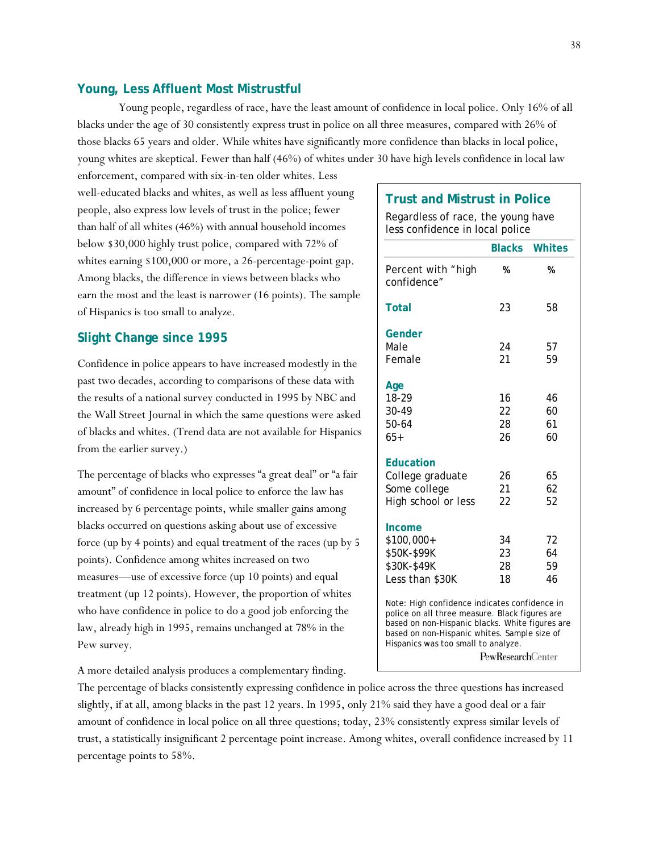#### **Young, Less Affluent Most Mistrustful**

 Young people, regardless of race, have the least amount of confidence in local police. Only 16% of all blacks under the age of 30 consistently express trust in police on all three measures, compared with 26% of those blacks 65 years and older. While whites have significantly more confidence than blacks in local police, young whites are skeptical. Fewer than half (46%) of whites under 30 have high levels confidence in local law

enforcement, compared with six-in-ten older whites. Less well-educated blacks and whites, as well as less affluent young people, also express low levels of trust in the police; fewer than half of all whites (46%) with annual household incomes below \$30,000 highly trust police, compared with 72% of whites earning \$100,000 or more, a 26-percentage-point gap. Among blacks, the difference in views between blacks who earn the most and the least is narrower (16 points). The sample of Hispanics is too small to analyze.

#### **Slight Change since 1995**

Confidence in police appears to have increased modestly in the past two decades, according to comparisons of these data with the results of a national survey conducted in 1995 by NBC and the Wall Street Journal in which the same questions were asked of blacks and whites. (Trend data are not available for Hispanics from the earlier survey.)

The percentage of blacks who expresses "a great deal" or "a fair amount" of confidence in local police to enforce the law has increased by 6 percentage points, while smaller gains among blacks occurred on questions asking about use of excessive force (up by 4 points) and equal treatment of the races (up by 5 points). Confidence among whites increased on two measures—use of excessive force (up 10 points) and equal treatment (up 12 points). However, the proportion of whites who have confidence in police to do a good job enforcing the law, already high in 1995, remains unchanged at 78% in the Pew survey.

A more detailed analysis produces a complementary finding.

#### **Trust and Mistrust in Police**

Regardless of race, the young have less confidence in local police

| <b>Blacks</b><br><b>Whites</b>                                                                                                                                                                                                            |                           |    |  |  |  |  |
|-------------------------------------------------------------------------------------------------------------------------------------------------------------------------------------------------------------------------------------------|---------------------------|----|--|--|--|--|
| Percent with "high<br>confidence"                                                                                                                                                                                                         | %                         | %  |  |  |  |  |
| Total                                                                                                                                                                                                                                     | 23                        | 58 |  |  |  |  |
| Gender                                                                                                                                                                                                                                    |                           |    |  |  |  |  |
| Male                                                                                                                                                                                                                                      | 24                        | 57 |  |  |  |  |
| Female                                                                                                                                                                                                                                    | 21                        | 59 |  |  |  |  |
| Age                                                                                                                                                                                                                                       |                           |    |  |  |  |  |
| 18-29                                                                                                                                                                                                                                     | 16                        | 46 |  |  |  |  |
| 30-49                                                                                                                                                                                                                                     | 22                        | 60 |  |  |  |  |
| 50-64                                                                                                                                                                                                                                     | 28                        | 61 |  |  |  |  |
| $65+$                                                                                                                                                                                                                                     | 26                        | 60 |  |  |  |  |
| <b>Education</b>                                                                                                                                                                                                                          |                           |    |  |  |  |  |
| College graduate                                                                                                                                                                                                                          | 26                        | 65 |  |  |  |  |
| Some college                                                                                                                                                                                                                              | 21                        | 62 |  |  |  |  |
| High school or less                                                                                                                                                                                                                       | 22                        | 52 |  |  |  |  |
| Income                                                                                                                                                                                                                                    |                           |    |  |  |  |  |
| \$100,000+                                                                                                                                                                                                                                | 34                        | 72 |  |  |  |  |
| \$50K-\$99K                                                                                                                                                                                                                               | 23                        | 64 |  |  |  |  |
| \$30K-\$49K                                                                                                                                                                                                                               | 28                        | 59 |  |  |  |  |
| Less than \$30K                                                                                                                                                                                                                           | 18                        | 46 |  |  |  |  |
| Note: High confidence indicates confidence in<br>police on all three measure. Black figures are<br>based on non-Hispanic blacks. White figures are<br>based on non-Hispanic whites. Sample size of<br>Hispanics was too small to analyze. | <b>PewResearch</b> Center |    |  |  |  |  |

The percentage of blacks consistently expressing confidence in police across the three questions has increased slightly, if at all, among blacks in the past 12 years. In 1995, only 21% said they have a good deal or a fair amount of confidence in local police on all three questions; today, 23% consistently express similar levels of trust, a statistically insignificant 2 percentage point increase. Among whites, overall confidence increased by 11 percentage points to 58%.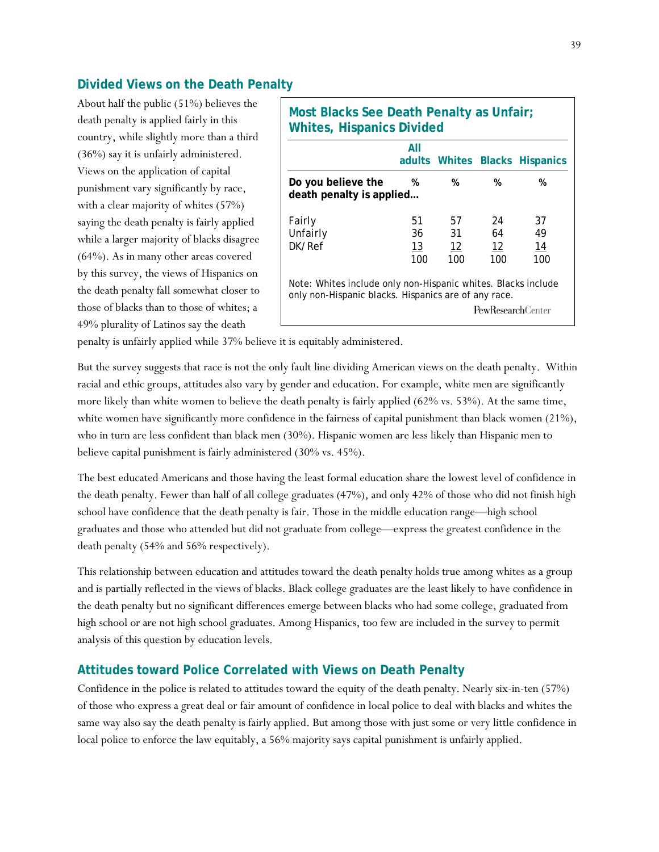### **Divided Views on the Death Penalty**

About half the public (51%) believes the death penalty is applied fairly in this country, while slightly more than a third (36%) say it is unfairly administered. Views on the application of capital punishment vary significantly by race, with a clear majority of whites (57%) saying the death penalty is fairly applied while a larger majority of blacks disagree (64%). As in many other areas covered by this survey, the views of Hispanics on the death penalty fall somewhat closer to those of blacks than to those of whites; a 49% plurality of Latinos say the death

|                                                                                                                       | All |     |                   | adults Whites Blacks Hispanics |
|-----------------------------------------------------------------------------------------------------------------------|-----|-----|-------------------|--------------------------------|
| Do you believe the<br>death penalty is applied                                                                        | %   | %   | %                 | %                              |
| Fairly                                                                                                                | 51  | 57  | 24                | 37                             |
| Unfairly                                                                                                              | 36  | 31  | 64                | 49                             |
| DK/Ref                                                                                                                | 13  | 12  | 12                | 14                             |
|                                                                                                                       | 100 | 100 | 100               | 100                            |
| Note: Whites include only non-Hispanic whites. Blacks include<br>only non-Hispanic blacks. Hispanics are of any race. |     |     |                   |                                |
|                                                                                                                       |     |     | PewResearchCenter |                                |

penalty is unfairly applied while 37% believe it is equitably administered.

But the survey suggests that race is not the only fault line dividing American views on the death penalty. Within racial and ethic groups, attitudes also vary by gender and education. For example, white men are significantly more likely than white women to believe the death penalty is fairly applied (62% vs. 53%). At the same time, white women have significantly more confidence in the fairness of capital punishment than black women (21%), who in turn are less confident than black men (30%). Hispanic women are less likely than Hispanic men to believe capital punishment is fairly administered (30% vs. 45%).

The best educated Americans and those having the least formal education share the lowest level of confidence in the death penalty. Fewer than half of all college graduates (47%), and only 42% of those who did not finish high school have confidence that the death penalty is fair. Those in the middle education range—high school graduates and those who attended but did not graduate from college—express the greatest confidence in the death penalty (54% and 56% respectively).

This relationship between education and attitudes toward the death penalty holds true among whites as a group and is partially reflected in the views of blacks. Black college graduates are the least likely to have confidence in the death penalty but no significant differences emerge between blacks who had some college, graduated from high school or are not high school graduates. Among Hispanics, too few are included in the survey to permit analysis of this question by education levels.

### **Attitudes toward Police Correlated with Views on Death Penalty**

Confidence in the police is related to attitudes toward the equity of the death penalty. Nearly six-in-ten (57%) of those who express a great deal or fair amount of confidence in local police to deal with blacks and whites the same way also say the death penalty is fairly applied. But among those with just some or very little confidence in local police to enforce the law equitably, a 56% majority says capital punishment is unfairly applied.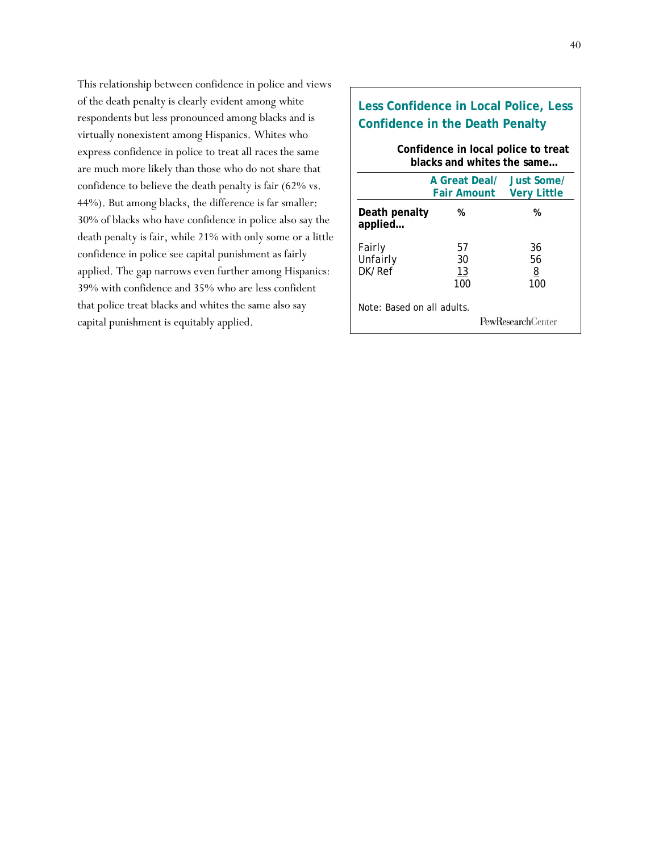This relationship between confidence in police and views of the death penalty is clearly evident among white respondents but less pronounced among blacks and is virtually nonexistent among Hispanics. Whites who express confidence in police to treat all races the same are much more likely than those who do not share that confidence to believe the death penalty is fair (62% vs. 44%). But among blacks, the difference is far smaller: 30% of blacks who have confidence in police also say the death penalty is fair, while 21% with only some or a little confidence in police see capital punishment as fairly applied. The gap narrows even further among Hispanics: 39% with confidence and 35% who are less confident that police treat blacks and whites the same also say capital punishment is equitably applied.

# **Less Confidence in Local Police, Less Confidence in the Death Penalty**

#### **Confidence in local police to treat blacks and whites the same…**

|                              | A Great Deal/<br><b>Fair Amount</b> | Just Some/<br><b>Very Little</b> |
|------------------------------|-------------------------------------|----------------------------------|
| Death penalty<br>applied     | %                                   | %                                |
| Fairly<br>Unfairly<br>DK/Ref | 57<br>30<br>13<br>100               | 36<br>56<br><u>8</u><br>100      |
| Note: Based on all adults.   |                                     | <b>PewResearch</b> Center        |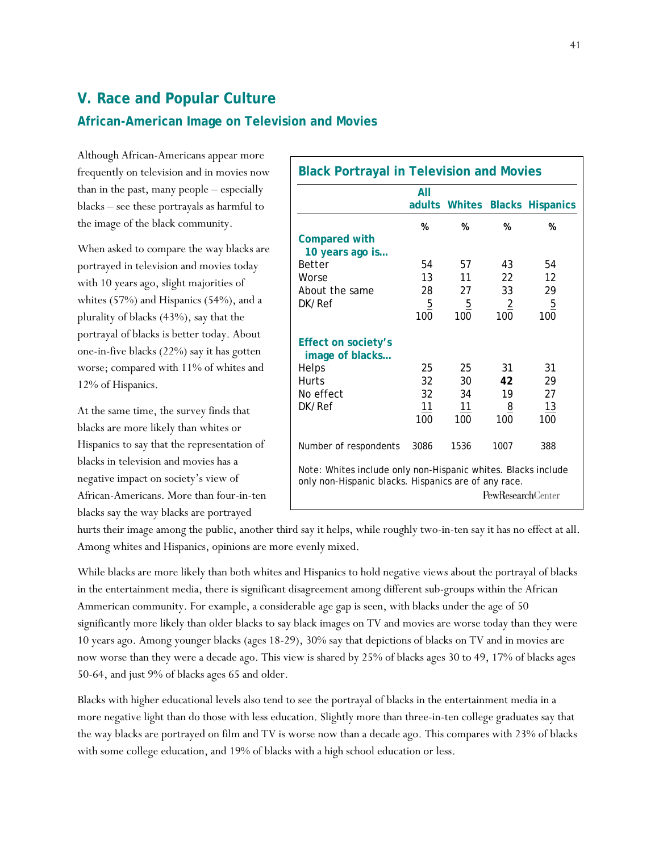# **V. Race and Popular Culture**

### **African-American Image on Television and Movies**

Although African-Americans appear more frequently on television and in movies now than in the past, many people – especially blacks – see these portrayals as harmful to the image of the black community.

When asked to compare the way blacks are portrayed in television and movies today with 10 years ago, slight majorities of whites (57%) and Hispanics (54%), and a plurality of blacks (43%), say that the portrayal of blacks is better today. About one-in-five blacks (22%) say it has gotten worse; compared with 11% of whites and 12% of Hispanics.

At the same time, the survey finds that blacks are more likely than whites or Hispanics to say that the representation of blacks in television and movies has a negative impact on society's view of African-Americans. More than four-in-ten blacks say the way blacks are portrayed

|                                                                                                                       | All                   | adults Whites         |                          | <b>Blacks Hispanics</b> |
|-----------------------------------------------------------------------------------------------------------------------|-----------------------|-----------------------|--------------------------|-------------------------|
|                                                                                                                       | %                     | %                     | %                        | %                       |
| <b>Compared with</b><br>10 years ago is                                                                               |                       |                       |                          |                         |
| <b>Better</b>                                                                                                         | 54                    | 57                    | 43                       | 54                      |
| Worse                                                                                                                 | 13                    | 11                    | 22                       | 12                      |
| About the same                                                                                                        | 28                    | 27                    | 33                       | 29                      |
| DK/Ref                                                                                                                | $\overline{5}$<br>100 | $\overline{5}$<br>100 | $\overline{2}$<br>100    | $\overline{5}$<br>100   |
| <b>Effect on society's</b><br>image of blacks                                                                         |                       |                       |                          |                         |
| Helps                                                                                                                 | 25                    | 25                    | 31                       | 31                      |
| <b>Hurts</b>                                                                                                          | 32                    | 30                    | 42                       | 29                      |
| No effect                                                                                                             | 32                    | 34                    | 19                       | 27                      |
| DK/Ref                                                                                                                | 11                    | 11                    | <u>8</u>                 | 13                      |
|                                                                                                                       | 100                   | 100                   | 100                      | 100                     |
| Number of respondents                                                                                                 | 3086                  | 1536                  | 1007                     | 388                     |
| Note: Whites include only non-Hispanic whites. Blacks include<br>only non-Hispanic blacks. Hispanics are of any race. |                       |                       | <b>PewResearchCenter</b> |                         |

hurts their image among the public, another third say it helps, while roughly two-in-ten say it has no effect at all. Among whites and Hispanics, opinions are more evenly mixed.

While blacks are more likely than both whites and Hispanics to hold negative views about the portrayal of blacks in the entertainment media, there is significant disagreement among different sub-groups within the African Ammerican community. For example, a considerable age gap is seen, with blacks under the age of 50 significantly more likely than older blacks to say black images on TV and movies are worse today than they were 10 years ago. Among younger blacks (ages 18-29), 30% say that depictions of blacks on TV and in movies are now worse than they were a decade ago. This view is shared by 25% of blacks ages 30 to 49, 17% of blacks ages 50-64, and just 9% of blacks ages 65 and older.

Blacks with higher educational levels also tend to see the portrayal of blacks in the entertainment media in a more negative light than do those with less education. Slightly more than three-in-ten college graduates say that the way blacks are portrayed on film and TV is worse now than a decade ago. This compares with 23% of blacks with some college education, and 19% of blacks with a high school education or less.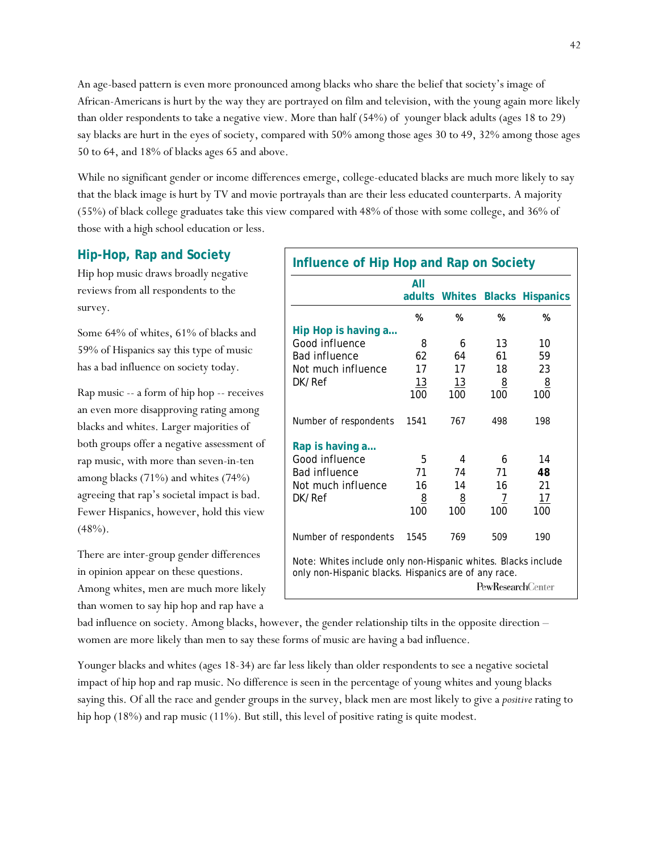An age-based pattern is even more pronounced among blacks who share the belief that society's image of African-Americans is hurt by the way they are portrayed on film and television, with the young again more likely than older respondents to take a negative view. More than half (54%) of younger black adults (ages 18 to 29) say blacks are hurt in the eyes of society, compared with 50% among those ages 30 to 49, 32% among those ages 50 to 64, and 18% of blacks ages 65 and above.

While no significant gender or income differences emerge, college-educated blacks are much more likely to say that the black image is hurt by TV and movie portrayals than are their less educated counterparts. A majority (55%) of black college graduates take this view compared with 48% of those with some college, and 36% of those with a high school education or less.

### **Hip-Hop, Rap and Society**

Hip hop music draws broadly negative reviews from all respondents to the survey.

Some 64% of whites, 61% of blacks and 59% of Hispanics say this type of music has a bad influence on society today.

Rap music -- a form of hip hop -- receives an even more disapproving rating among blacks and whites. Larger majorities of both groups offer a negative assessment of rap music, with more than seven-in-ten among blacks (71%) and whites (74%) agreeing that rap's societal impact is bad. Fewer Hispanics, however, hold this view  $(48%)$ .

There are inter-group gender differences in opinion appear on these questions. Among whites, men are much more likely than women to say hip hop and rap have a

| Influence of Hip Hop and Rap on Society                                                                                                           |                |          |          |                                |  |
|---------------------------------------------------------------------------------------------------------------------------------------------------|----------------|----------|----------|--------------------------------|--|
|                                                                                                                                                   | All<br>adults  |          |          | <b>Whites Blacks Hispanics</b> |  |
|                                                                                                                                                   | %              | %        | %        | %                              |  |
| Hip Hop is having a<br>Good influence                                                                                                             | 8              | 6        | 13       | 10                             |  |
| <b>Bad influence</b>                                                                                                                              | 62             | 64       | 61       | 59                             |  |
| Not much influence                                                                                                                                | 17             | 17       | 18       | 23                             |  |
| DK/Ref                                                                                                                                            | 13             | 13       | <u>8</u> | $\overline{8}$                 |  |
|                                                                                                                                                   | 100            | 100      | 100      | 100                            |  |
|                                                                                                                                                   |                |          |          |                                |  |
| Number of respondents                                                                                                                             | 1541           | 767      | 498      | 198                            |  |
| Rap is having a                                                                                                                                   |                |          |          |                                |  |
| Good influence                                                                                                                                    | 5              | 4        | 6        | 14                             |  |
| <b>Bad influence</b>                                                                                                                              | 71             | 74       | 71       | 48                             |  |
| Not much influence                                                                                                                                | 16             | 14       | 16       | 21                             |  |
| DK/Ref                                                                                                                                            | $\overline{8}$ | <u>8</u> | 7        | <u> 17</u>                     |  |
|                                                                                                                                                   | 100            | 100      | 100      | 100                            |  |
|                                                                                                                                                   |                |          |          |                                |  |
| Number of respondents                                                                                                                             | 1545           | 769      | 509      | 190                            |  |
| Note: Whites include only non-Hispanic whites. Blacks include<br>only non-Hispanic blacks. Hispanics are of any race.<br><b>PewResearchCenter</b> |                |          |          |                                |  |

bad influence on society. Among blacks, however, the gender relationship tilts in the opposite direction – women are more likely than men to say these forms of music are having a bad influence.

Younger blacks and whites (ages 18-34) are far less likely than older respondents to see a negative societal impact of hip hop and rap music. No difference is seen in the percentage of young whites and young blacks saying this. Of all the race and gender groups in the survey, black men are most likely to give a *positive* rating to hip hop (18%) and rap music (11%). But still, this level of positive rating is quite modest.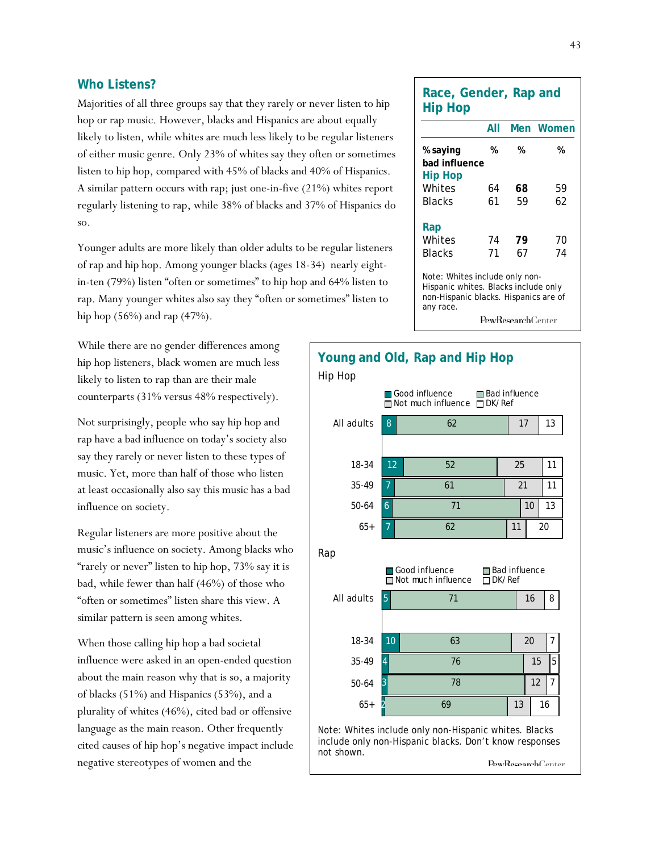#### **Who Listens?**

Majorities of all three groups say that they rarely or never listen to hip hop or rap music. However, blacks and Hispanics are about equally likely to listen, while whites are much less likely to be regular listeners of either music genre. Only 23% of whites say they often or sometimes listen to hip hop, compared with 45% of blacks and 40% of Hispanics. A similar pattern occurs with rap; just one-in-five (21%) whites report regularly listening to rap, while 38% of blacks and 37% of Hispanics do so.

Younger adults are more likely than older adults to be regular listeners of rap and hip hop. Among younger blacks (ages 18-34) nearly eightin-ten (79%) listen "often or sometimes" to hip hop and 64% listen to rap. Many younger whites also say they "often or sometimes" listen to hip hop (56%) and rap (47%).

While there are no gender differences among hip hop listeners, black women are much less likely to listen to rap than are their male counterparts (31% versus 48% respectively).

Not surprisingly, people who say hip hop and rap have a bad influence on today's society also say they rarely or never listen to these types of music. Yet, more than half of those who listen at least occasionally also say this music has a bad influence on society.

Regular listeners are more positive about the music's influence on society. Among blacks who "rarely or never" listen to hip hop, 73% say it is bad, while fewer than half (46%) of those who "often or sometimes" listen share this view. A similar pattern is seen among whites.

When those calling hip hop a bad societal influence were asked in an open-ended question about the main reason why that is so, a majority of blacks (51%) and Hispanics (53%), and a plurality of whites (46%), cited bad or offensive language as the main reason. Other frequently cited causes of hip hop's negative impact include negative stereotypes of women and the

| Race, Gender, Rap and<br><b>Hip Hop</b>                                                                                      |          |                           |           |
|------------------------------------------------------------------------------------------------------------------------------|----------|---------------------------|-----------|
|                                                                                                                              | All      |                           | Men Women |
| % saying<br>bad influence<br>Hip Hop                                                                                         | %        | %                         | %         |
| Whites<br>Blacks                                                                                                             | 64<br>61 | 68<br>59                  | 59<br>62  |
| Rap<br>Whites                                                                                                                | 74       | 79                        | 70        |
| Blacks                                                                                                                       | 71       | 67                        | 74        |
| Note: Whites include only non-<br>Hispanic whites. Blacks include only<br>non-Hispanic blacks. Hispanics are of<br>any race. |          |                           |           |
|                                                                                                                              |          | <b>PewResearch</b> Center |           |

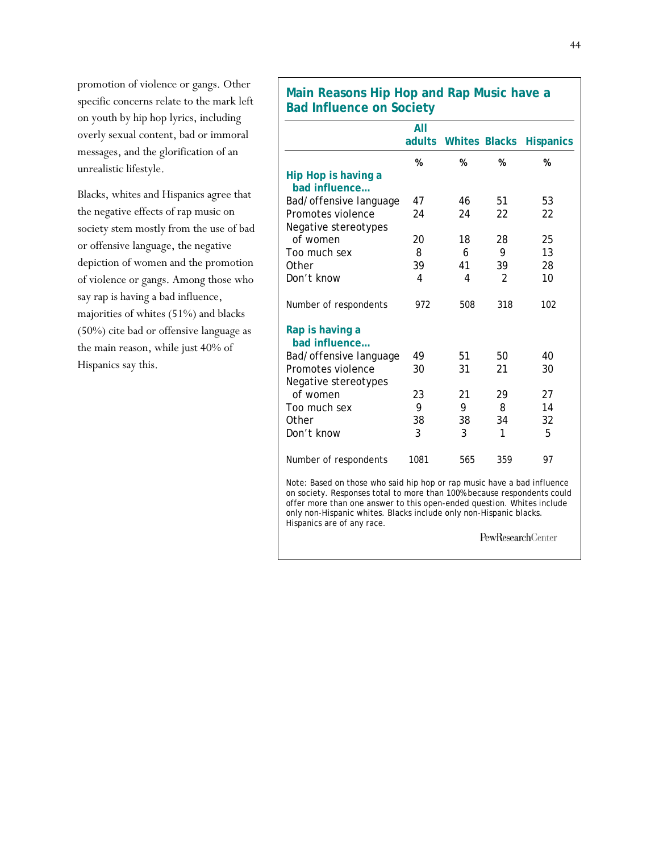promotion of violence or gangs. Other specific concerns relate to the mark left on youth by hip hop lyrics, including overly sexual content, bad or immoral messages, and the glorification of an unrealistic lifestyle.

Blacks, whites and Hispanics agree that the negative effects of rap music on society stem mostly from the use of bad or offensive language, the negative depiction of women and the promotion of violence or gangs. Among those who say rap is having a bad influence, majorities of whites (51%) and blacks (50%) cite bad or offensive language as the main reason, while just 40% of Hispanics say this.

# **Main Reasons Hip Hop and Rap Music have a Bad Influence on Society**

|                                      | All    |     |                      |                  |
|--------------------------------------|--------|-----|----------------------|------------------|
|                                      | adults |     | <b>Whites Blacks</b> | <b>Hispanics</b> |
|                                      | %      | %   | %                    | %                |
| Hip Hop is having a<br>bad influence |        |     |                      |                  |
| Bad/offensive language               | 47     | 46  | 51                   | 53               |
| Promotes violence                    | 24     | 24  | 22                   | 22               |
| Negative stereotypes                 |        |     |                      |                  |
| of women                             | 20     | 18  | 28                   | 25               |
| Too much sex                         | 8      | 6   | 9                    | 13               |
| Other                                | 39     | 41  | 39                   | 28               |
| Don't know                           | 4      | 4   | 2                    | 10               |
| Number of respondents                | 972    | 508 | 318                  | 102              |
| Rap is having a<br>bad influence     |        |     |                      |                  |
| Bad/offensive language               | 49     | 51  | 50                   | 40               |
| Promotes violence                    | 30     | 31  | 21                   | 30               |
| Negative stereotypes                 |        |     |                      |                  |
| of women                             | 23     | 21  | 29                   | 27               |
| Too much sex                         | 9      | 9   | 8                    | 14               |
| Other                                | 38     | 38  | 34                   | 32               |
| Don't know                           | 3      | 3   | 1                    | 5                |
| Number of respondents                | 1081   | 565 | 359                  | 97               |
|                                      |        |     |                      |                  |

Note: Based on those who said hip hop or rap music have a bad influence on society. Responses total to more than 100% because respondents could offer more than one answer to this open-ended question. Whites include only non-Hispanic whites. Blacks include only non-Hispanic blacks. Hispanics are of any race.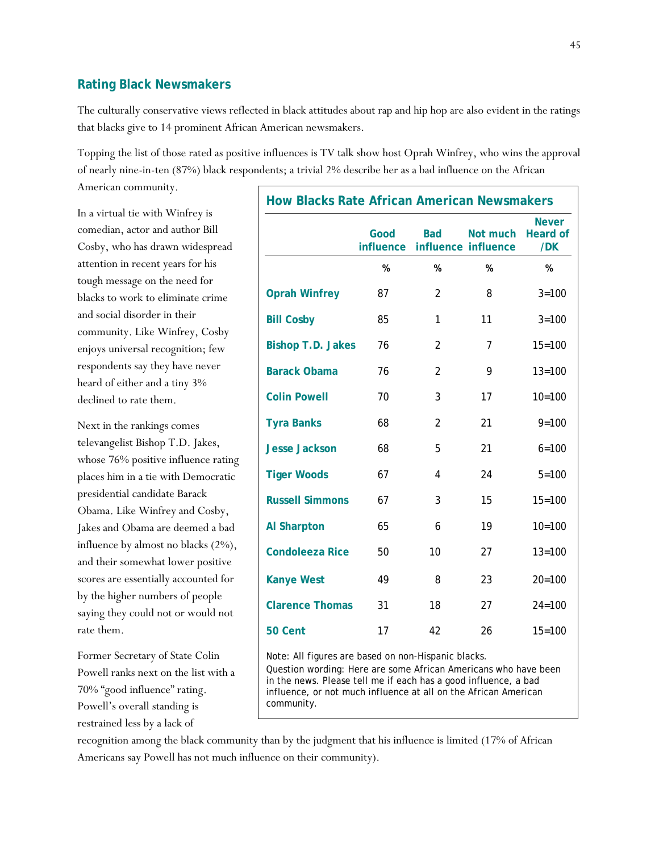### **Rating Black Newsmakers**

The culturally conservative views reflected in black attitudes about rap and hip hop are also evident in the ratings that blacks give to 14 prominent African American newsmakers.

Topping the list of those rated as positive influences is TV talk show host Oprah Winfrey, who wins the approval of nearly nine-in-ten (87%) black respondents; a trivial 2% describe her as a bad influence on the African

American community.

In a virtual tie with Winfrey is comedian, actor and author Bill Cosby, who has drawn widespread attention in recent years for his tough message on the need for blacks to work to eliminate crime and social disorder in their community. Like Winfrey, Cosby enjoys universal recognition; few respondents say they have never heard of either and a tiny 3% declined to rate them.

Next in the rankings comes televangelist Bishop T.D. Jakes, whose 76% positive influence rating places him in a tie with Democratic presidential candidate Barack Obama. Like Winfrey and Cosby, Jakes and Obama are deemed a bad influence by almost no blacks (2%), and their somewhat lower positive scores are essentially accounted for by the higher numbers of people saying they could not or would not rate them.

Former Secretary of State Colin Powell ranks next on the list with a 70% "good influence" rating. Powell's overall standing is restrained less by a lack of

| <b>How Blacks Rate African American Newsmakers</b> |                   |                |                                 |                                        |  |  |
|----------------------------------------------------|-------------------|----------------|---------------------------------|----------------------------------------|--|--|
|                                                    | Good<br>influence | <b>Bad</b>     | Not much<br>influence influence | <b>Never</b><br><b>Heard of</b><br>/DK |  |  |
|                                                    | %                 | %              | %                               | %                                      |  |  |
| <b>Oprah Winfrey</b>                               | 87                | $\overline{2}$ | 8                               | $3 = 100$                              |  |  |
| <b>Bill Cosby</b>                                  | 85                | 1              | 11                              | $3 = 100$                              |  |  |
| <b>Bishop T.D. Jakes</b>                           | 76                | 2              | 7                               | $15 = 100$                             |  |  |
| <b>Barack Obama</b>                                | 76                | $\overline{2}$ | 9                               | $13 = 100$                             |  |  |
| <b>Colin Powell</b>                                | 70                | 3              | 17                              | $10 = 100$                             |  |  |
| <b>Tyra Banks</b>                                  | 68                | $\overline{2}$ | 21                              | $9 = 100$                              |  |  |
| <b>Jesse Jackson</b>                               | 68                | 5              | 21                              | $6 = 100$                              |  |  |
| <b>Tiger Woods</b>                                 | 67                | 4              | 24                              | $5 = 100$                              |  |  |
| <b>Russell Simmons</b>                             | 67                | 3              | 15                              | $15 = 100$                             |  |  |
| <b>Al Sharpton</b>                                 | 65                | 6              | 19                              | $10 = 100$                             |  |  |
| <b>Condoleeza Rice</b>                             | 50                | 10             | 27                              | $13 = 100$                             |  |  |
| <b>Kanye West</b>                                  | 49                | 8              | 23                              | $20 = 100$                             |  |  |
| <b>Clarence Thomas</b>                             | 31                | 18             | 27                              | $24 = 100$                             |  |  |
| 50 Cent                                            | 17                | 42             | 26                              | $15 = 100$                             |  |  |

Note: All figures are based on non-Hispanic blacks. Question wording: Here are some African Americans who have been in the news. Please tell me if each has a good influence, a bad influence, or not much influence at all on the African American community.

recognition among the black community than by the judgment that his influence is limited (17% of African Americans say Powell has not much influence on their community).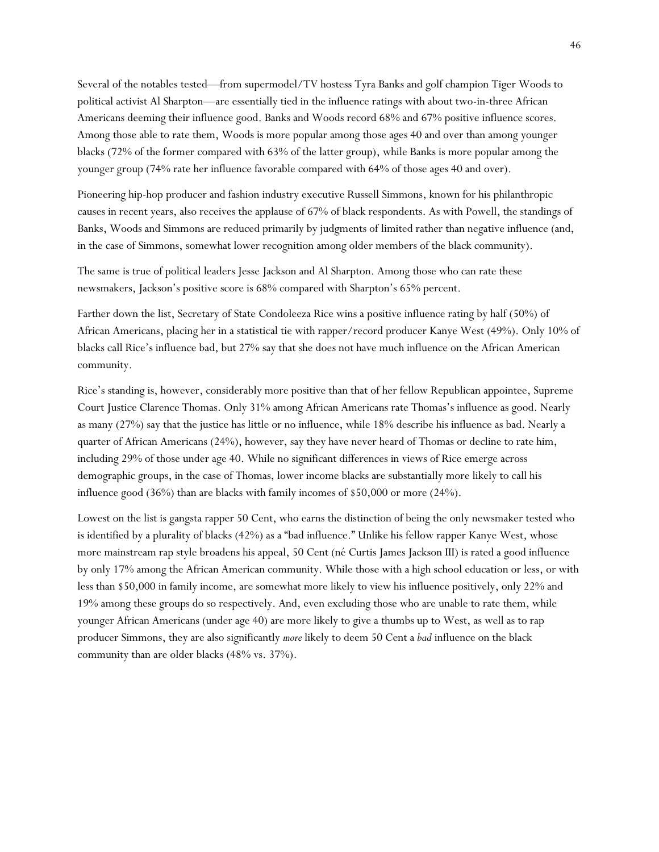Several of the notables tested—from supermodel/TV hostess Tyra Banks and golf champion Tiger Woods to political activist Al Sharpton—are essentially tied in the influence ratings with about two-in-three African Americans deeming their influence good. Banks and Woods record 68% and 67% positive influence scores. Among those able to rate them, Woods is more popular among those ages 40 and over than among younger blacks (72% of the former compared with 63% of the latter group), while Banks is more popular among the younger group (74% rate her influence favorable compared with 64% of those ages 40 and over).

Pioneering hip-hop producer and fashion industry executive Russell Simmons, known for his philanthropic causes in recent years, also receives the applause of 67% of black respondents. As with Powell, the standings of Banks, Woods and Simmons are reduced primarily by judgments of limited rather than negative influence (and, in the case of Simmons, somewhat lower recognition among older members of the black community).

The same is true of political leaders Jesse Jackson and Al Sharpton. Among those who can rate these newsmakers, Jackson's positive score is 68% compared with Sharpton's 65% percent.

Farther down the list, Secretary of State Condoleeza Rice wins a positive influence rating by half (50%) of African Americans, placing her in a statistical tie with rapper/record producer Kanye West (49%). Only 10% of blacks call Rice's influence bad, but 27% say that she does not have much influence on the African American community.

Rice's standing is, however, considerably more positive than that of her fellow Republican appointee, Supreme Court Justice Clarence Thomas. Only 31% among African Americans rate Thomas's influence as good. Nearly as many (27%) say that the justice has little or no influence, while 18% describe his influence as bad. Nearly a quarter of African Americans (24%), however, say they have never heard of Thomas or decline to rate him, including 29% of those under age 40. While no significant differences in views of Rice emerge across demographic groups, in the case of Thomas, lower income blacks are substantially more likely to call his influence good (36%) than are blacks with family incomes of \$50,000 or more (24%).

Lowest on the list is gangsta rapper 50 Cent, who earns the distinction of being the only newsmaker tested who is identified by a plurality of blacks (42%) as a "bad influence." Unlike his fellow rapper Kanye West, whose more mainstream rap style broadens his appeal, 50 Cent (né Curtis James Jackson III) is rated a good influence by only 17% among the African American community. While those with a high school education or less, or with less than \$50,000 in family income, are somewhat more likely to view his influence positively, only 22% and 19% among these groups do so respectively. And, even excluding those who are unable to rate them, while younger African Americans (under age 40) are more likely to give a thumbs up to West, as well as to rap producer Simmons, they are also significantly *more* likely to deem 50 Cent a *bad* influence on the black community than are older blacks (48% vs. 37%).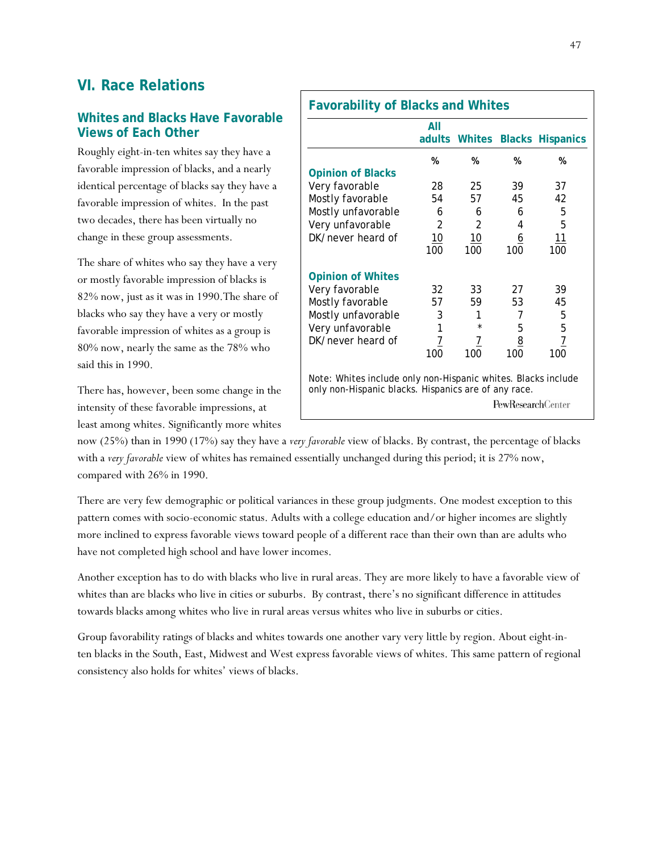# **VI. Race Relations**

### **Whites and Blacks Have Favorable Views of Each Other**

Roughly eight-in-ten whites say they have a favorable impression of blacks, and a nearly identical percentage of blacks say they have a favorable impression of whites. In the past two decades, there has been virtually no change in these group assessments.

The share of whites who say they have a very or mostly favorable impression of blacks is 82% now, just as it was in 1990.The share of blacks who say they have a very or mostly favorable impression of whites as a group is 80% now, nearly the same as the 78% who said this in 1990.

There has, however, been some change in the intensity of these favorable impressions, at least among whites. Significantly more whites

|                                                                                                                       | All             | adults Whites  |          | <b>Blacks Hispanics</b> |
|-----------------------------------------------------------------------------------------------------------------------|-----------------|----------------|----------|-------------------------|
|                                                                                                                       | %               | %              | %        | %                       |
| <b>Opinion of Blacks</b>                                                                                              |                 |                |          |                         |
| Very favorable                                                                                                        | 28              | 25             | 39       | 37                      |
| Mostly favorable                                                                                                      | 54              | 57             | 45       | 42                      |
| Mostly unfavorable                                                                                                    | 6               | 6              | 6        | 5                       |
| Very unfavorable                                                                                                      | $\overline{2}$  | $\mathfrak{D}$ | 4        | 5                       |
| DK/never heard of                                                                                                     | 10 <sup>°</sup> | 10             | <u>6</u> | 11                      |
|                                                                                                                       | 100             | 100            | 100      | 100                     |
| <b>Opinion of Whites</b>                                                                                              |                 |                |          |                         |
| Very favorable                                                                                                        | 32              | 33             | 27       | 39                      |
| Mostly favorable                                                                                                      | 57              | 59             | 53       | 45                      |
| Mostly unfavorable                                                                                                    | 3               | 1              | 7        | 5                       |
| Very unfavorable                                                                                                      | $\mathbf{1}$    |                | 5        | 5                       |
| DK/never heard of                                                                                                     | $\overline{1}$  | 7              | 8        | $\overline{1}$          |
|                                                                                                                       | 100             | 100            | 100      | 100                     |
| Note: Whites include only non-Hispanic whites. Blacks include<br>only non-Hispanic blacks. Hispanics are of any race. |                 |                |          |                         |

now (25%) than in 1990 (17%) say they have a *very favorable* view of blacks. By contrast, the percentage of blacks with a *very favorable* view of whites has remained essentially unchanged during this period; it is 27% now, compared with 26% in 1990.

There are very few demographic or political variances in these group judgments. One modest exception to this pattern comes with socio-economic status. Adults with a college education and/or higher incomes are slightly more inclined to express favorable views toward people of a different race than their own than are adults who have not completed high school and have lower incomes.

Another exception has to do with blacks who live in rural areas. They are more likely to have a favorable view of whites than are blacks who live in cities or suburbs. By contrast, there's no significant difference in attitudes towards blacks among whites who live in rural areas versus whites who live in suburbs or cities.

Group favorability ratings of blacks and whites towards one another vary very little by region. About eight-inten blacks in the South, East, Midwest and West express favorable views of whites. This same pattern of regional consistency also holds for whites' views of blacks.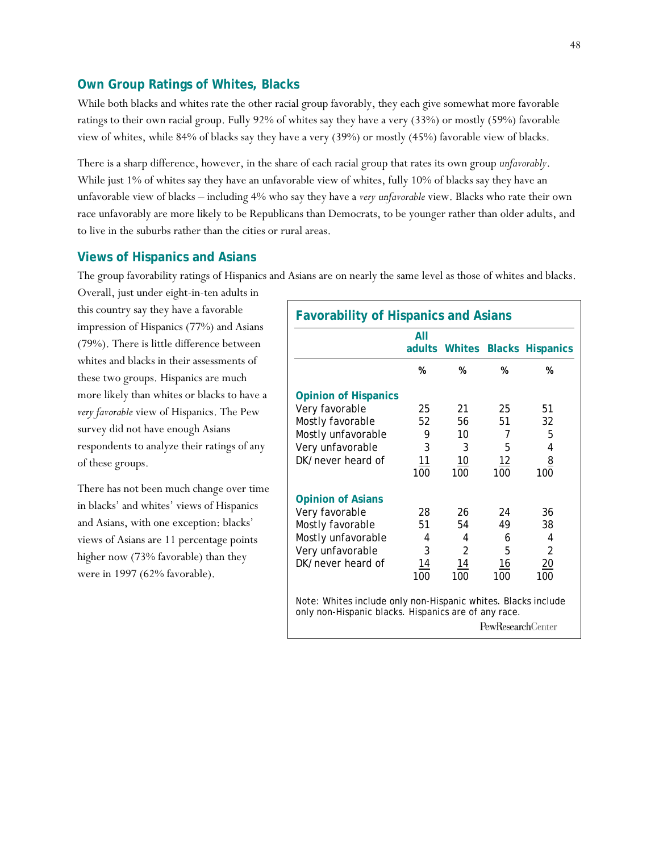### **Own Group Ratings of Whites, Blacks**

While both blacks and whites rate the other racial group favorably, they each give somewhat more favorable ratings to their own racial group. Fully 92% of whites say they have a very (33%) or mostly (59%) favorable view of whites, while 84% of blacks say they have a very (39%) or mostly (45%) favorable view of blacks.

There is a sharp difference, however, in the share of each racial group that rates its own group *unfavorably*. While just 1% of whites say they have an unfavorable view of whites, fully 10% of blacks say they have an unfavorable view of blacks – including 4% who say they have a *very unfavorable* view. Blacks who rate their own race unfavorably are more likely to be Republicans than Democrats, to be younger rather than older adults, and to live in the suburbs rather than the cities or rural areas.

### **Views of Hispanics and Asians**

The group favorability ratings of Hispanics and Asians are on nearly the same level as those of whites and blacks.

Overall, just under eight-in-ten adults in this country say they have a favorable impression of Hispanics (77%) and Asians (79%). There is little difference between whites and blacks in their assessments of these two groups. Hispanics are much more likely than whites or blacks to have a *very favorable* view of Hispanics. The Pew survey did not have enough Asians respondents to analyze their ratings of any of these groups.

There has not been much change over time in blacks' and whites' views of Hispanics and Asians, with one exception: blacks' views of Asians are 11 percentage points higher now (73% favorable) than they were in 1997 (62% favorable).

| <b>Favorability of Hispanics and Asians</b>                                                                                                       |           |                |            |                                |
|---------------------------------------------------------------------------------------------------------------------------------------------------|-----------|----------------|------------|--------------------------------|
|                                                                                                                                                   | All       |                |            | adults Whites Blacks Hispanics |
|                                                                                                                                                   | %         | %              | %          | %                              |
| <b>Opinion of Hispanics</b>                                                                                                                       |           |                |            |                                |
| Very favorable                                                                                                                                    | 25        | 21             | 25         | 51                             |
| Mostly favorable                                                                                                                                  | 52        | 56             | 51         | 32                             |
| Mostly unfavorable                                                                                                                                | 9         | 10             | 7          | 5                              |
| Very unfavorable                                                                                                                                  | 3         | 3              | 5          | 4                              |
| DK/never heard of                                                                                                                                 | 11        | 10             | 12         | <u>8</u>                       |
|                                                                                                                                                   | 100       | 100            | 100        | 100                            |
| <b>Opinion of Asians</b>                                                                                                                          |           |                |            |                                |
| Very favorable                                                                                                                                    | 28        | 26             | 24         | 36                             |
| Mostly favorable                                                                                                                                  | 51        | 54             | 49         | 38                             |
| Mostly unfavorable                                                                                                                                | 4         | 4              | 6          | 4                              |
| Very unfavorable                                                                                                                                  | 3         | $\overline{2}$ | 5          | 2                              |
| DK/never heard of                                                                                                                                 | <u>14</u> | <u> 14</u>     | <u> 16</u> | <u> 20</u>                     |
|                                                                                                                                                   | 100       | 100            | 100        | 100                            |
| Note: Whites include only non-Hispanic whites. Blacks include<br>only non-Hispanic blacks. Hispanics are of any race.<br><b>PewResearchCenter</b> |           |                |            |                                |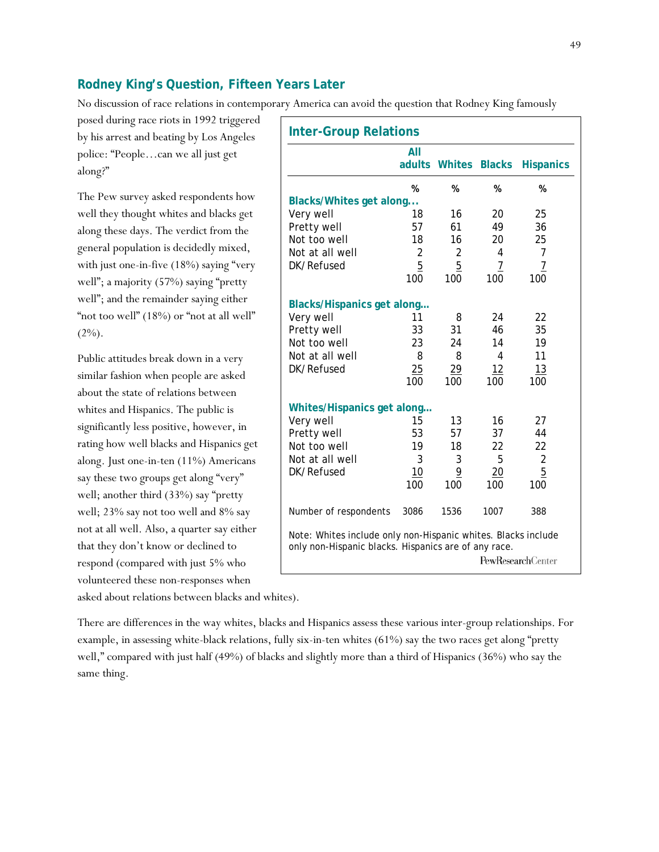### **Rodney King's Question, Fifteen Years Later**

No discussion of race relations in contemporary America can avoid the question that Rodney King famously

posed during race riots in 1992 triggered by his arrest and beating by Los Angeles police: "People…can we all just get along?"

The Pew survey asked respondents how well they thought whites and blacks get along these days. The verdict from the general population is decidedly mixed, with just one-in-five (18%) saying "very well"; a majority (57%) saying "pretty well"; and the remainder saying either "not too well" (18%) or "not at all well"  $(2\%)$ .

Public attitudes break down in a very similar fashion when people are asked about the state of relations between whites and Hispanics. The public is significantly less positive, however, in rating how well blacks and Hispanics get along. Just one-in-ten (11%) Americans say these two groups get along "very" well; another third (33%) say "pretty well; 23% say not too well and 8% say not at all well. Also, a quarter say either that they don't know or declined to respond (compared with just 5% who volunteered these non-responses when

| <b>Inter-Group Relations</b>                                                                                          |                |                |                 |                   |
|-----------------------------------------------------------------------------------------------------------------------|----------------|----------------|-----------------|-------------------|
|                                                                                                                       | All            |                |                 |                   |
|                                                                                                                       | adults         | <b>Whites</b>  | <b>Blacks</b>   | <b>Hispanics</b>  |
|                                                                                                                       | %              | %              | %               | %                 |
| Blacks/Whites get along                                                                                               |                |                |                 |                   |
| Very well                                                                                                             | 18             | 16             | 20              | 25                |
| Pretty well                                                                                                           | 57             | 61             | 49              | 36                |
| Not too well                                                                                                          | 18             | 16             | 20              | 25                |
| Not at all well                                                                                                       | 2              | 2              | 4               | $\overline{7}$    |
| DK/Refused                                                                                                            | $\overline{5}$ | $\overline{5}$ | 7               | $\overline{1}$    |
|                                                                                                                       | 100            | 100            | 100             | 100               |
| <b>Blacks/Hispanics get along</b>                                                                                     |                |                |                 |                   |
| Very well                                                                                                             | 11             | 8              | 24              | 22                |
| Pretty well                                                                                                           | 33             | 31             | 46              | 35                |
| Not too well                                                                                                          | 23             | 24             | 14              | 19                |
| Not at all well                                                                                                       | 8              | 8              | 4               | 11                |
| DK/Refused                                                                                                            | 25             | 29             | 12              | 13                |
|                                                                                                                       | 100            | 100            | 100             | 100               |
|                                                                                                                       |                |                |                 |                   |
| Whites/Hispanics get along                                                                                            |                |                |                 |                   |
| Very well                                                                                                             | 15             | 13             | 16              | 27                |
| Pretty well                                                                                                           | 53             | 57             | 37              | 44                |
| Not too well                                                                                                          | 19             | 18             | 22              | 22                |
| Not at all well                                                                                                       | 3              | 3              | 5               | $\overline{2}$    |
| DK/Refused                                                                                                            | 10             | 9              | $\overline{20}$ | 5                 |
|                                                                                                                       | 100            | 100            | 100             | 100               |
| Number of respondents                                                                                                 | 3086           | 1536           | 1007            | 388               |
| Note: Whites include only non-Hispanic whites. Blacks include<br>only non-Hispanic blacks. Hispanics are of any race. |                |                |                 |                   |
|                                                                                                                       |                |                |                 | PewResearchCenter |

asked about relations between blacks and whites).

There are differences in the way whites, blacks and Hispanics assess these various inter-group relationships. For example, in assessing white-black relations, fully six-in-ten whites (61%) say the two races get along "pretty well," compared with just half (49%) of blacks and slightly more than a third of Hispanics (36%) who say the same thing.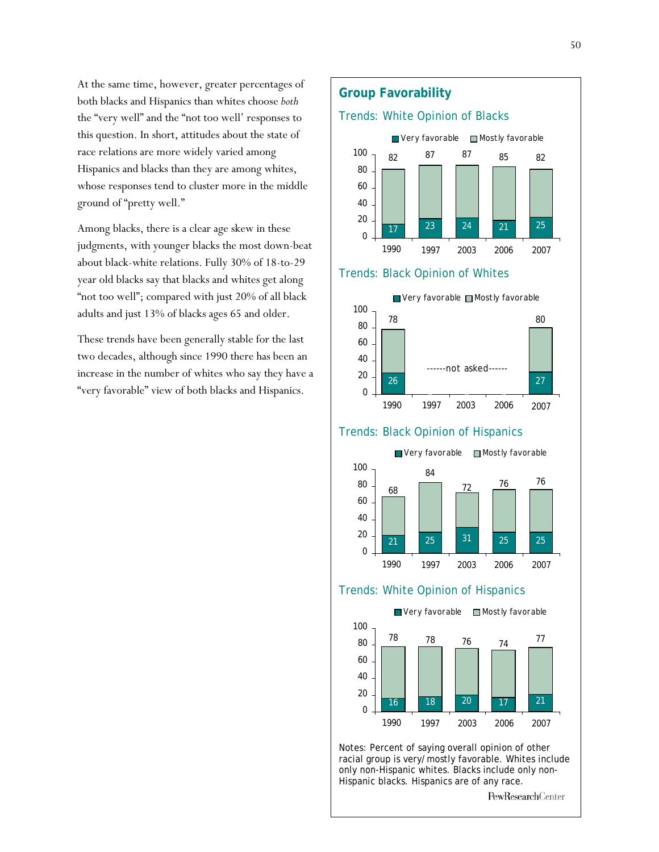At the same time, however, greater percentages of both blacks and Hispanics than whites choose *both* the "very well" and the "not too well' responses to this question. In short, attitudes about the state of race relations are more widely varied among Hispanics and blacks than they are among whites, whose responses tend to cluster more in the middle ground of "pretty well."

Among blacks, there is a clear age skew in these judgments, with younger blacks the most down-beat about black-white relations. Fully 30% of 18-to-29 year old blacks say that blacks and whites get along "not too well"; compared with just 20% of all black adults and just 13% of blacks ages 65 and older.

These trends have been generally stable for the last two decades, although since 1990 there has been an increase in the number of whites who say they have a "very favorable" view of both blacks and Hispanics.

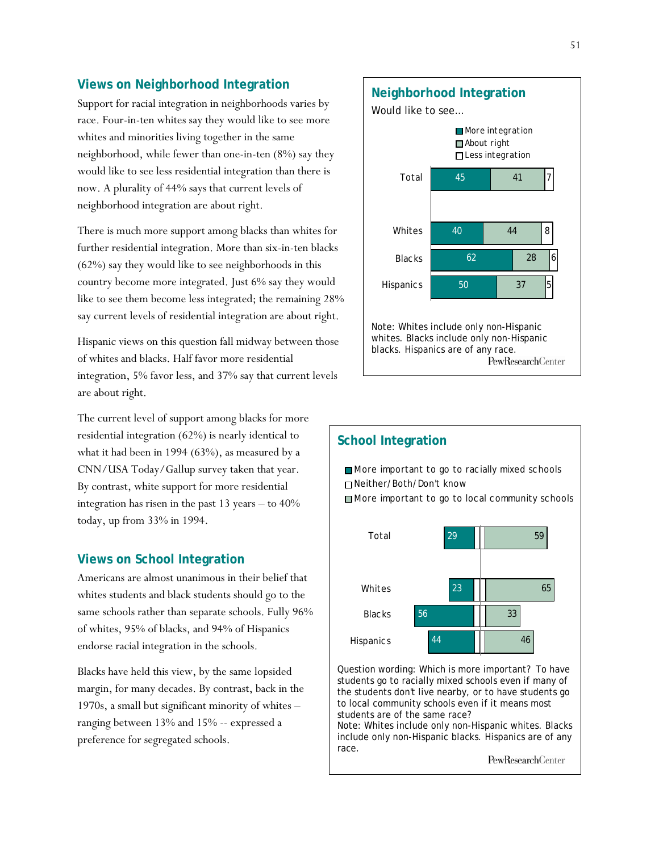### **Views on Neighborhood Integration**

Support for racial integration in neighborhoods varies by race. Four-in-ten whites say they would like to see more whites and minorities living together in the same neighborhood, while fewer than one-in-ten (8%) say they would like to see less residential integration than there is now. A plurality of 44% says that current levels of neighborhood integration are about right.

There is much more support among blacks than whites for further residential integration. More than six-in-ten blacks (62%) say they would like to see neighborhoods in this country become more integrated. Just 6% say they would like to see them become less integrated; the remaining 28% say current levels of residential integration are about right.

Hispanic views on this question fall midway between those of whites and blacks. Half favor more residential integration, 5% favor less, and 37% say that current levels are about right.

The current level of support among blacks for more residential integration (62%) is nearly identical to what it had been in 1994 (63%), as measured by a CNN/USA Today/Gallup survey taken that year. By contrast, white support for more residential integration has risen in the past 13 years – to 40% today, up from 33% in 1994.

### **Views on School Integration**

Americans are almost unanimous in their belief that whites students and black students should go to the same schools rather than separate schools. Fully 96% of whites, 95% of blacks, and 94% of Hispanics endorse racial integration in the schools.

Blacks have held this view, by the same lopsided margin, for many decades. By contrast, back in the 1970s, a small but significant minority of whites – ranging between 13% and 15% -- expressed a preference for segregated schools.





Question wording: Which is more important? To have students go to racially mixed schools even if many of the students don't live nearby, or to have students go to local community schools even if it means most students are of the same race?

Note: Whites include only non-Hispanic whites. Blacks include only non-Hispanic blacks. Hispanics are of any race.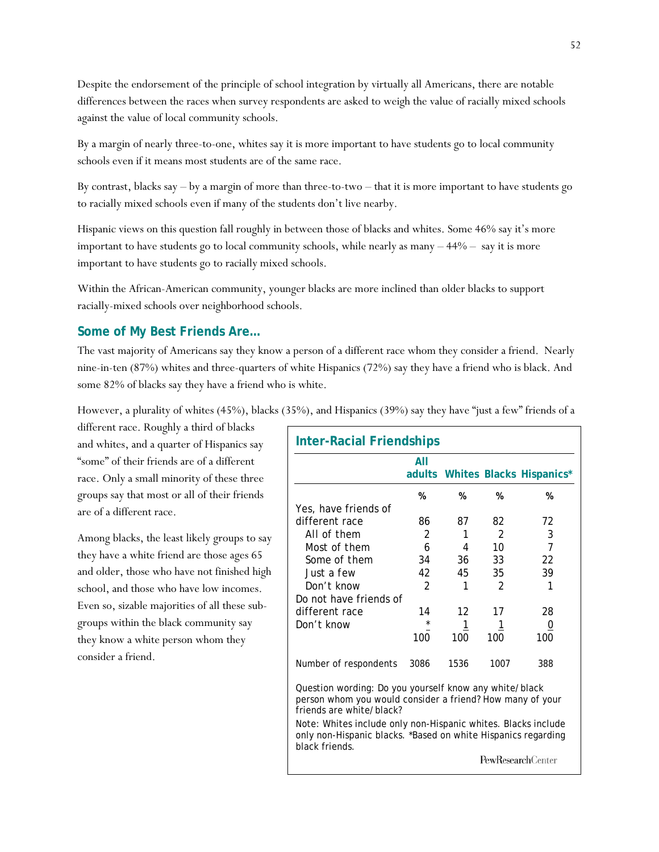Despite the endorsement of the principle of school integration by virtually all Americans, there are notable differences between the races when survey respondents are asked to weigh the value of racially mixed schools against the value of local community schools.

By a margin of nearly three-to-one, whites say it is more important to have students go to local community schools even if it means most students are of the same race.

By contrast, blacks say – by a margin of more than three-to-two – that it is more important to have students go to racially mixed schools even if many of the students don't live nearby.

Hispanic views on this question fall roughly in between those of blacks and whites. Some 46% say it's more important to have students go to local community schools, while nearly as many  $-44%$  – say it is more important to have students go to racially mixed schools.

Within the African-American community, younger blacks are more inclined than older blacks to support racially-mixed schools over neighborhood schools.

### **Some of My Best Friends Are…**

The vast majority of Americans say they know a person of a different race whom they consider a friend. Nearly nine-in-ten (87%) whites and three-quarters of white Hispanics (72%) say they have a friend who is black. And some 82% of blacks say they have a friend who is white.

However, a plurality of whites (45%), blacks (35%), and Hispanics (39%) say they have "just a few" friends of a

different race. Roughly a third of blacks and whites, and a quarter of Hispanics say "some" of their friends are of a different race. Only a small minority of these three groups say that most or all of their friends are of a different race.

Among blacks, the least likely groups to say they have a white friend are those ages 65 and older, those who have not finished high school, and those who have low incomes. Even so, sizable majorities of all these subgroups within the black community say they know a white person whom they consider a friend.

| <b>Inter-Racial Friendships</b>                                                                                                                  |               |           |          |                                 |  |
|--------------------------------------------------------------------------------------------------------------------------------------------------|---------------|-----------|----------|---------------------------------|--|
|                                                                                                                                                  | All           |           |          |                                 |  |
|                                                                                                                                                  |               |           |          | adults Whites Blacks Hispanics* |  |
|                                                                                                                                                  | %             | %         | %        | %                               |  |
| Yes, have friends of                                                                                                                             |               |           |          |                                 |  |
| different race                                                                                                                                   | 86            | 87        | 82       | 72                              |  |
| All of them                                                                                                                                      | 2             | 1         | 2        | 3                               |  |
| Most of them                                                                                                                                     | 6             | 4         | 10       | $\overline{7}$                  |  |
| Some of them                                                                                                                                     | .34           | .36       | .3.3     | 22                              |  |
| Just a few                                                                                                                                       | 42            | 45        | .35      | 39                              |  |
| Don't know                                                                                                                                       | $\mathcal{P}$ | 1         | 2        | 1                               |  |
| Do not have friends of                                                                                                                           |               |           |          |                                 |  |
| different race                                                                                                                                   | 14            | 12        | 17       | 28                              |  |
| Don't know                                                                                                                                       | *             | <u> 1</u> | <u>1</u> | 0                               |  |
|                                                                                                                                                  | 100           | 100       | 100      | 100                             |  |
| Number of respondents                                                                                                                            | 3086          | 1536      | 1007     | 388                             |  |
| Question wording: Do you yourself know any white/black<br>person whom you would consider a friend? How many of your<br>friends are white/black?  |               |           |          |                                 |  |
| Note: Whites include only non-Hispanic whites. Blacks include<br>only non-Hispanic blacks. *Based on white Hispanics regarding<br>black friends. |               |           |          |                                 |  |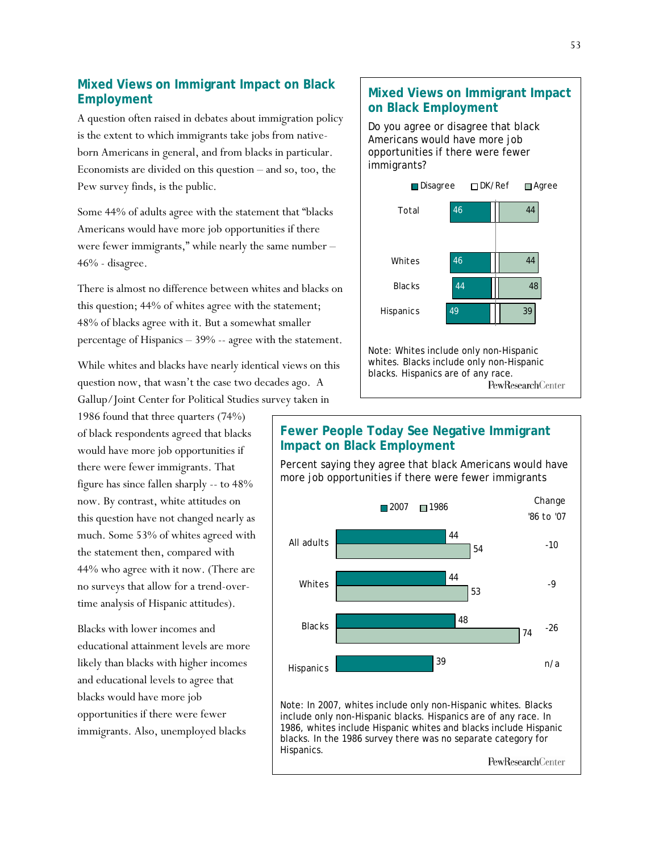### **Mixed Views on Immigrant Impact on Black Employment**

A question often raised in debates about immigration policy is the extent to which immigrants take jobs from nativeborn Americans in general, and from blacks in particular. Economists are divided on this question – and so, too, the Pew survey finds, is the public.

Some 44% of adults agree with the statement that "blacks Americans would have more job opportunities if there were fewer immigrants," while nearly the same number – 46% - disagree.

There is almost no difference between whites and blacks on this question; 44% of whites agree with the statement; 48% of blacks agree with it. But a somewhat smaller percentage of Hispanics – 39% -- agree with the statement.

While whites and blacks have nearly identical views on this question now, that wasn't the case two decades ago. A Gallup/Joint Center for Political Studies survey taken in

1986 found that three quarters (74%) of black respondents agreed that blacks would have more job opportunities if there were fewer immigrants. That figure has since fallen sharply -- to 48% now. By contrast, white attitudes on this question have not changed nearly as much. Some 53% of whites agreed with the statement then, compared with 44% who agree with it now. (There are no surveys that allow for a trend-overtime analysis of Hispanic attitudes).

Blacks with lower incomes and educational attainment levels are more likely than blacks with higher incomes and educational levels to agree that blacks would have more job opportunities if there were fewer immigrants. Also, unemployed blacks

# **Mixed Views on Immigrant Impact on Black Employment**

Do you agree or disagree that black Americans would have more job opportunities if there were fewer immigrants?



whites. Blacks include only non-Hispanic blacks. Hispanics are of any race. **PewResearchCenter** 

# **Fewer People Today See Negative Immigrant Impact on Black Employment**

Percent saying they agree that black Americans would have more job opportunities if there were fewer immigrants

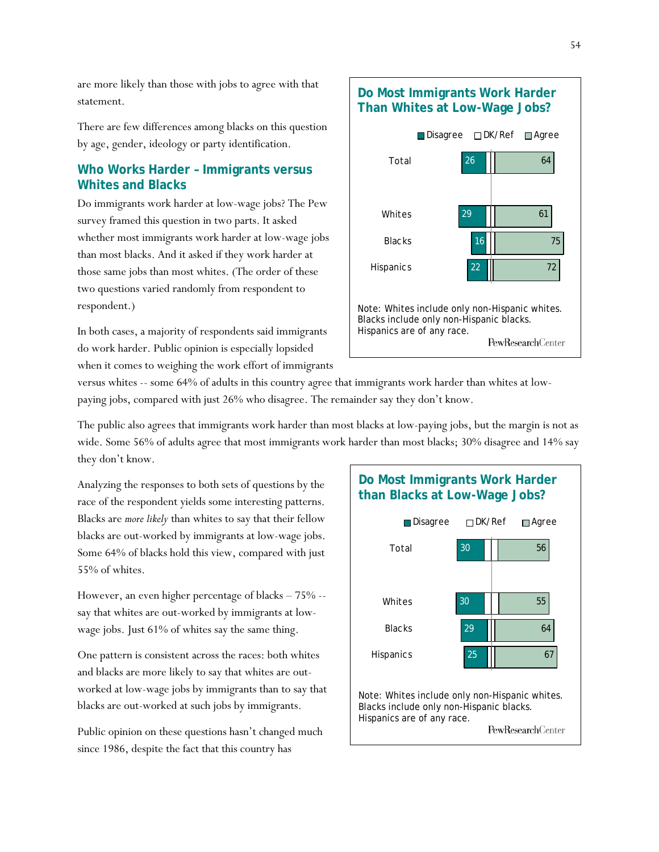are more likely than those with jobs to agree with that statement.

There are few differences among blacks on this question by age, gender, ideology or party identification.

### **Who Works Harder – Immigrants versus Whites and Blacks**

Do immigrants work harder at low-wage jobs? The Pew survey framed this question in two parts. It asked whether most immigrants work harder at low-wage jobs than most blacks. And it asked if they work harder at those same jobs than most whites. (The order of these two questions varied randomly from respondent to respondent.)

In both cases, a majority of respondents said immigrants do work harder. Public opinion is especially lopsided when it comes to weighing the work effort of immigrants

## **Do Most Immigrants Work Harder Than Whites at Low-Wage Jobs?**



versus whites -- some 64% of adults in this country agree that immigrants work harder than whites at lowpaying jobs, compared with just 26% who disagree. The remainder say they don't know.

The public also agrees that immigrants work harder than most blacks at low-paying jobs, but the margin is not as wide. Some 56% of adults agree that most immigrants work harder than most blacks; 30% disagree and 14% say they don't know.

Analyzing the responses to both sets of questions by the race of the respondent yields some interesting patterns. Blacks are *more likely* than whites to say that their fellow blacks are out-worked by immigrants at low-wage jobs. Some 64% of blacks hold this view, compared with just 55% of whites.

However, an even higher percentage of blacks – 75% - say that whites are out-worked by immigrants at lowwage jobs. Just 61% of whites say the same thing.

One pattern is consistent across the races: both whites and blacks are more likely to say that whites are outworked at low-wage jobs by immigrants than to say that blacks are out-worked at such jobs by immigrants.

Public opinion on these questions hasn't changed much since 1986, despite the fact that this country has

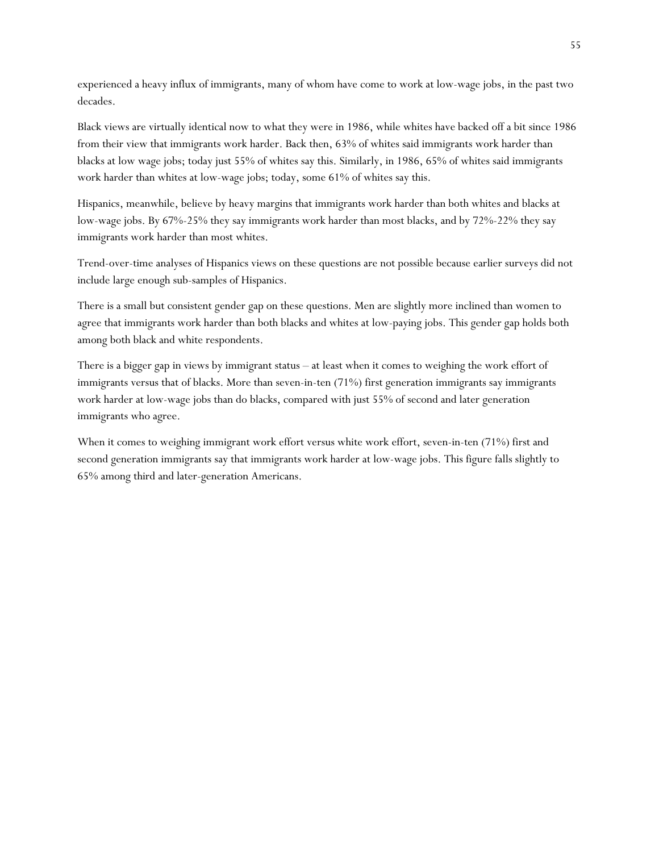experienced a heavy influx of immigrants, many of whom have come to work at low-wage jobs, in the past two decades.

Black views are virtually identical now to what they were in 1986, while whites have backed off a bit since 1986 from their view that immigrants work harder. Back then, 63% of whites said immigrants work harder than blacks at low wage jobs; today just 55% of whites say this. Similarly, in 1986, 65% of whites said immigrants work harder than whites at low-wage jobs; today, some 61% of whites say this.

Hispanics, meanwhile, believe by heavy margins that immigrants work harder than both whites and blacks at low-wage jobs. By 67%-25% they say immigrants work harder than most blacks, and by 72%-22% they say immigrants work harder than most whites.

Trend-over-time analyses of Hispanics views on these questions are not possible because earlier surveys did not include large enough sub-samples of Hispanics.

There is a small but consistent gender gap on these questions. Men are slightly more inclined than women to agree that immigrants work harder than both blacks and whites at low-paying jobs. This gender gap holds both among both black and white respondents.

There is a bigger gap in views by immigrant status – at least when it comes to weighing the work effort of immigrants versus that of blacks. More than seven-in-ten (71%) first generation immigrants say immigrants work harder at low-wage jobs than do blacks, compared with just 55% of second and later generation immigrants who agree.

When it comes to weighing immigrant work effort versus white work effort, seven-in-ten (71%) first and second generation immigrants say that immigrants work harder at low-wage jobs. This figure falls slightly to 65% among third and later-generation Americans.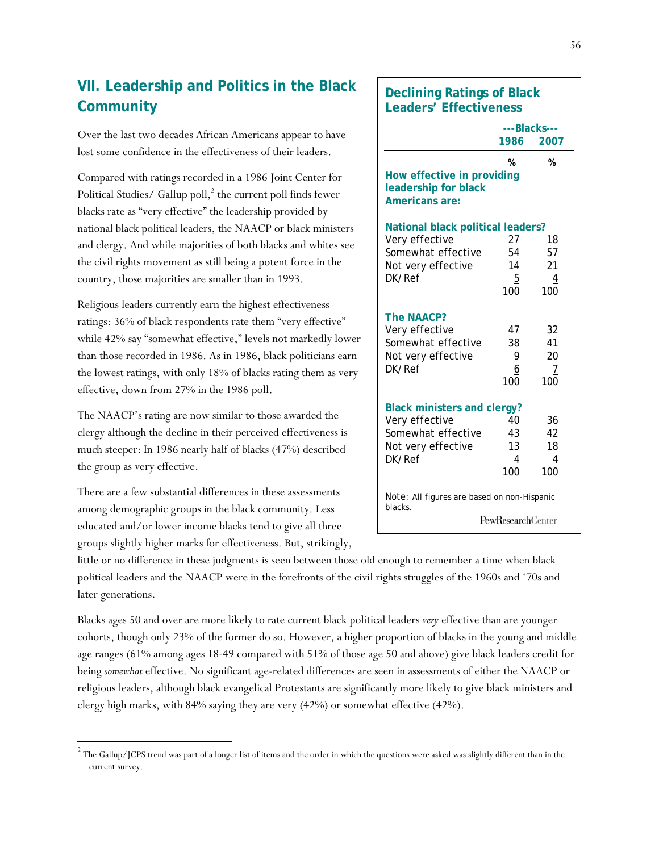# **VII. Leadership and Politics in the Black Community**

Over the last two decades African Americans appear to have lost some confidence in the effectiveness of their leaders.

Compared with ratings recorded in a 1986 Joint Center for Political Studies/ Gallup poll,<sup>2</sup> the current poll finds fewer blacks rate as "very effective" the leadership provided by national black political leaders, the NAACP or black ministers and clergy. And while majorities of both blacks and whites see the civil rights movement as still being a potent force in the country, those majorities are smaller than in 1993.

Religious leaders currently earn the highest effectiveness ratings: 36% of black respondents rate them "very effective" while 42% say "somewhat effective," levels not markedly lower than those recorded in 1986. As in 1986, black politicians earn the lowest ratings, with only 18% of blacks rating them as very effective, down from 27% in the 1986 poll.

The NAACP's rating are now similar to those awarded the clergy although the decline in their perceived effectiveness is much steeper: In 1986 nearly half of blacks (47%) described the group as very effective.

There are a few substantial differences in these assessments among demographic groups in the black community. Less educated and/or lower income blacks tend to give all three groups slightly higher marks for effectiveness. But, strikingly,

**Declining Ratings of Black Leaders' Effectiveness** 

|                                                                                                            | ---Blacks---                            |                                   |  |  |
|------------------------------------------------------------------------------------------------------------|-----------------------------------------|-----------------------------------|--|--|
|                                                                                                            | 1986                                    | 2007                              |  |  |
| How effective in providing<br>leadership for black<br>Americans are:                                       | %                                       | %                                 |  |  |
| National black political leaders?<br>Very effective<br>Somewhat effective<br>Not very effective<br>DK/Ref  | 27<br>54<br>14<br>$\overline{5}$<br>100 | 18<br>57<br>21<br>4<br>100        |  |  |
| <b>The NAACP?</b><br>Very effective<br>Somewhat effective<br>Not very effective<br>DK/Ref                  | 47<br>38<br>9<br>6<br>100               | 32<br>41<br>20<br><u>7</u><br>100 |  |  |
| <b>Black ministers and clergy?</b><br>Very effective<br>Somewhat effective<br>Not very effective<br>DK/Ref | 40<br>43<br>13<br>4<br>100              | 36<br>42<br>18<br>4<br>100        |  |  |
| Note: All figures are based on non-Hispanic<br>blacks.                                                     | <b>PewResearchCenter</b>                |                                   |  |  |

little or no difference in these judgments is seen between those old enough to remember a time when black political leaders and the NAACP were in the forefronts of the civil rights struggles of the 1960s and '70s and later generations.

Blacks ages 50 and over are more likely to rate current black political leaders *very* effective than are younger cohorts, though only 23% of the former do so. However, a higher proportion of blacks in the young and middle age ranges (61% among ages 18-49 compared with 51% of those age 50 and above) give black leaders credit for being *somewhat* effective. No significant age-related differences are seen in assessments of either the NAACP or religious leaders, although black evangelical Protestants are significantly more likely to give black ministers and clergy high marks, with 84% saying they are very (42%) or somewhat effective (42%).

 $\frac{2}{\pi}$  The Gallup/JCPS trend was part of a longer list of items and the order in which the questions were asked was slightly different than in the current survey.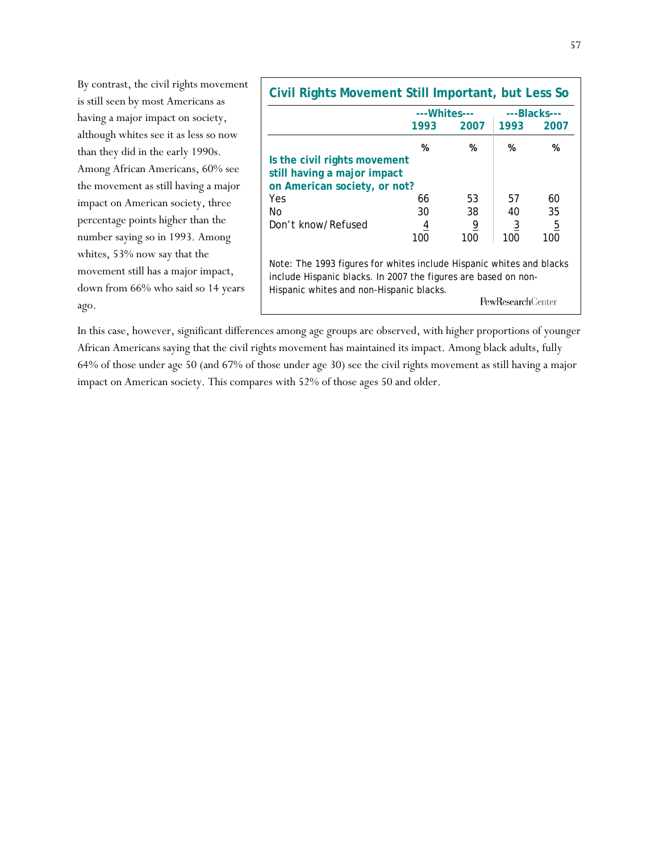By contrast, the civil rights movement is still seen by most Americans as having a major impact on society, although whites see it as less so now than they did in the early 1990s. Among African Americans, 60% see the movement as still having a major impact on American society, three percentage points higher than the number saying so in 1993. Among whites, 53% now say that the movement still has a major impact, down from 66% who said so 14 years ago.

| Civil Rights Movement Still Important, but Less So                                                                                                                                                             |               |                |                |              |  |
|----------------------------------------------------------------------------------------------------------------------------------------------------------------------------------------------------------------|---------------|----------------|----------------|--------------|--|
|                                                                                                                                                                                                                | --- Whites--- |                |                | ---Blacks--- |  |
|                                                                                                                                                                                                                | 1993          | 2007           | 1993           | 2007         |  |
|                                                                                                                                                                                                                | %             | %              | %              | %            |  |
| Is the civil rights movement                                                                                                                                                                                   |               |                |                |              |  |
| still having a major impact                                                                                                                                                                                    |               |                |                |              |  |
| on American society, or not?                                                                                                                                                                                   |               |                |                |              |  |
| Yes                                                                                                                                                                                                            | 66            | 53             | 57             | 60           |  |
| No.                                                                                                                                                                                                            | 30            | 38             | 40             | 35           |  |
| Don't know/Refused                                                                                                                                                                                             | 4             | $\overline{9}$ | $\overline{3}$ | <u>5</u>     |  |
|                                                                                                                                                                                                                | 100           | 100            | 100            | 100          |  |
| Note: The 1993 figures for whites include Hispanic whites and blacks<br>include Hispanic blacks. In 2007 the figures are based on non-<br>Hispanic whites and non-Hispanic blacks.<br><b>PewResearchCenter</b> |               |                |                |              |  |

In this case, however, significant differences among age groups are observed, with higher proportions of younger African Americans saying that the civil rights movement has maintained its impact. Among black adults, fully 64% of those under age 50 (and 67% of those under age 30) see the civil rights movement as still having a major impact on American society. This compares with 52% of those ages 50 and older.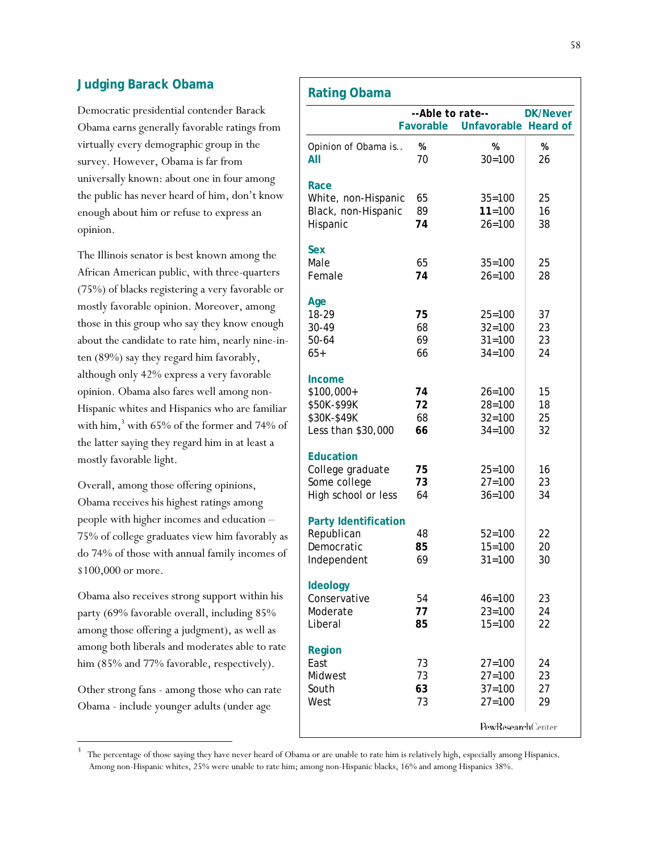### **Judging Barack Obama**

Democratic presidential contender Barack Obama earns generally favorable ratings from virtually every demographic group in the survey. However, Obama is far from universally known: about one in four among the public has never heard of him, don't know enough about him or refuse to express an opinion.

The Illinois senator is best known among the African American public, with three-quarters (75%) of blacks registering a very favorable or mostly favorable opinion. Moreover, among those in this group who say they know enough about the candidate to rate him, nearly nine-inten (89%) say they regard him favorably, although only 42% express a very favorable opinion. Obama also fares well among non-Hispanic whites and Hispanics who are familiar with him, $3$  with 65% of the former and 74% of the latter saying they regard him in at least a mostly favorable light.

Overall, among those offering opinions, Obama receives his highest ratings among people with higher incomes and education – 75% of college graduates view him favorably as do 74% of those with annual family incomes of \$100,000 or more.

Obama also receives strong support within his party (69% favorable overall, including 85% among those offering a judgment), as well as among both liberals and moderates able to rate him (85% and 77% favorable, respectively).

Other strong fans - among those who can rate Obama - include younger adults (under age

l

|                             | --Able to rate-- |                                | <b>DK/Never</b> |
|-----------------------------|------------------|--------------------------------|-----------------|
|                             |                  | Favorable Unfavorable Heard of |                 |
| Opinion of Obama is         | %                | %                              | %               |
| All                         | 70               | $30 = 100$                     | 26              |
| Race                        |                  |                                |                 |
| White, non-Hispanic         | 65               | $35 = 100$                     | 25              |
| Black, non-Hispanic         | 89               | $11 = 100$                     | 16              |
| Hispanic                    | 74               | $26 = 100$                     | 38              |
| <b>Sex</b>                  |                  |                                |                 |
| Male                        | 65               | $35 = 100$                     | 25              |
| Female                      | 74               | $26 = 100$                     | 28              |
| Age                         |                  |                                |                 |
| 18-29                       | 75               | $25 = 100$                     | 37              |
| 30-49                       | 68               | $32 = 100$                     | 23              |
| 50-64                       | 69               | $31 = 100$                     | 23              |
| $65+$                       | 66               | $34 = 100$                     | 24              |
| Income                      |                  |                                |                 |
| \$100,000+                  | 74               | $26 = 100$                     | 15              |
| \$50K-\$99K                 | 72               | $28 = 100$                     | 18              |
| \$30K-\$49K                 | 68               | $32 = 100$                     | 25              |
| Less than \$30,000          | 66               | $34 = 100$                     | 32              |
| <b>Education</b>            |                  |                                |                 |
| College graduate            | 75               | $25 = 100$                     | 16              |
| Some college                | 73               | $27 = 100$                     | 23              |
| High school or less         | 64               | $36 = 100$                     | 34              |
| <b>Party Identification</b> |                  |                                |                 |
| Republican                  | 48               | $52 = 100$                     | 22              |
| Democratic                  | 85               | $15 = 100$                     | 20              |
| Independent                 | 69               | $31 = 100$                     | 30              |
| <b>Ideology</b>             |                  |                                |                 |
| Conservative                | 54               | $46 = 100$                     | 23              |
| Moderate                    | 77               | $23 = 100$                     | 24              |
| Liberal                     | 85               | $15 = 100$                     | 22              |
| Region                      |                  |                                |                 |
| East                        | 73               | $27 = 100$                     | 24              |
| Midwest                     | 73               | $27 = 100$                     | 23              |
| South                       | 63               | $37 = 100$                     | 27              |
| West                        | 73               | $27 = 100$                     | 29              |
|                             |                  | PewResearchCenter              |                 |
|                             |                  |                                |                 |

3 The percentage of those saying they have never heard of Obama or are unable to rate him is relatively high, especially among Hispanics. Among non-Hispanic whites, 25% were unable to rate him; among non-Hispanic blacks, 16% and among Hispanics 38%.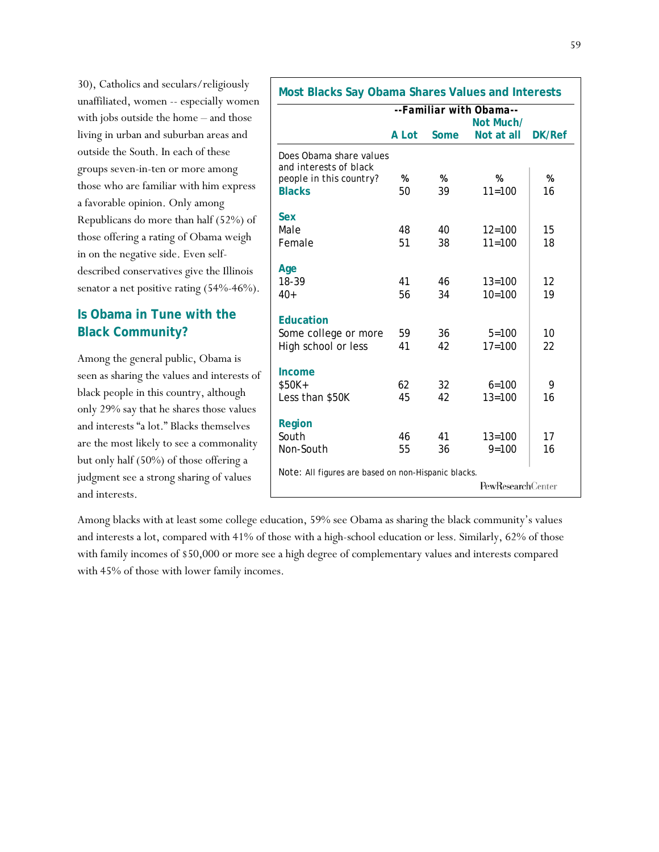30), Catholics and seculars/religiously unaffiliated, women -- especially women with jobs outside the home – and those living in urban and suburban areas and outside the South. In each of these groups seven-in-ten or more among those who are familiar with him express a favorable opinion. Only among Republicans do more than half (52%) of those offering a rating of Obama weigh in on the negative side. Even selfdescribed conservatives give the Illinois senator a net positive rating (54%-46%).

# **Is Obama in Tune with the Black Community?**

Among the general public, Obama is seen as sharing the values and interests of black people in this country, although only 29% say that he shares those values and interests "a lot." Blacks themselves are the most likely to see a commonality but only half (50%) of those offering a judgment see a strong sharing of values and interests.

Among blacks with at least some college education, 59% see Obama as sharing the black community's values and interests a lot, compared with 41% of those with a high-school education or less. Similarly, 62% of those with family incomes of \$50,000 or more see a high degree of complementary values and interests compared with 45% of those with lower family incomes.

|                                                   |       |      | --Familiar with Obama--<br>Not Much/ |        |
|---------------------------------------------------|-------|------|--------------------------------------|--------|
|                                                   | A Lot | Some | Not at all                           | DK/Ref |
| Does Obama share values<br>and interests of black |       |      |                                      |        |
| people in this country?                           | %     | %    | %                                    | %      |
| <b>Blacks</b>                                     | 50    | 39   | $11 = 100$                           | 16     |
| <b>Sex</b>                                        |       |      |                                      |        |
| Male                                              | 48    | 40   | $12 = 100$                           | 15     |
| Female                                            | 51    | 38   | $11 = 100$                           | 18     |
| Age                                               |       |      |                                      |        |
| 18-39                                             | 41    | 46   | $13 = 100$                           | 12     |
| $40+$                                             | 56    | 34   | $10=100$                             | 19     |
| <b>Education</b>                                  |       |      |                                      |        |
| Some college or more                              | 59    | 36   | $5 = 100$                            | 10     |
| High school or less                               | 41    | 42   | $17=100$                             | 22     |
| Income                                            |       |      |                                      |        |
| $$50K+$                                           | 62    | 32   | $6 = 100$                            | 9      |
| Less than \$50K                                   | 45    | 42   | $13 = 100$                           | 16     |
| Region                                            |       |      |                                      |        |
| South                                             | 46    | 41   | $13 = 100$                           | 17     |
| Non-South                                         | 55    | 36   | $9 = 100$                            | 16     |

59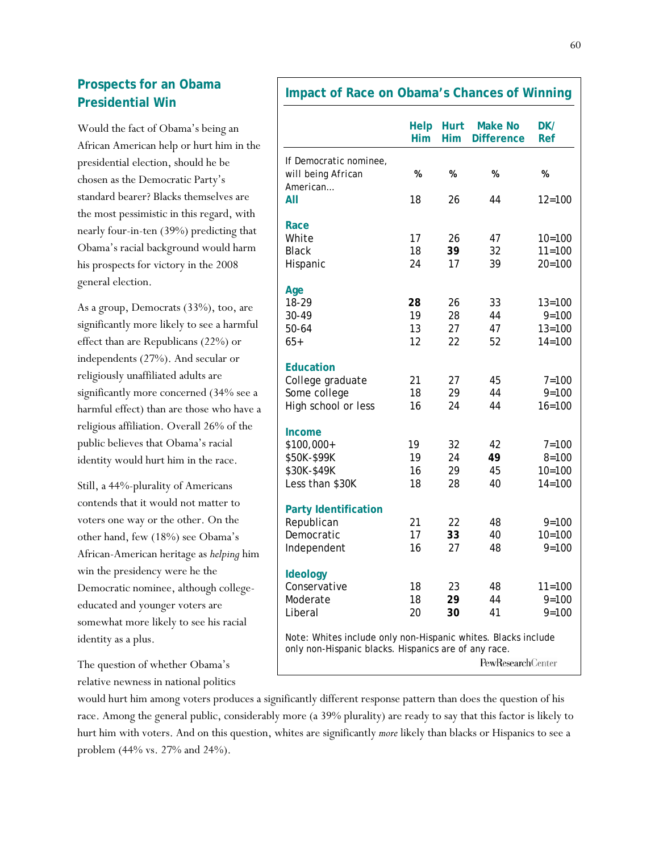# **Prospects for an Obama Presidential Win**

Would the fact of Obama's being an African American help or hurt him in the presidential election, should he be chosen as the Democratic Party's standard bearer? Blacks themselves are the most pessimistic in this regard, with nearly four-in-ten (39%) predicting that Obama's racial background would harm his prospects for victory in the 2008 general election.

As a group, Democrats (33%), too, are significantly more likely to see a harmful effect than are Republicans (22%) or independents (27%). And secular or religiously unaffiliated adults are significantly more concerned (34% see a harmful effect) than are those who have a religious affiliation. Overall 26% of the public believes that Obama's racial identity would hurt him in the race.

Still, a 44%-plurality of Americans contends that it would not matter to voters one way or the other. On the other hand, few (18%) see Obama's African-American heritage as *helping* him win the presidency were he the Democratic nominee, although collegeeducated and younger voters are somewhat more likely to see his racial identity as a plus.

The question of whether Obama's relative newness in national politics

### **Impact of Race on Obama's Chances of Winning**

|                                                               | Help<br>Him | <b>Hurt</b><br>Him | <b>Make No</b><br><b>Difference</b> | DK/<br>Ref |
|---------------------------------------------------------------|-------------|--------------------|-------------------------------------|------------|
| If Democratic nominee,                                        |             |                    |                                     |            |
| will being African                                            | %           | %                  | %                                   | %          |
| American                                                      |             |                    |                                     |            |
| All                                                           | 18          | 26                 | 44                                  | $12 = 100$ |
| Race                                                          |             |                    |                                     |            |
| White                                                         | 17          | 26                 | 47                                  | $10=100$   |
| <b>Black</b>                                                  | 18          | 39                 | 32                                  | $11 = 100$ |
| Hispanic                                                      | 24          | 17                 | 39                                  | $20 = 100$ |
| Age                                                           |             |                    |                                     |            |
| 18-29                                                         | 28          | 26                 | 33                                  | $13 = 100$ |
| 30-49                                                         | 19          | 28                 | 44                                  | $9 = 100$  |
| $50 - 64$                                                     | 13          | 27                 | 47                                  | $13 = 100$ |
| $65+$                                                         | 12          | 22                 | 52                                  | $14 = 100$ |
| <b>Education</b>                                              |             |                    |                                     |            |
| College graduate                                              | 21          | 27                 | 45                                  | $7 = 100$  |
| Some college                                                  | 18          | 29                 | 44                                  | $9 = 100$  |
| High school or less                                           | 16          | 24                 | 44                                  | $16 = 100$ |
| Income                                                        |             |                    |                                     |            |
| \$100,000+                                                    | 19          | 32                 | 42                                  | $7 = 100$  |
| \$50K-\$99K                                                   | 19          | 24                 | 49                                  | $8 = 100$  |
| \$30K-\$49K                                                   | 16          | 29                 | 45                                  | $10 = 100$ |
| Less than \$30K                                               | 18          | 28                 | 40                                  | $14 = 100$ |
| <b>Party Identification</b>                                   |             |                    |                                     |            |
| Republican                                                    | 21          | 22                 | 48                                  | $9 = 100$  |
| Democratic                                                    | 17          | 33                 | 40                                  | $10 = 100$ |
| Independent                                                   | 16          | 27                 | 48                                  | $9 = 100$  |
|                                                               |             |                    |                                     |            |
| Ideology<br>Conservative                                      | 18          | 23                 | 48                                  | $11 = 100$ |
| Moderate                                                      | 18          | 29                 | 44                                  | $9 = 100$  |
| Liberal                                                       | 20          | 30                 | 41                                  | $9 = 100$  |
| Note: Whites include only non-Hispanic whites. Blacks include |             |                    |                                     |            |
| only non-Hispanic blacks. Hispanics are of any race.          |             |                    |                                     |            |
|                                                               |             |                    | PewResearchCenter                   |            |

would hurt him among voters produces a significantly different response pattern than does the question of his race. Among the general public, considerably more (a 39% plurality) are ready to say that this factor is likely to hurt him with voters. And on this question, whites are significantly *more* likely than blacks or Hispanics to see a problem (44% vs. 27% and 24%).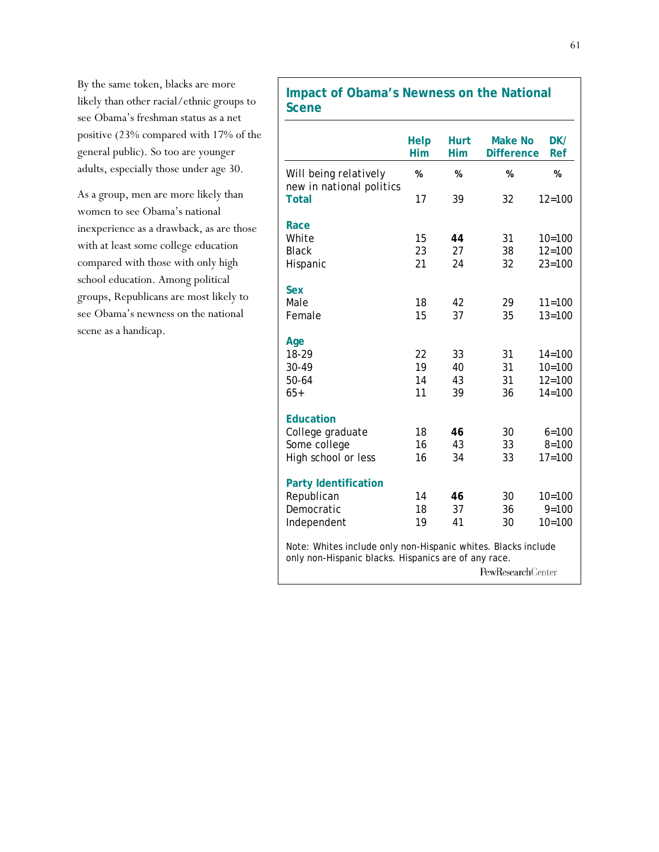By the same token, blacks are more likely than other racial/ethnic groups to see Obama's freshman status as a net positive (23% compared with 17% of the general public). So too are younger adults, especially those under age 30.

As a group, men are more likely than women to see Obama's national inexperience as a drawback, as are those with at least some college education compared with those with only high school education. Among political groups, Republicans are most likely to see Obama's newness on the national scene as a handicap.

## **Impact of Obama's Newness on the National Scene**

|                                                                                                                       | <b>Help</b><br>Him | <b>Hurt</b><br><b>Him</b> | <b>Make No</b><br><b>Difference</b> | DK/<br>Ref |
|-----------------------------------------------------------------------------------------------------------------------|--------------------|---------------------------|-------------------------------------|------------|
| Will being relatively<br>new in national politics                                                                     | %                  | %                         | %                                   | %          |
| <b>Total</b>                                                                                                          | 17                 | 39                        | 32                                  | $12 = 100$ |
| Race                                                                                                                  |                    |                           |                                     |            |
| White                                                                                                                 | 15                 | 44                        | 31                                  | $10=100$   |
| <b>Black</b>                                                                                                          | 23                 | 27                        | 38                                  | $12 = 100$ |
| Hispanic                                                                                                              | 21                 | 24                        | 32                                  | $23 = 100$ |
| <b>Sex</b>                                                                                                            |                    |                           |                                     |            |
| Male                                                                                                                  | 18                 | 42                        | 29                                  | $11 = 100$ |
| Female                                                                                                                | 15                 | 37                        | 35                                  | $13 = 100$ |
| Age                                                                                                                   |                    |                           |                                     |            |
| 18-29                                                                                                                 | 22                 | 33                        | 31                                  | $14 = 100$ |
| 30-49                                                                                                                 | 19                 | 40                        | 31                                  | $10=100$   |
| $50 - 64$                                                                                                             | 14                 | 43                        | 31                                  | $12 = 100$ |
| $65+$                                                                                                                 | 11                 | 39                        | 36                                  | $14 = 100$ |
| <b>Education</b>                                                                                                      |                    |                           |                                     |            |
| College graduate                                                                                                      | 18                 | 46                        | 30                                  | $6 = 100$  |
| Some college                                                                                                          | 16                 | 43                        | 33                                  | $8 = 100$  |
| High school or less                                                                                                   | 16                 | 34                        | 33                                  | $17 = 100$ |
| <b>Party Identification</b>                                                                                           |                    |                           |                                     |            |
| Republican                                                                                                            | 14                 | 46                        | 30                                  | $10 = 100$ |
| Democratic                                                                                                            | 18                 | 37                        | 36                                  | $9 = 100$  |
| Independent                                                                                                           | 19                 | 41                        | 30                                  | $10 = 100$ |
| Note: Whites include only non-Hispanic whites. Blacks include<br>only non-Hispanic blacks. Hispanics are of any race. |                    |                           |                                     |            |
| PewResearchCenter                                                                                                     |                    |                           |                                     |            |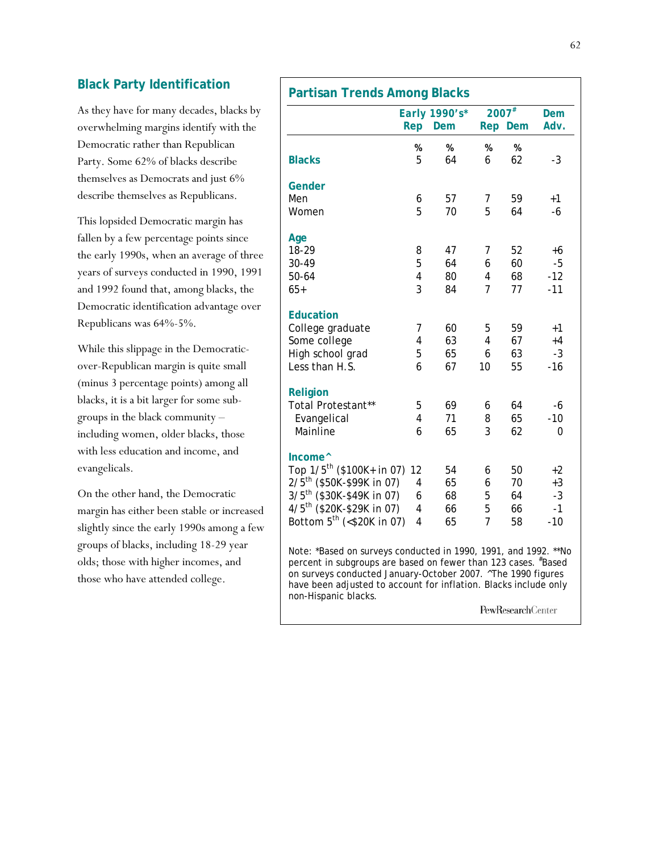### **Black Party Identification**

As they have for many decades, blacks by overwhelming margins identify with the Democratic rather than Republican Party. Some 62% of blacks describe themselves as Democrats and just 6% describe themselves as Republicans.

This lopsided Democratic margin has fallen by a few percentage points since the early 1990s, when an average of three years of surveys conducted in 1990, 1991 and 1992 found that, among blacks, the Democratic identification advantage over Republicans was 64%-5%.

While this slippage in the Democraticover-Republican margin is quite small (minus 3 percentage points) among all blacks, it is a bit larger for some subgroups in the black community – including women, older blacks, those with less education and income, and evangelicals.

On the other hand, the Democratic margin has either been stable or increased slightly since the early 1990s among a few groups of blacks, including 18-29 year olds; those with higher incomes, and those who have attended college.

|                                                                                                                                                                                                                                                                                               | Rep                     | Early 1990's*<br>Dem |                | 2007#<br>Rep Dem | Dem<br>Adv. |
|-----------------------------------------------------------------------------------------------------------------------------------------------------------------------------------------------------------------------------------------------------------------------------------------------|-------------------------|----------------------|----------------|------------------|-------------|
|                                                                                                                                                                                                                                                                                               | %                       | %                    | %              | %                |             |
| <b>Blacks</b>                                                                                                                                                                                                                                                                                 | 5                       | 64                   | 6              | 62               | -3          |
| Gender                                                                                                                                                                                                                                                                                        |                         |                      |                |                  |             |
| Men                                                                                                                                                                                                                                                                                           | 6                       | 57                   | 7              | 59               | $+1$        |
| Women                                                                                                                                                                                                                                                                                         | 5                       | 70                   | 5              | 64               | -6          |
| Age                                                                                                                                                                                                                                                                                           |                         |                      |                |                  |             |
| 18-29                                                                                                                                                                                                                                                                                         | 8                       | 47                   | 7              | 52               | $+6$        |
| 30-49                                                                                                                                                                                                                                                                                         | 5                       | 64                   | 6              | 60               | -5          |
| $50 - 64$                                                                                                                                                                                                                                                                                     | $\overline{\mathbf{4}}$ | 80                   | 4              | 68               | -12         |
| $65+$                                                                                                                                                                                                                                                                                         | 3                       | 84                   | 7              | 77               | $-11$       |
| <b>Education</b>                                                                                                                                                                                                                                                                              |                         |                      |                |                  |             |
| College graduate                                                                                                                                                                                                                                                                              | 7                       | 60                   | 5              | 59               | $+1$        |
| Some college                                                                                                                                                                                                                                                                                  | 4                       | 63                   | 4              | 67               | $+4$        |
| High school grad                                                                                                                                                                                                                                                                              | 5                       | 65                   | 6              | 63               | $-3$        |
| Less than H.S.                                                                                                                                                                                                                                                                                | 6                       | 67                   | 10             | 55               | $-16$       |
| Religion                                                                                                                                                                                                                                                                                      |                         |                      |                |                  |             |
| Total Protestant**                                                                                                                                                                                                                                                                            | 5                       | 69                   | 6              | 64               | -6          |
| Evangelical                                                                                                                                                                                                                                                                                   | 4                       | 71                   | 8              | 65               | -10         |
| Mainline                                                                                                                                                                                                                                                                                      | 6                       | 65                   | 3              | 62               | 0           |
| Income <sup><math>\wedge</math></sup>                                                                                                                                                                                                                                                         |                         |                      |                |                  |             |
| Top 1/5 <sup>th</sup> (\$100K+ in 07) 12                                                                                                                                                                                                                                                      |                         | 54                   | 6              | 50               | $+2$        |
| 2/5 <sup>th</sup> (\$50K-\$99K in 07)                                                                                                                                                                                                                                                         | 4                       | 65                   | 6              | 70               | $+3$        |
| 3/5 <sup>th</sup> (\$30K-\$49K in 07)                                                                                                                                                                                                                                                         | 6                       | 68                   | 5              | 64               | $-3$        |
| 4/5 <sup>th</sup> (\$20K-\$29K in 07)                                                                                                                                                                                                                                                         | 4                       | 66                   | 5              | 66               | $-1$        |
| Bottom 5 <sup>th</sup> (<\$20K in 07)                                                                                                                                                                                                                                                         | 4                       | 65                   | $\overline{7}$ | 58               | $-10$       |
| Note: *Based on surveys conducted in 1990, 1991, and 1992. **No<br>percent in subgroups are based on fewer than 123 cases. #Based<br>on surveys conducted January-October 2007. ^The 1990 figures<br>have been adjusted to account for inflation. Blacks include only<br>non-Hispanic blacks. |                         |                      |                |                  |             |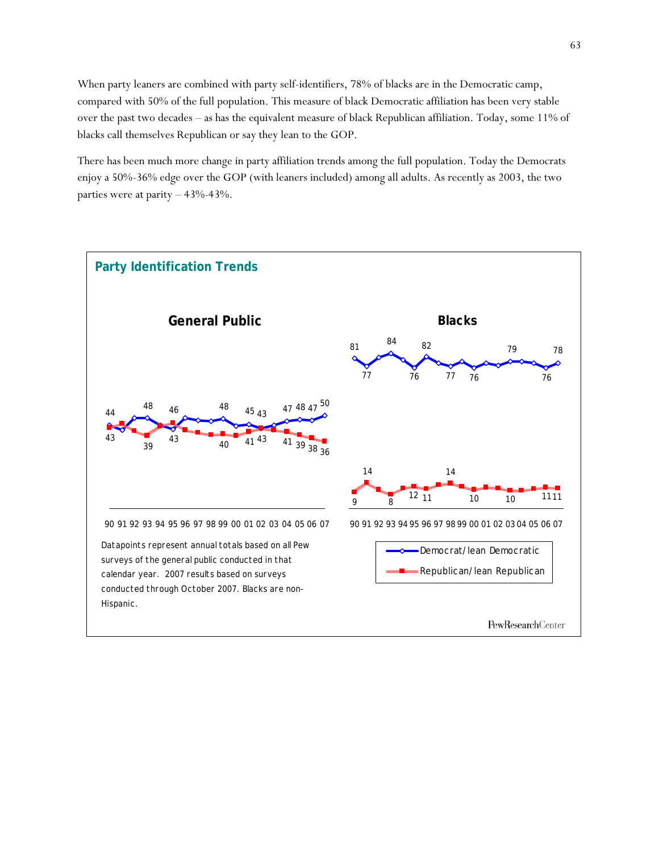When party leaners are combined with party self-identifiers, 78% of blacks are in the Democratic camp, compared with 50% of the full population. This measure of black Democratic affiliation has been very stable over the past two decades – as has the equivalent measure of black Republican affiliation. Today, some 11% of blacks call themselves Republican or say they lean to the GOP.

There has been much more change in party affiliation trends among the full population. Today the Democrats enjoy a 50%-36% edge over the GOP (with leaners included) among all adults. As recently as 2003, the two parties were at parity – 43%-43%.

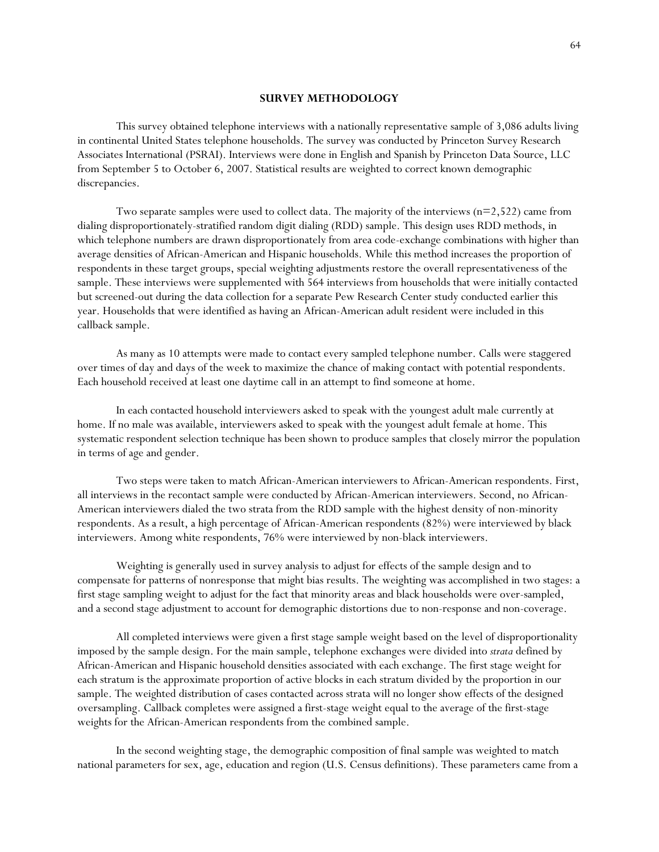#### **SURVEY METHODOLOGY**

This survey obtained telephone interviews with a nationally representative sample of 3,086 adults living in continental United States telephone households. The survey was conducted by Princeton Survey Research Associates International (PSRAI). Interviews were done in English and Spanish by Princeton Data Source, LLC from September 5 to October 6, 2007. Statistical results are weighted to correct known demographic discrepancies.

Two separate samples were used to collect data. The majority of the interviews  $(n=2,522)$  came from dialing disproportionately-stratified random digit dialing (RDD) sample. This design uses RDD methods, in which telephone numbers are drawn disproportionately from area code-exchange combinations with higher than average densities of African-American and Hispanic households. While this method increases the proportion of respondents in these target groups, special weighting adjustments restore the overall representativeness of the sample. These interviews were supplemented with 564 interviews from households that were initially contacted but screened-out during the data collection for a separate Pew Research Center study conducted earlier this year. Households that were identified as having an African-American adult resident were included in this callback sample.

As many as 10 attempts were made to contact every sampled telephone number. Calls were staggered over times of day and days of the week to maximize the chance of making contact with potential respondents. Each household received at least one daytime call in an attempt to find someone at home.

In each contacted household interviewers asked to speak with the youngest adult male currently at home. If no male was available, interviewers asked to speak with the youngest adult female at home. This systematic respondent selection technique has been shown to produce samples that closely mirror the population in terms of age and gender.

Two steps were taken to match African-American interviewers to African-American respondents. First, all interviews in the recontact sample were conducted by African-American interviewers. Second, no African-American interviewers dialed the two strata from the RDD sample with the highest density of non-minority respondents. As a result, a high percentage of African-American respondents (82%) were interviewed by black interviewers. Among white respondents, 76% were interviewed by non-black interviewers.

Weighting is generally used in survey analysis to adjust for effects of the sample design and to compensate for patterns of nonresponse that might bias results. The weighting was accomplished in two stages: a first stage sampling weight to adjust for the fact that minority areas and black households were over-sampled, and a second stage adjustment to account for demographic distortions due to non-response and non-coverage.

All completed interviews were given a first stage sample weight based on the level of disproportionality imposed by the sample design. For the main sample, telephone exchanges were divided into *strata* defined by African-American and Hispanic household densities associated with each exchange. The first stage weight for each stratum is the approximate proportion of active blocks in each stratum divided by the proportion in our sample. The weighted distribution of cases contacted across strata will no longer show effects of the designed oversampling. Callback completes were assigned a first-stage weight equal to the average of the first-stage weights for the African-American respondents from the combined sample.

In the second weighting stage, the demographic composition of final sample was weighted to match national parameters for sex, age, education and region (U.S. Census definitions). These parameters came from a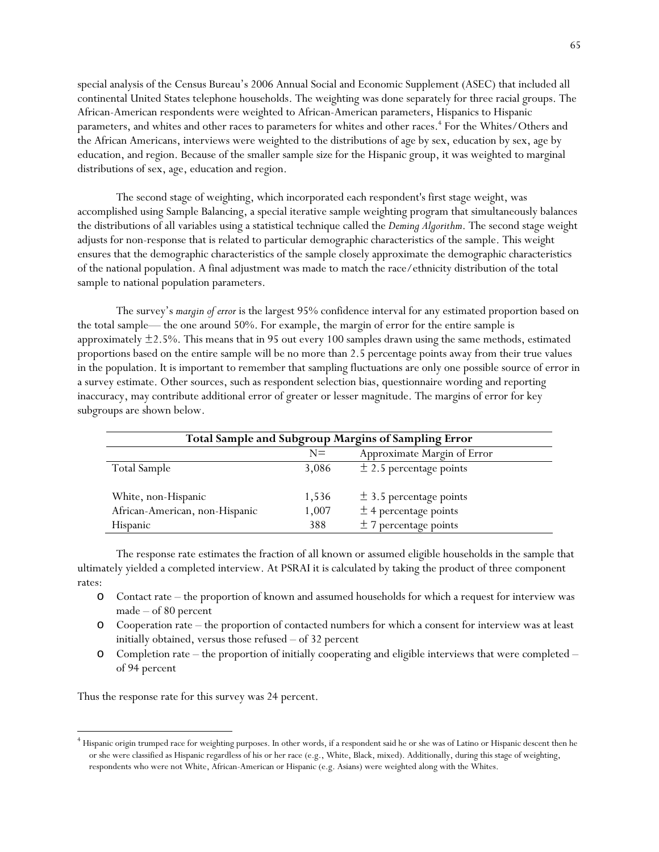special analysis of the Census Bureau's 2006 Annual Social and Economic Supplement (ASEC) that included all continental United States telephone households. The weighting was done separately for three racial groups. The African-American respondents were weighted to African-American parameters, Hispanics to Hispanic parameters, and whites and other races to parameters for whites and other races.<sup>4</sup> For the Whites/Others and the African Americans, interviews were weighted to the distributions of age by sex, education by sex, age by education, and region. Because of the smaller sample size for the Hispanic group, it was weighted to marginal distributions of sex, age, education and region.

The second stage of weighting, which incorporated each respondent's first stage weight, was accomplished using Sample Balancing, a special iterative sample weighting program that simultaneously balances the distributions of all variables using a statistical technique called the *Deming Algorithm*. The second stage weight adjusts for non-response that is related to particular demographic characteristics of the sample. This weight ensures that the demographic characteristics of the sample closely approximate the demographic characteristics of the national population. A final adjustment was made to match the race/ethnicity distribution of the total sample to national population parameters.

 The survey's *margin of error* is the largest 95% confidence interval for any estimated proportion based on the total sample— the one around 50%. For example, the margin of error for the entire sample is approximately  $\pm 2.5\%$ . This means that in 95 out every 100 samples drawn using the same methods, estimated proportions based on the entire sample will be no more than 2.5 percentage points away from their true values in the population. It is important to remember that sampling fluctuations are only one possible source of error in a survey estimate. Other sources, such as respondent selection bias, questionnaire wording and reporting inaccuracy, may contribute additional error of greater or lesser magnitude. The margins of error for key subgroups are shown below.

| Total Sample and Subgroup Margins of Sampling Error |       |                             |  |  |
|-----------------------------------------------------|-------|-----------------------------|--|--|
|                                                     | $N =$ | Approximate Margin of Error |  |  |
| Total Sample                                        | 3,086 | $\pm$ 2.5 percentage points |  |  |
| White, non-Hispanic                                 | 1,536 | $\pm$ 3.5 percentage points |  |  |
| African-American, non-Hispanic                      | 1,007 | $±$ 4 percentage points     |  |  |
| <b>Hispanic</b>                                     | 388   | $± 7$ percentage points     |  |  |

The response rate estimates the fraction of all known or assumed eligible households in the sample that ultimately yielded a completed interview. At PSRAI it is calculated by taking the product of three component rates:

- o Contact rate the proportion of known and assumed households for which a request for interview was made – of 80 percent
- o Cooperation rate the proportion of contacted numbers for which a consent for interview was at least initially obtained, versus those refused – of 32 percent
- o Completion rate the proportion of initially cooperating and eligible interviews that were completed of 94 percent

Thus the response rate for this survey was 24 percent.

 $\overline{a}$ 

<sup>4</sup> Hispanic origin trumped race for weighting purposes. In other words, if a respondent said he or she was of Latino or Hispanic descent then he or she were classified as Hispanic regardless of his or her race (e.g., White, Black, mixed). Additionally, during this stage of weighting, respondents who were not White, African-American or Hispanic (e.g. Asians) were weighted along with the Whites.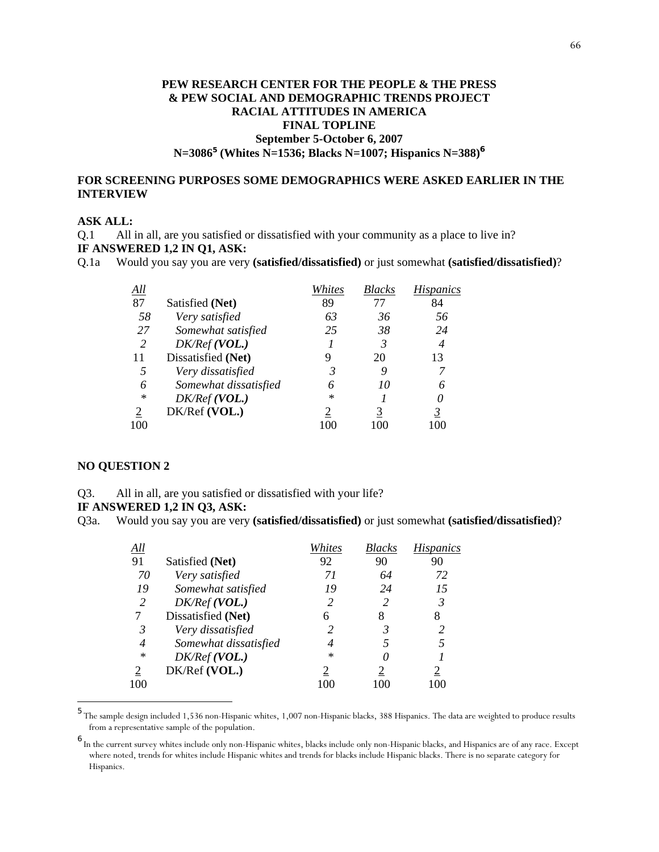### **PEW RESEARCH CENTER FOR THE PEOPLE & THE PRESS & PEW SOCIAL AND DEMOGRAPHIC TRENDS PROJECT RACIAL ATTITUDES IN AMERICA FINAL TOPLINE September 5-October 6, 2007 N=3086<sup>5</sup> (Whites N=1536; Blacks N=1007; Hispanics N=388)<sup>6</sup>**

### **FOR SCREENING PURPOSES SOME DEMOGRAPHICS WERE ASKED EARLIER IN THE INTERVIEW**

#### **ASK ALL:**

Q.1 All in all, are you satisfied or dissatisfied with your community as a place to live in?

### **IF ANSWERED 1,2 IN Q1, ASK:**

Q.1a Would you say you are very **(satisfied/dissatisfied)** or just somewhat **(satisfied/dissatisfied)**?

| All    |                       | Whites | <b>Blacks</b> | <i>Hispanics</i> |
|--------|-----------------------|--------|---------------|------------------|
| 87     | Satisfied (Net)       | 89     | 77            | 84               |
| 58     | Very satisfied        | 63     | 36            | 56               |
| 27     | Somewhat satisfied    | 25     | 38            | 24               |
| 2      | DK/Ref(VOL.)          |        | 3             | 4                |
| 11     | Dissatisfied (Net)    | 9      | 20            | 13               |
| 5      | Very dissatisfied     | 3      |               |                  |
| 6      | Somewhat dissatisfied |        | 10            | 6                |
| $\ast$ | DK/Ref(VOL.)          | $\ast$ |               |                  |
| 2      | DK/Ref (VOL.)         |        | 3             |                  |
| 100    |                       |        |               |                  |

#### **NO QUESTION 2**

l

Q3. All in all, are you satisfied or dissatisfied with your life?

#### **IF ANSWERED 1,2 IN Q3, ASK:**

Q3a. Would you say you are very **(satisfied/dissatisfied)** or just somewhat **(satisfied/dissatisfied)**?

| All    |                       | Whites | Blacks | <i>Hispanics</i> |
|--------|-----------------------|--------|--------|------------------|
| 91     | Satisfied (Net)       | 92     | 90     | 90               |
| 70     | Very satisfied        | 71     | 64     | 72               |
| 19     | Somewhat satisfied    | 19     | 24     | 15               |
| 2      | DK/Ref(VOL.)          | 2      | 2      | 3                |
|        | Dissatisfied (Net)    | 6      |        | 8                |
| 3      | Very dissatisfied     |        | 3      | $\mathcal{L}$    |
| 4      | Somewhat dissatisfied |        |        |                  |
| $\ast$ | DK/Ref(VOL.)          | $\ast$ |        |                  |
|        | DK/Ref (VOL.)         |        |        |                  |
| 100    |                       |        |        |                  |

<sup>&</sup>lt;sup>5</sup> The sample design included 1,536 non-Hispanic whites, 1,007 non-Hispanic blacks, 388 Hispanics. The data are weighted to produce results from a representative sample of the population.

<sup>6</sup> In the current survey whites include only non-Hispanic whites, blacks include only non-Hispanic blacks, and Hispanics are of any race. Except where noted, trends for whites include Hispanic whites and trends for blacks include Hispanic blacks. There is no separate category for Hispanics.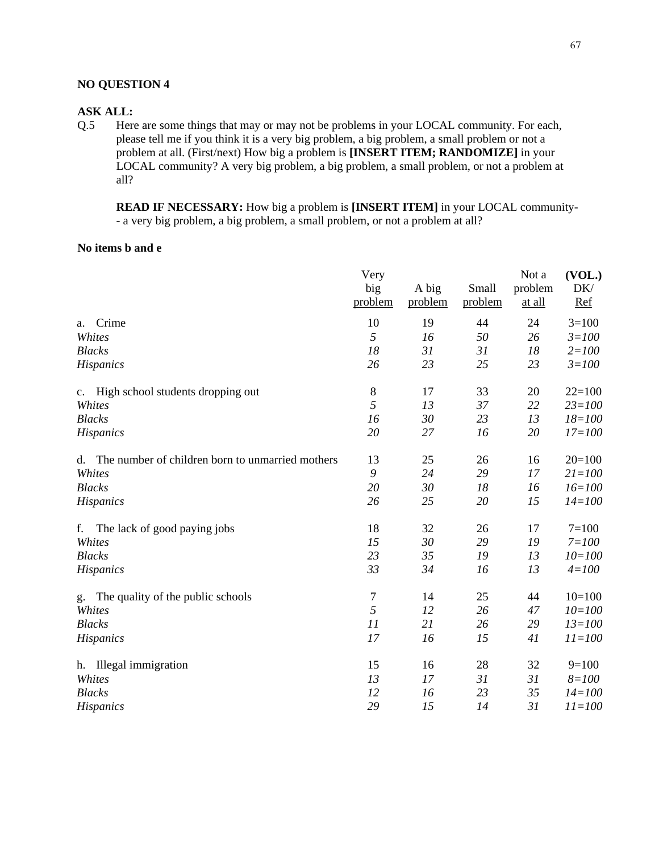### **NO QUESTION 4**

#### **ASK ALL:**

Q.5 Here are some things that may or may not be problems in your LOCAL community. For each, please tell me if you think it is a very big problem, a big problem, a small problem or not a problem at all. (First/next) How big a problem is **[INSERT ITEM; RANDOMIZE]** in your LOCAL community? A very big problem, a big problem, a small problem, or not a problem at all?

**READ IF NECESSARY:** How big a problem is **[INSERT ITEM]** in your LOCAL community- - a very big problem, a big problem, a small problem, or not a problem at all?

#### **No items b and e**

|                                                     | Very<br>big<br>problem | A big<br>problem | Small<br>problem | Not a<br>problem<br>at all | (VOL.)<br>DK/<br>Ref |
|-----------------------------------------------------|------------------------|------------------|------------------|----------------------------|----------------------|
| Crime<br>a.                                         | 10                     | 19               | 44               | 24                         | $3=100$              |
| Whites                                              | 5                      | 16               | 50               | 26                         | $3 = 100$            |
| <b>Blacks</b>                                       | 18                     | 31               | 31               | 18                         | $2 = 100$            |
| <b>Hispanics</b>                                    | 26                     | 23               | 25               | 23                         | $3 = 100$            |
| c. High school students dropping out                | $8\,$                  | 17               | 33               | 20                         | $22=100$             |
| Whites                                              | 5                      | 13               | 37               | 22                         | $23 = 100$           |
| <b>Blacks</b>                                       | 16                     | 30               | 23               | 13                         | $18 = 100$           |
| <b>Hispanics</b>                                    | 20                     | 27               | 16               | 20                         | $17 = 100$           |
| d. The number of children born to unmarried mothers | 13                     | 25               | 26               | 16                         | $20=100$             |
| Whites                                              | 9                      | 24               | 29               | 17                         | $21 = 100$           |
| <b>Blacks</b>                                       | 20                     | 30               | 18               | 16                         | $16 = 100$           |
| Hispanics                                           | 26                     | 25               | 20               | 15                         | $14 = 100$           |
| f.<br>The lack of good paying jobs                  | 18                     | 32               | 26               | 17                         | $7=100$              |
| Whites                                              | 15                     | 30               | 29               | 19                         | $7 = 100$            |
| <b>Blacks</b>                                       | 23                     | 35               | 19               | 13                         | $10 = 100$           |
| <b>Hispanics</b>                                    | 33                     | 34               | 16               | 13                         | $4 = 100$            |
| The quality of the public schools<br>g.             | 7                      | 14               | 25               | 44                         | $10=100$             |
| Whites                                              | 5                      | 12               | 26               | 47                         | $10 = 100$           |
| <b>Blacks</b>                                       | 11                     | 21               | 26               | 29                         | $13 = 100$           |
| <b>Hispanics</b>                                    | 17                     | 16               | 15               | 41                         | $11 = 100$           |
| h. Illegal immigration                              | 15                     | 16               | 28               | 32                         | $9=100$              |
| Whites                                              | 13                     | 17               | 31               | 31                         | $8 = 100$            |
| <b>Blacks</b>                                       | 12                     | 16               | 23               | 35                         | $14 = 100$           |
| <b>Hispanics</b>                                    | 29                     | 15               | 14               | 31                         | $11 = 100$           |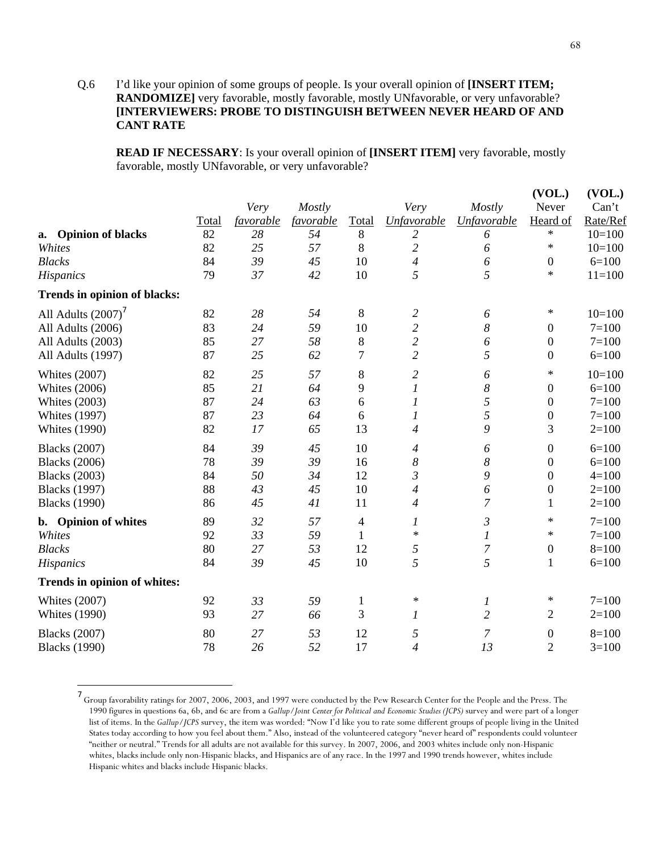### Q.6 I'd like your opinion of some groups of people. Is your overall opinion of **[INSERT ITEM; RANDOMIZE]** very favorable, mostly favorable, mostly UNfavorable, or very unfavorable? **[INTERVIEWERS: PROBE TO DISTINGUISH BETWEEN NEVER HEARD OF AND CANT RATE**

**READ IF NECESSARY**: Is your overall opinion of **[INSERT ITEM]** very favorable, mostly favorable, mostly UNfavorable, or very unfavorable?

|                                     |       |           |           |                |                          |                  | (VOL.)           | (VOL.)     |
|-------------------------------------|-------|-----------|-----------|----------------|--------------------------|------------------|------------------|------------|
|                                     |       | Very      | Mostly    |                | Very                     | Mostly           | Never            | Can't      |
|                                     | Total | favorable | favorable | <b>Total</b>   | Unfavorable              | Unfavorable      | Heard of         | Rate/Ref   |
| <b>Opinion of blacks</b><br>a.      | 82    | 28        | 54        | 8              | 2                        | 6                | $\ast$           | $10=100$   |
| Whites                              | 82    | 25        | 57        | 8              | $\overline{c}$           | 6                | $\ast$           | $10=100$   |
| <b>Blacks</b>                       | 84    | 39        | 45        | 10             | $\overline{4}$           | 6                | 0                | $6=100$    |
| Hispanics                           | 79    | 37        | 42        | 10             | 5                        | 5                | $\ast$           | $11 = 100$ |
| <b>Trends in opinion of blacks:</b> |       |           |           |                |                          |                  |                  |            |
| All Adults $(2007)^7$               | 82    | 28        | 54        | 8              | $\overline{c}$           | 6                | $\ast$           | $10=100$   |
| All Adults (2006)                   | 83    | 24        | 59        | 10             | $\overline{c}$           | 8                | 0                | $7 = 100$  |
| All Adults (2003)                   | 85    | 27        | 58        | $8\,$          | $\overline{c}$           | 6                | $\boldsymbol{0}$ | $7=100$    |
| All Adults (1997)                   | 87    | 25        | 62        | $\overline{7}$ | $\overline{2}$           | 5                | 0                | $6=100$    |
| <b>Whites (2007)</b>                | 82    | 25        | 57        | $8\,$          | $\overline{c}$           | 6                | $\ast$           | $10=100$   |
| <b>Whites (2006)</b>                | 85    | 21        | 64        | 9              | $\boldsymbol{l}$         | $\boldsymbol{8}$ | $\boldsymbol{0}$ | $6=100$    |
| <b>Whites (2003)</b>                | 87    | 24        | 63        | 6              | $\boldsymbol{l}$         | 5                | 0                | $7=100$    |
| <b>Whites (1997)</b>                | 87    | 23        | 64        | 6              | $\boldsymbol{l}$         | 5                | $\boldsymbol{0}$ | $7 = 100$  |
| <b>Whites (1990)</b>                | 82    | 17        | 65        | 13             | $\overline{\mathcal{A}}$ | 9                | 3                | $2=100$    |
| <b>Blacks</b> (2007)                | 84    | 39        | 45        | 10             | $\overline{4}$           | 6                | 0                | $6=100$    |
| <b>Blacks</b> (2006)                | 78    | 39        | 39        | 16             | $\boldsymbol{8}$         | $\boldsymbol{8}$ | $\boldsymbol{0}$ | $6=100$    |
| <b>Blacks</b> (2003)                | 84    | 50        | 34        | 12             | $\mathfrak{Z}$           | 9                | $\boldsymbol{0}$ | $4 = 100$  |
| <b>Blacks</b> (1997)                | 88    | 43        | 45        | 10             | $\overline{4}$           | 6                | 0                | $2=100$    |
| <b>Blacks</b> (1990)                | 86    | 45        | 41        | 11             | $\overline{4}$           | $\overline{7}$   | 1                | $2=100$    |
| b. Opinion of whites                | 89    | 32        | 57        | 4              | $\boldsymbol{l}$         | $\mathfrak{Z}$   | $\ast$           | $7 = 100$  |
| Whites                              | 92    | 33        | 59        | 1              | $\ast$                   | 1                | $\ast$           | $7 = 100$  |
| <b>Blacks</b>                       | 80    | 27        | 53        | 12             | 5                        | $\overline{7}$   | $\boldsymbol{0}$ | $8=100$    |
| <b>Hispanics</b>                    | 84    | 39        | 45        | 10             | 5                        | 5                | $\mathbf{1}$     | $6=100$    |
| Trends in opinion of whites:        |       |           |           |                |                          |                  |                  |            |
| <b>Whites (2007)</b>                | 92    | 33        | 59        | $\mathbf{1}$   | $\ast$                   | 1                | ∗                | $7 = 100$  |
| <b>Whites (1990)</b>                | 93    | 27        | 66        | 3              | $\boldsymbol{l}$         | $\overline{2}$   | $\overline{2}$   | $2=100$    |
| <b>Blacks</b> (2007)                | 80    | 27        | 53        | 12             | 5                        | 7                | 0                | $8=100$    |
| <b>Blacks</b> (1990)                | 78    | 26        | 52        | 17             | $\overline{4}$           | 13               | $\overline{2}$   | $3=100$    |

<sup>7</sup> Group favorability ratings for 2007, 2006, 2003, and 1997 were conducted by the Pew Research Center for the People and the Press. The 1990 figures in questions 6a, 6b, and 6c are from a *Gallup/Joint Center for Political and Economic Studies (JCPS)* survey and were part of a longer list of items. In the *Gallup/JCPS* survey, the item was worded: "Now I'd like you to rate some different groups of people living in the United States today according to how you feel about them." Also, instead of the volunteered category "never heard of" respondents could volunteer "neither or neutral." Trends for all adults are not available for this survey. In 2007, 2006, and 2003 whites include only non-Hispanic whites, blacks include only non-Hispanic blacks, and Hispanics are of any race. In the 1997 and 1990 trends however, whites include Hispanic whites and blacks include Hispanic blacks.

l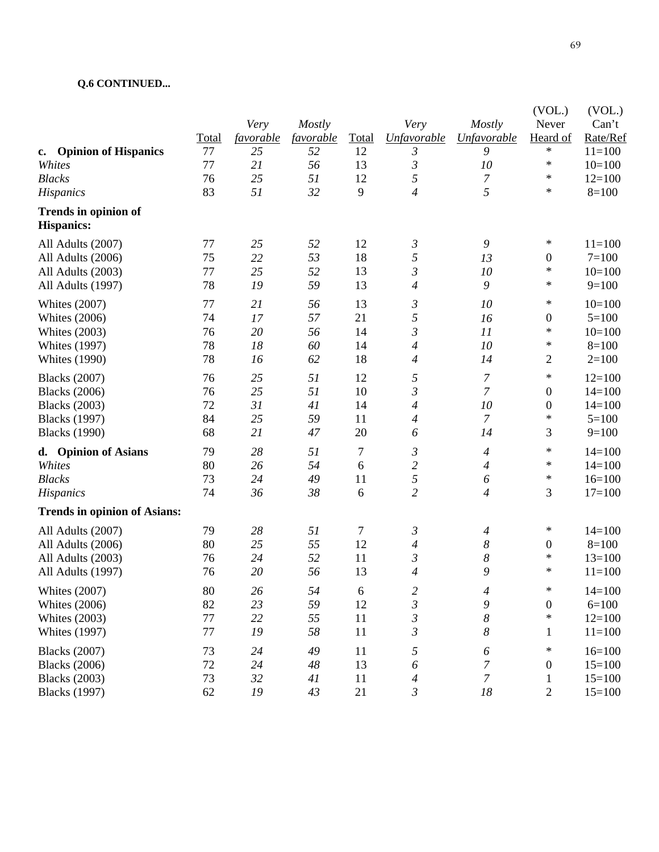### **Q.6 CONTINUED...**

|                                                  |             | Very                   | <b>Mostly</b>   |                  | Very                     | Mostly                   | (VOL.)<br>Never    | (VOL.)<br>Can't      |
|--------------------------------------------------|-------------|------------------------|-----------------|------------------|--------------------------|--------------------------|--------------------|----------------------|
| <b>Opinion of Hispanics</b>                      | Total<br>77 | <i>favorable</i><br>25 | favorable<br>52 | Total<br>12      | <b>Unfavorable</b><br>3  | <b>Unfavorable</b><br>9  | Heard of<br>$\ast$ | Rate/Ref<br>$11=100$ |
| $\mathbf{c}$ .<br>Whites                         | 77          | 21                     | 56              | 13               | $\mathfrak{Z}$           | 10                       | $\ast$             | $10=100$             |
| <b>Blacks</b>                                    | 76          | 25                     | 51              | 12               | 5                        | 7                        | $\ast$             | $12=100$             |
| Hispanics                                        | 83          | 51                     | 32              | 9                | $\overline{\mathcal{A}}$ | 5                        | $\ast$             | $8=100$              |
| <b>Trends in opinion of</b><br><b>Hispanics:</b> |             |                        |                 |                  |                          |                          |                    |                      |
| All Adults (2007)                                | 77          | 25                     | 52              | 12               | 3                        | $\boldsymbol{9}$         | $\ast$             | $11=100$             |
| All Adults (2006)                                | 75          | 22                     | 53              | 18               | 5                        | 13                       | $\boldsymbol{0}$   | $7=100$              |
| All Adults (2003)                                | 77          | 25                     | 52              | 13               | $\mathfrak{Z}$           | 10                       | $\ast$             | $10=100$             |
| All Adults (1997)                                | 78          | 19                     | 59              | 13               | 4                        | 9                        | $\ast$             | $9=100$              |
| <b>Whites (2007)</b>                             | 77          | 21                     | 56              | 13               | 3                        | 10                       | $\ast$             | $10=100$             |
| <b>Whites (2006)</b>                             | 74          | 17                     | 57              | 21               | 5                        | 16                       | $\boldsymbol{0}$   | $5=100$              |
| <b>Whites (2003)</b>                             | 76          | 20                     | 56              | 14               | $\mathfrak{Z}$           | 11                       | $\ast$             | $10=100$             |
| <b>Whites (1997)</b>                             | 78          | 18                     | 60              | 14               | 4                        | 10                       | $\ast$             | $8=100$              |
| <b>Whites (1990)</b>                             | 78          | 16                     | 62              | 18               | 4                        | 14                       | $\mathbf{2}$       | $2=100$              |
| <b>Blacks</b> (2007)                             | 76          | 25                     | 51              | 12               | 5                        | $\boldsymbol{7}$         | $\ast$             | $12=100$             |
| <b>Blacks</b> (2006)                             | 76          | 25                     | 51              | 10               | $\mathfrak{Z}$           | $\overline{7}$           | $\boldsymbol{0}$   | $14=100$             |
| <b>Blacks</b> (2003)                             | 72          | 31                     | 41              | 14               | 4                        | 10                       | $\boldsymbol{0}$   | $14=100$             |
| <b>Blacks</b> (1997)                             | 84          | 25                     | 59              | 11               | $\overline{\mathcal{A}}$ | $\overline{7}$           | $\ast$             | $5=100$              |
| <b>Blacks</b> (1990)                             | 68          | 21                     | 47              | 20               | 6                        | 14                       | 3                  | $9=100$              |
| <b>Opinion of Asians</b><br>d.                   | 79          | 28                     | 51              | $\boldsymbol{7}$ | 3                        | $\overline{\mathcal{A}}$ | $\ast$             | $14=100$             |
| Whites                                           | 80          | 26                     | 54              | 6                | $\overline{c}$           | 4                        | $\ast$             | $14=100$             |
| <b>Blacks</b>                                    | 73          | 24                     | 49              | 11               | 5                        | 6                        | $\ast$             | $16=100$             |
| Hispanics                                        | 74          | 36                     | 38              | 6                | $\overline{2}$           | $\overline{4}$           | 3                  | $17=100$             |
| <b>Trends in opinion of Asians:</b>              |             |                        |                 |                  |                          |                          |                    |                      |
| All Adults (2007)                                | 79          | 28                     | 51              | 7                | 3                        | 4                        | ∗                  | $14=100$             |
| All Adults (2006)                                | 80          | 25                     | 55              | 12               | 4                        | 8                        | $\boldsymbol{0}$   | $8=100$              |
| All Adults (2003)                                | 76          | 24                     | 52              | 11               | $\mathfrak{Z}$           | 8                        | $\ast$             | $13=100$             |
| All Adults (1997)                                | 76          | 20                     | 56              | 13               | 4                        | 9                        | $\ast$             | $11=100$             |
| <b>Whites (2007)</b>                             | 80          | 26                     | 54              | 6                | $\overline{\mathbf{c}}$  | 4                        | $\ast$             | $14=100$             |
| <b>Whites (2006)</b>                             | 82          | 23                     | 59              | 12               | $\mathfrak{Z}$           | 9                        | $\boldsymbol{0}$   | $6=100$              |
| <b>Whites (2003)</b>                             | $77 \,$     | 22                     | 55              | 11               | $\mathfrak{Z}$           | $\boldsymbol{8}$         | $\ast$             | $12=100$             |
| <b>Whites (1997)</b>                             | 77          | 19                     | 58              | 11               | $\mathfrak{Z}$           | $\boldsymbol{8}$         | $\mathbf{1}$       | $11=100$             |
| <b>Blacks</b> (2007)                             | 73          | 24                     | 49              | 11               | 5                        | 6                        | $\ast$             | $16=100$             |
| <b>Blacks</b> (2006)                             | $72\,$      | 24                     | 48              | 13               | $\boldsymbol{\delta}$    | $\boldsymbol{7}$         | $\boldsymbol{0}$   | $15=100$             |
| <b>Blacks</b> (2003)                             | 73          | 32                     | 41              | 11               | $\overline{4}$           | $\boldsymbol{7}$         | $\mathbf 1$        | $15=100$             |
| <b>Blacks</b> (1997)                             | 62          | 19                     | 43              | 21               | $\mathfrak{Z}$           | 18                       | $\mathbf{2}$       | $15=100$             |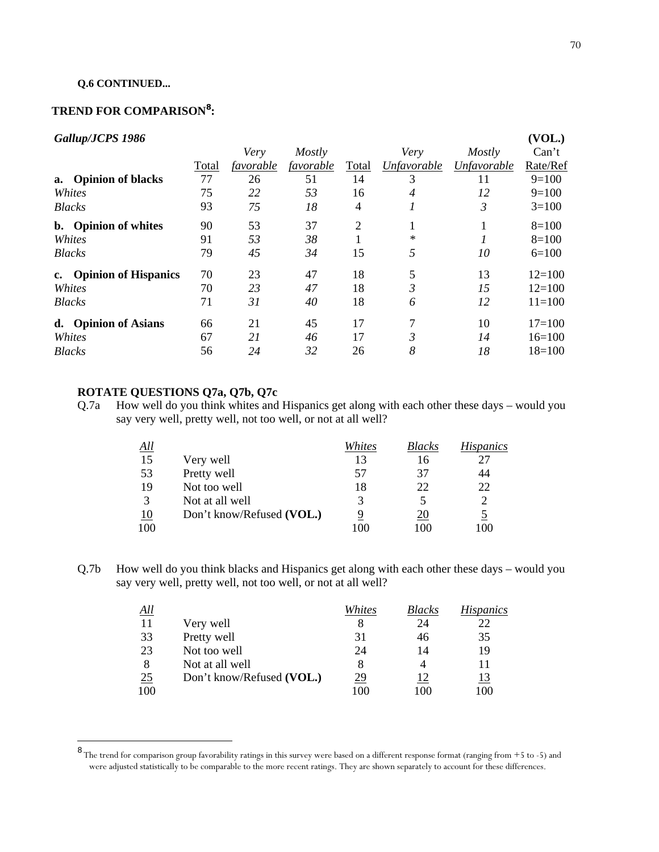#### **Q.6 CONTINUED...**

## **TREND FOR COMPARISON<sup>8</sup> :**

## *Gallup/JCPS 1986*

| Gallup/JCPS 1986        |       |           |           |       |             |             | (VOL.)     |
|-------------------------|-------|-----------|-----------|-------|-------------|-------------|------------|
|                         |       | Very      | Mostly    |       | Very        | Mostly      | Can't      |
|                         | Total | favorable | favorable | Total | Unfavorable | Unfavorable | Rate/Ref   |
| a. Opinion of blacks    | 77    | 26        | 51        | 14    | 3           | 11          | $9=100$    |
| Whites                  | 75    | 22        | 53        | 16    | 4           | 12          | $9=100$    |
| <b>Blacks</b>           | 93    | 75        | 18        | 4     |             | 3           | $3=100$    |
| b. Opinion of whites    | 90    | 53        | 37        | 2     |             |             | $8=100$    |
| Whites                  | 91    | 53        | 38        |       | $\ast$      |             | $8=100$    |
| <b>Blacks</b>           | 79    | 45        | 34        | 15    | 5           | 10          | $6=100$    |
| c. Opinion of Hispanics | 70    | 23        | 47        | 18    | 5           | 13          | $12=100$   |
| Whites                  | 70    | 23        | 47        | 18    | 3           | 15          | $12=100$   |
| <b>Blacks</b>           | 71    | 31        | 40        | 18    | 6           | 12          | $11 = 100$ |
| d. Opinion of Asians    | 66    | 21        | 45        | 17    | 7           | 10          | $17=100$   |
| Whites                  | 67    | 21        | 46        | 17    | 3           | 14          | $16=100$   |
| <b>Blacks</b>           | 56    | 24        | 32        | 26    | 8           | 18          | $18=100$   |

## **ROTATE QUESTIONS Q7a, Q7b, Q7c**

Q.7a How well do you think whites and Hispanics get along with each other these days – would you say very well, pretty well, not too well, or not at all well?

| <u>All</u>    |                           | Whites | <i>Blacks</i> | <i>Hispanics</i> |
|---------------|---------------------------|--------|---------------|------------------|
| 15            | Very well                 | 13     | 16            | 27               |
| 53            | Pretty well               | 57     | 37            | 44               |
| 19            | Not too well              | 18     | 22            | 22               |
| $\mathcal{R}$ | Not at all well           |        |               | 2                |
| 10            | Don't know/Refused (VOL.) | 9      | 20            | <u>5</u>         |
| 100           |                           |        | 100           | '00              |

Q.7b How well do you think blacks and Hispanics get along with each other these days – would you say very well, pretty well, not too well, or not at all well?

| <u>All</u> |                           | Whites    | <b>Blacks</b> | Hispanics  |
|------------|---------------------------|-----------|---------------|------------|
| 11         | Very well                 | 8         | 24            | 22         |
| 33         | Pretty well               | 31        | 46            | 35         |
| 23         | Not too well              | 24        | 14            | 19         |
| -8         | Not at all well           | 8         |               |            |
| 25         | Don't know/Refused (VOL.) | <u>29</u> | 12            | <u> 13</u> |
| 100        |                           | 100       | 100           | 100        |

 8 The trend for comparison group favorability ratings in this survey were based on a different response format (ranging from +5 to -5) and were adjusted statistically to be comparable to the more recent ratings. They are shown separately to account for these differences.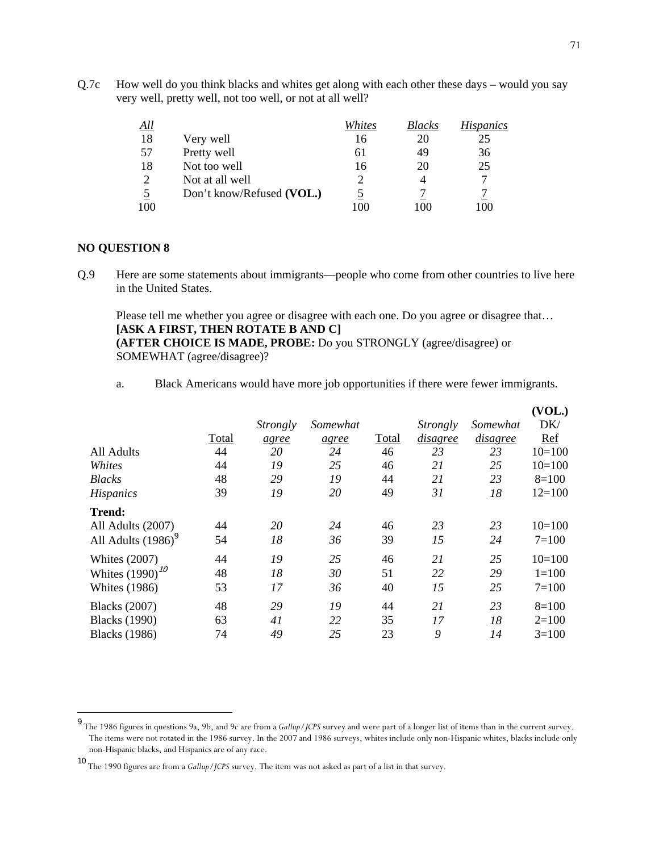Q.7c How well do you think blacks and whites get along with each other these days – would you say very well, pretty well, not too well, or not at all well?

| <u>All</u>    |                           | Whites | <i>Blacks</i> | <i>Hispanics</i> |
|---------------|---------------------------|--------|---------------|------------------|
| 18            | Very well                 | 16     | 20            | 25               |
| .57           | Pretty well               | 61     | 49            | 36               |
| 18            | Not too well              | 16     | 20            | 25               |
| $\mathcal{D}$ | Not at all well           |        |               | 7                |
|               | Don't know/Refused (VOL.) |        |               |                  |
| 100           |                           |        | 100           | OC               |

#### **NO QUESTION 8**

Q.9 Here are some statements about immigrants—people who come from other countries to live here in the United States.

 Please tell me whether you agree or disagree with each one. Do you agree or disagree that… **[ASK A FIRST, THEN ROTATE B AND C] (AFTER CHOICE IS MADE, PROBE:** Do you STRONGLY (agree/disagree) or SOMEWHAT (agree/disagree)?

a. Black Americans would have more job opportunities if there were fewer immigrants.

|                       |       |                 |          |       |          |          | (VOL.)    |
|-----------------------|-------|-----------------|----------|-------|----------|----------|-----------|
|                       |       | <i>Strongly</i> | Somewhat |       | Strongly | Somewhat | DK/       |
|                       | Total | agree           | agree    | Total | disagree | disagree | Ref       |
| All Adults            | 44    | 20              | 24       | 46    | 23       | 23       | $10=100$  |
| Whites                | 44    | 19              | 25       | 46    | 21       | 25       | $10=100$  |
| <b>Blacks</b>         | 48    | 29              | 19       | 44    | 21       | 23       | $8=100$   |
| <i>Hispanics</i>      | 39    | 19              | 20       | 49    | 31       | 18       | $12=100$  |
| <b>Trend:</b>         |       |                 |          |       |          |          |           |
| All Adults (2007)     | 44    | 20              | 24       | 46    | 23       | 23       | $10=100$  |
| All Adults $(1986)^9$ | 54    | 18              | 36       | 39    | 15       | 24       | $7 = 100$ |
| <b>Whites</b> (2007)  | 44    | 19              | 25       | 46    | 21       | 25       | $10=100$  |
| Whites $(1990)^{10}$  | 48    | 18              | 30       | 51    | 22       | 29       | $1 = 100$ |
| <b>Whites</b> (1986)  | 53    | 17              | 36       | 40    | 15       | 25       | $7=100$   |
| <b>Blacks</b> (2007)  | 48    | 29              | 19       | 44    | 21       | 23       | $8=100$   |
| <b>Blacks</b> (1990)  | 63    | 41              | 22       | 35    | 17       | 18       | $2=100$   |
| <b>Blacks</b> (1986)  | 74    | 49              | 25       | 23    | 9        | 14       | $3=100$   |

 9 The 1986 figures in questions 9a, 9b, and 9c are from a *Gallup/JCPS* survey and were part of a longer list of items than in the current survey. The items were not rotated in the 1986 survey. In the 2007 and 1986 surveys, whites include only non-Hispanic whites, blacks include only non-Hispanic blacks, and Hispanics are of any race.

<sup>10</sup> The 1990 figures are from a *Gallup/JCPS* survey. The item was not asked as part of a list in that survey.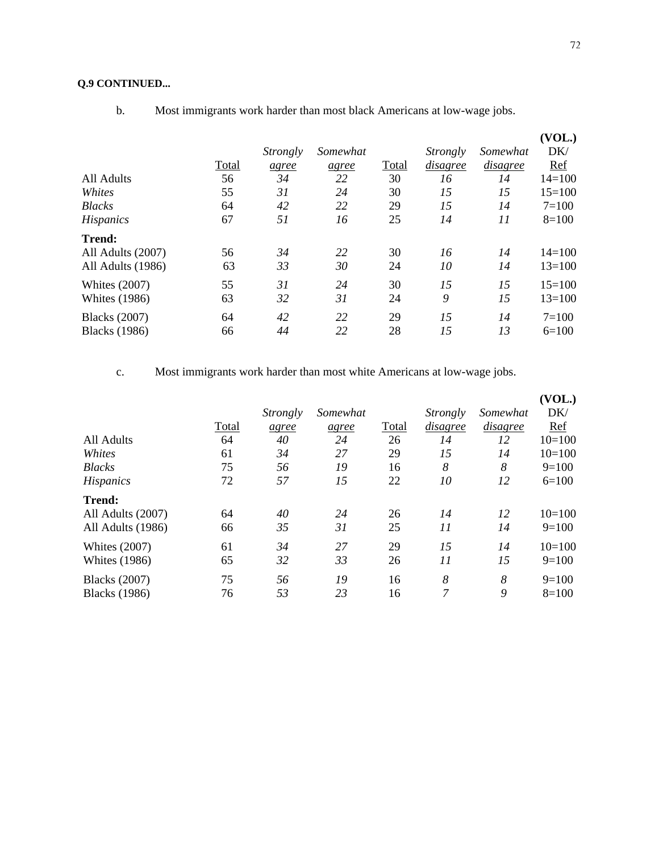b. Most immigrants work harder than most black Americans at low-wage jobs.

| All Adults<br>Whites<br><b>Blacks</b><br><b>Hispanics</b> | Total<br>56<br>55<br>64<br>67 | <i>Strongly</i><br>agree<br>34<br>31<br>42<br>51 | Somewhat<br>agree<br>22<br>24<br>22<br>16 | Total<br>30<br>30<br>29<br>25 | Strongly<br>disagree<br>16<br>15<br>15<br>14 | Somewhat<br><i>disagree</i><br>14<br>15<br>14<br>11 | (VOL.)<br>DK/<br>Ref<br>$14 = 100$<br>$15=100$<br>$7 = 100$<br>$8=100$ |
|-----------------------------------------------------------|-------------------------------|--------------------------------------------------|-------------------------------------------|-------------------------------|----------------------------------------------|-----------------------------------------------------|------------------------------------------------------------------------|
| <b>Trend:</b><br>All Adults (2007)<br>All Adults (1986)   | 56<br>63                      | 34<br>33                                         | 22<br>30                                  | 30<br>24                      | 16<br>10                                     | 14<br>14                                            | $14 = 100$<br>$13=100$                                                 |
| <b>Whites (2007)</b>                                      | 55                            | 31                                               | 24                                        | 30                            | 15                                           | 15                                                  | $15=100$                                                               |
| <b>Whites</b> (1986)                                      | 63                            | 32                                               | 31                                        | 24                            | 9                                            | 15                                                  | $13=100$                                                               |
| <b>Blacks</b> (2007)                                      | 64                            | 42                                               | 22                                        | 29                            | 15                                           | 14                                                  | $7=100$                                                                |
| <b>Blacks</b> (1986)                                      | 66                            | 44                                               | 22                                        | 28                            | 15                                           | 13                                                  | $6=100$                                                                |

c. Most immigrants work harder than most white Americans at low-wage jobs.

|                      |       |          |          |       |                 |          | (VOL.)   |
|----------------------|-------|----------|----------|-------|-----------------|----------|----------|
|                      |       | Strongly | Somewhat |       | <i>Strongly</i> | Somewhat | DK/      |
|                      | Total | agree    | agree    | Total | disagree        | disagree | Ref      |
| All Adults           | 64    | 40       | 24       | 26    | 14              | 12       | $10=100$ |
| Whites               | 61    | 34       | 27       | 29    | 15              | 14       | $10=100$ |
| <b>Blacks</b>        | 75    | 56       | 19       | 16    | 8               | 8        | $9=100$  |
| <b>Hispanics</b>     | 72    | 57       | 15       | 22    | 10              | 12       | $6=100$  |
| <b>Trend:</b>        |       |          |          |       |                 |          |          |
| All Adults (2007)    | 64    | 40       | 24       | 26    | 14              | 12       | $10=100$ |
| All Adults (1986)    | 66    | 35       | 31       | 25    | 11              | 14       | $9=100$  |
| <b>Whites (2007)</b> | 61    | 34       | 27       | 29    | 15              | 14       | $10=100$ |
| <b>Whites (1986)</b> | 65    | 32       | 33       | 26    | 11              | 15       | $9=100$  |
| <b>Blacks</b> (2007) | 75    | 56       | 19       | 16    | 8               | 8        | $9=100$  |
| <b>Blacks</b> (1986) | 76    | 53       | 23       | 16    | 7               | 9        | $8=100$  |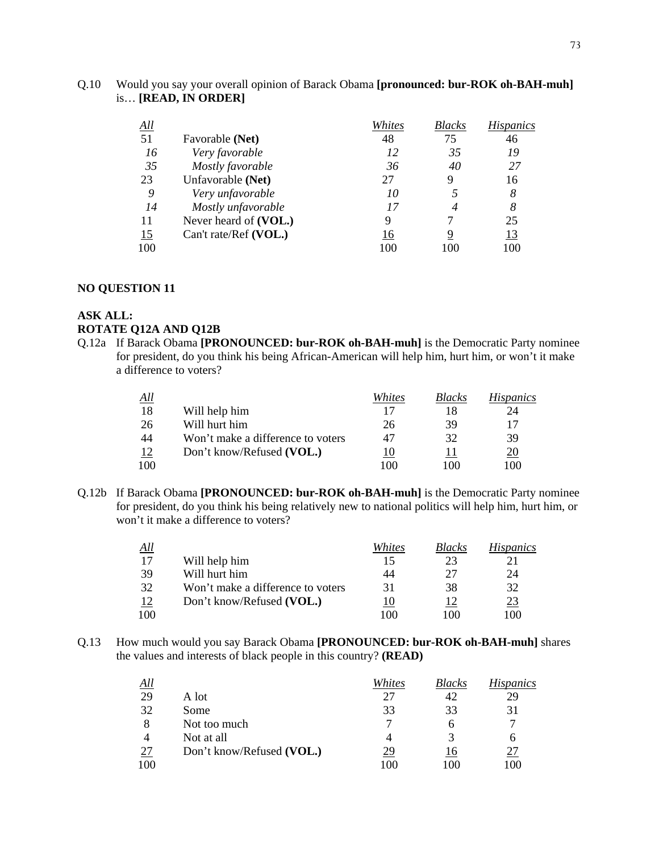| Q.10 | Would you say your overall opinion of Barack Obama [pronounced: bur-ROK oh-BAH-muh] |  |
|------|-------------------------------------------------------------------------------------|--|
|      | $is$ [READ, IN ORDER]                                                               |  |

| $\Delta$ ll |                       | Whites | <i>Blacks</i>  | <i>Hispanics</i> |
|-------------|-----------------------|--------|----------------|------------------|
| 51          | Favorable (Net)       | 48     | 75             | 46               |
| 16          | Very favorable        | 12     | 35             | 19               |
| 35          | Mostly favorable      | 36     | 40             | 27               |
| 23          | Unfavorable (Net)     | 27     | 9              | 16               |
| 9           | Very unfavorable      | 10     |                | 8                |
| 14          | Mostly unfavorable    | 17     | $\overline{4}$ | 8                |
| 11          | Never heard of (VOL.) | 9      |                | 25               |
| 15          | Can't rate/Ref (VOL.) | 16     | 9              | <u>13</u>        |
| 100         |                       | 100    |                | 100              |

#### **NO QUESTION 11**

#### **ASK ALL: ROTATE Q12A AND Q12B**

Q.12a If Barack Obama **[PRONOUNCED: bur-ROK oh-BAH-muh]** is the Democratic Party nominee for president, do you think his being African-American will help him, hurt him, or won't it make a difference to voters?

| All |                                   | Whites | <b>Blacks</b> | <i>Hispanics</i> |
|-----|-----------------------------------|--------|---------------|------------------|
| 18  | Will help him                     |        |               | 24               |
| 26  | Will hurt him                     | 26     | 39            | 17               |
| 44  | Won't make a difference to voters | 47     | 32            | 39               |
| 12  | Don't know/Refused (VOL.)         | ιU     |               | <u>20</u>        |
| 100 |                                   | 100    | 100           | 100              |

Q.12b If Barack Obama **[PRONOUNCED: bur-ROK oh-BAH-muh]** is the Democratic Party nominee for president, do you think his being relatively new to national politics will help him, hurt him, or won't it make a difference to voters?

| All |                                   | Whites | <i>Blacks</i> | <i>Hispanics</i> |
|-----|-----------------------------------|--------|---------------|------------------|
| 17  | Will help him                     | 15     | 23            |                  |
| -39 | Will hurt him                     | 44     | 27            | 24               |
| 32  | Won't make a difference to voters | 31     | 38            | 32               |
| 12  | Don't know/Refused (VOL.)         |        |               | 23               |
| 100 |                                   | 100    | ഥറ            | 100              |

Q.13 How much would you say Barack Obama **[PRONOUNCED: bur-ROK oh-BAH-muh]** shares the values and interests of black people in this country? **(READ)**

| All |                           | Whites | <b>Blacks</b> | <i>Hispanics</i> |
|-----|---------------------------|--------|---------------|------------------|
| 29  | A lot                     | 27     | 42            | 29               |
| 32  | Some                      | 33     | 33            | 31               |
| 8   | Not too much              |        | n             | 7                |
|     | Not at all                |        |               | n                |
| 27  | Don't know/Refused (VOL.) | 29     | 16            | 27               |
| 100 |                           | 100    | 100           | 100              |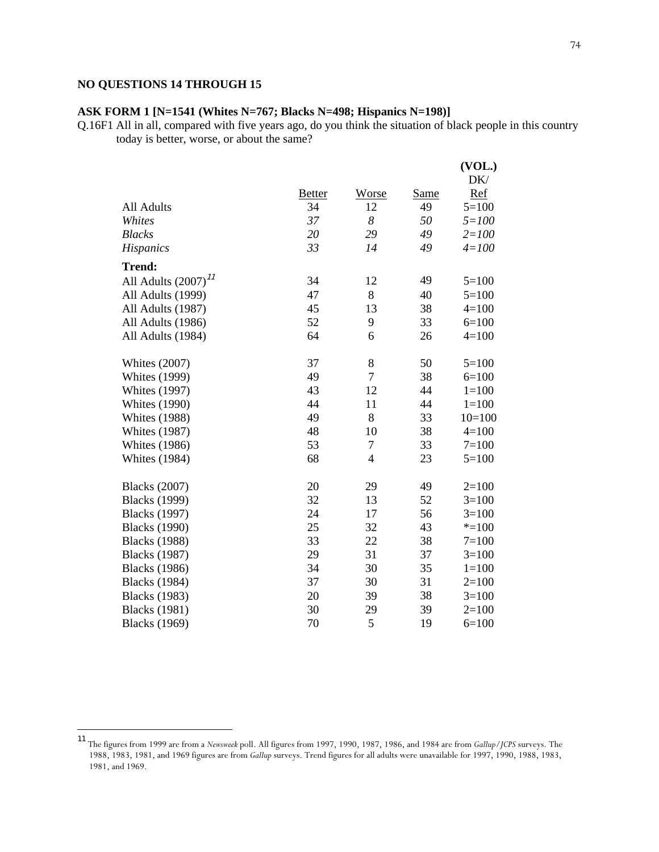## **NO QUESTIONS 14 THROUGH 15**

1

## **ASK FORM 1 [N=1541 (Whites N=767; Blacks N=498; Hispanics N=198)]**

Q.16F1 All in all, compared with five years ago, do you think the situation of black people in this country today is better, worse, or about the same?

|                          |               |                  |             | (VOL.)<br>DK/ |
|--------------------------|---------------|------------------|-------------|---------------|
|                          | <b>Better</b> | Worse            | <b>Same</b> | Ref           |
| All Adults               | 34            | 12               | 49          | $5=100$       |
| Whites                   | 37            | $\boldsymbol{8}$ | 50          | $5 = 100$     |
| <b>Blacks</b>            | 20            | 29               | 49          | $2 = 100$     |
| <b>Hispanics</b>         | 33            | 14               | 49          | $4 = 100$     |
| <b>Trend:</b>            |               |                  |             |               |
| All Adults $(2007)^{11}$ | 34            | 12               | 49          | $5 = 100$     |
| All Adults (1999)        | 47            | 8                | 40          | $5 = 100$     |
| All Adults (1987)        | 45            | 13               | 38          | $4 = 100$     |
| All Adults (1986)        | 52            | 9                | 33          | $6=100$       |
| All Adults (1984)        | 64            | 6                | 26          | $4 = 100$     |
| <b>Whites (2007)</b>     | 37            | 8                | 50          | $5=100$       |
| <b>Whites (1999)</b>     | 49            | $\tau$           | 38          | $6=100$       |
| <b>Whites (1997)</b>     | 43            | 12               | 44          | $1 = 100$     |
| <b>Whites (1990)</b>     | 44            | 11               | 44          | $1 = 100$     |
| <b>Whites (1988)</b>     | 49            | 8                | 33          | $10=100$      |
| <b>Whites (1987)</b>     | 48            | 10               | 38          | $4 = 100$     |
| <b>Whites</b> (1986)     | 53            | $\tau$           | 33          | $7=100$       |
| <b>Whites (1984)</b>     | 68            | $\overline{4}$   | 23          | $5=100$       |
| <b>Blacks</b> (2007)     | 20            | 29               | 49          | $2=100$       |
| <b>Blacks</b> (1999)     | 32            | 13               | 52          | $3=100$       |
| <b>Blacks</b> (1997)     | 24            | 17               | 56          | $3=100$       |
| <b>Blacks</b> (1990)     | 25            | 32               | 43          | $* = 100$     |
| <b>Blacks</b> (1988)     | 33            | 22               | 38          | $7=100$       |
| <b>Blacks</b> (1987)     | 29            | 31               | 37          | $3=100$       |
| <b>Blacks</b> (1986)     | 34            | 30               | 35          | $1 = 100$     |
| <b>Blacks</b> (1984)     | 37            | 30               | 31          | $2=100$       |
| <b>Blacks</b> (1983)     | 20            | 39               | 38          | $3=100$       |
| <b>Blacks</b> (1981)     | 30            | 29               | 39          | $2=100$       |
| <b>Blacks</b> (1969)     | 70            | 5                | 19          | $6=100$       |

<sup>11</sup> The figures from 1999 are from a *Newsweek* poll. All figures from 1997, 1990, 1987, 1986, and 1984 are from *Gallup/JCPS* surveys. The 1988, 1983, 1981, and 1969 figures are from *Gallup* surveys. Trend figures for all adults were unavailable for 1997, 1990, 1988, 1983, 1981, and 1969.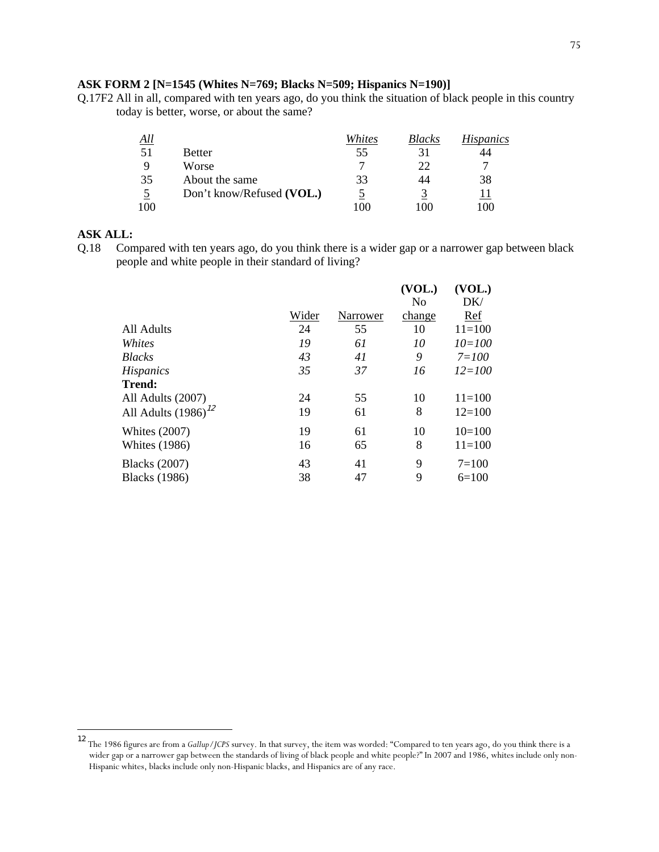#### **ASK FORM 2 [N=1545 (Whites N=769; Blacks N=509; Hispanics N=190)]**

Q.17F2 All in all, compared with ten years ago, do you think the situation of black people in this country today is better, worse, or about the same?

| All |                           | Whites | <b>Blacks</b> | <i>Hispanics</i> |
|-----|---------------------------|--------|---------------|------------------|
| 51  | Better                    | 55     | 31            | 44               |
|     | Worse                     |        | 22            |                  |
| 35  | About the same            | 33     | 44            | 38               |
|     | Don't know/Refused (VOL.) |        |               |                  |
| 100 |                           | 100    | 00            | 100              |

#### **ASK ALL:**

1

Q.18 Compared with ten years ago, do you think there is a wider gap or a narrower gap between black people and white people in their standard of living?

|                          |       |          | (VOL.) | (VOL.)     |
|--------------------------|-------|----------|--------|------------|
|                          |       |          | No     | DK/        |
|                          | Wider | Narrower | change | Ref        |
| All Adults               | 24    | 55       | 10     | $11 = 100$ |
| Whites                   | 19    | 61       | 10     | $10 = 100$ |
| <b>Blacks</b>            | 43    | 41       | 9      | $7 = 100$  |
| <b>Hispanics</b>         | 35    | 37       | 16     | $12 = 100$ |
| <b>Trend:</b>            |       |          |        |            |
| All Adults (2007)        | 24    | 55       | 10     | $11 = 100$ |
| All Adults $(1986)^{12}$ | 19    | 61       | 8      | $12 = 100$ |
| Whites $(2007)$          | 19    | 61       | 10     | $10=100$   |
| <b>Whites</b> (1986)     | 16    | 65       | 8      | $11 = 100$ |
| <b>Blacks</b> (2007)     | 43    | 41       | 9      | $7=100$    |
| <b>Blacks</b> (1986)     | 38    | 47       | 9      | $6=100$    |

<sup>12</sup> The 1986 figures are from a *Gallup/JCPS* survey. In that survey, the item was worded: "Compared to ten years ago, do you think there is a wider gap or a narrower gap between the standards of living of black people and white people?" In 2007 and 1986, whites include only non-Hispanic whites, blacks include only non-Hispanic blacks, and Hispanics are of any race.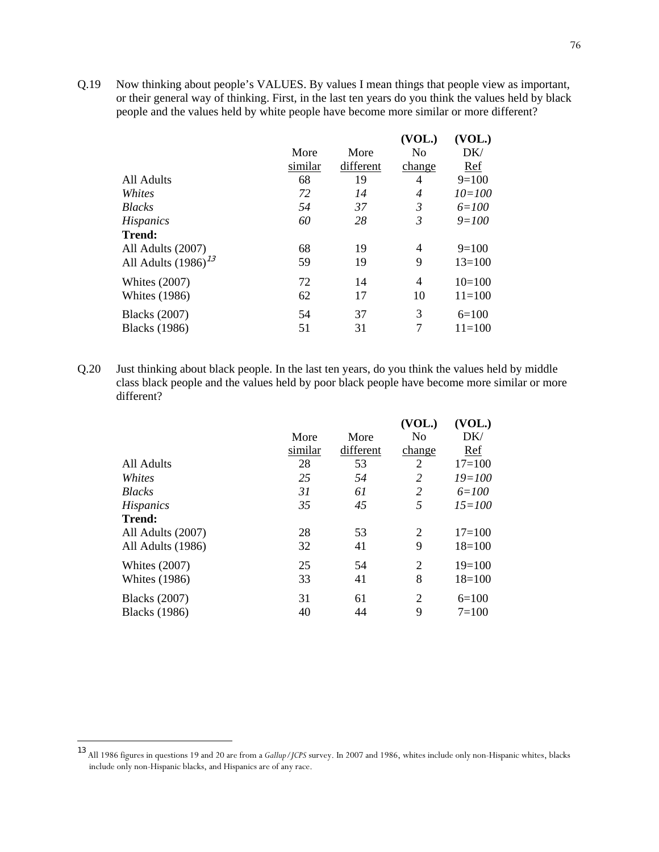Q.19 Now thinking about people's VALUES. By values I mean things that people view as important, or their general way of thinking. First, in the last ten years do you think the values held by black people and the values held by white people have become more similar or more different?

|                          |         |           | (VOL.) | (VOL.)     |
|--------------------------|---------|-----------|--------|------------|
|                          | More    | More      | No     | DK/        |
|                          | similar | different | change | Ref        |
| All Adults               | 68      | 19        | 4      | $9=100$    |
| Whites                   | 72      | 14        | 4      | $10 = 100$ |
| <b>Blacks</b>            | 54      | 37        | 3      | $6 = 100$  |
| <b>Hispanics</b>         | 60      | 28        | 3      | $9 = 100$  |
| <b>Trend:</b>            |         |           |        |            |
| All Adults (2007)        | 68      | 19        | 4      | $9=100$    |
| All Adults $(1986)^{13}$ | 59      | 19        | 9      | $13 = 100$ |
| <b>Whites (2007)</b>     | 72      | 14        | 4      | $10=100$   |
| <b>Whites</b> (1986)     | 62      | 17        | 10     | $11 = 100$ |
| <b>Blacks</b> (2007)     | 54      | 37        | 3      | $6=100$    |
| <b>Blacks</b> (1986)     | 51      | 31        | 7      | $11 = 100$ |

Q.20 Just thinking about black people. In the last ten years, do you think the values held by middle class black people and the values held by poor black people have become more similar or more different?

|                      |         |           | (VOL.)         | (VOL.)     |
|----------------------|---------|-----------|----------------|------------|
|                      | More    | More      | No             | DK/        |
|                      | similar | different | change         | Ref        |
| All Adults           | 28      | 53        | 2              | $17 = 100$ |
| Whites               | 25      | 54        | 2              | $19 = 100$ |
| <b>Blacks</b>        | 31      | 61        | 2              | $6 = 100$  |
| <b>Hispanics</b>     | 35      | 45        | 5              | $15 = 100$ |
| <b>Trend:</b>        |         |           |                |            |
| All Adults (2007)    | 28      | 53        | $\overline{2}$ | $17 = 100$ |
| All Adults (1986)    | 32      | 41        | 9              | $18=100$   |
| <b>Whites (2007)</b> | 25      | 54        | 2              | $19=100$   |
| <b>Whites</b> (1986) | 33      | 41        | 8              | $18=100$   |
| <b>Blacks</b> (2007) | 31      | 61        | $\overline{2}$ | $6=100$    |
| <b>Blacks</b> (1986) | 40      | 44        | 9              | $7=100$    |

-

<sup>13</sup> All 1986 figures in questions 19 and 20 are from a *Gallup/JCPS* survey. In 2007 and 1986, whites include only non-Hispanic whites, blacks include only non-Hispanic blacks, and Hispanics are of any race.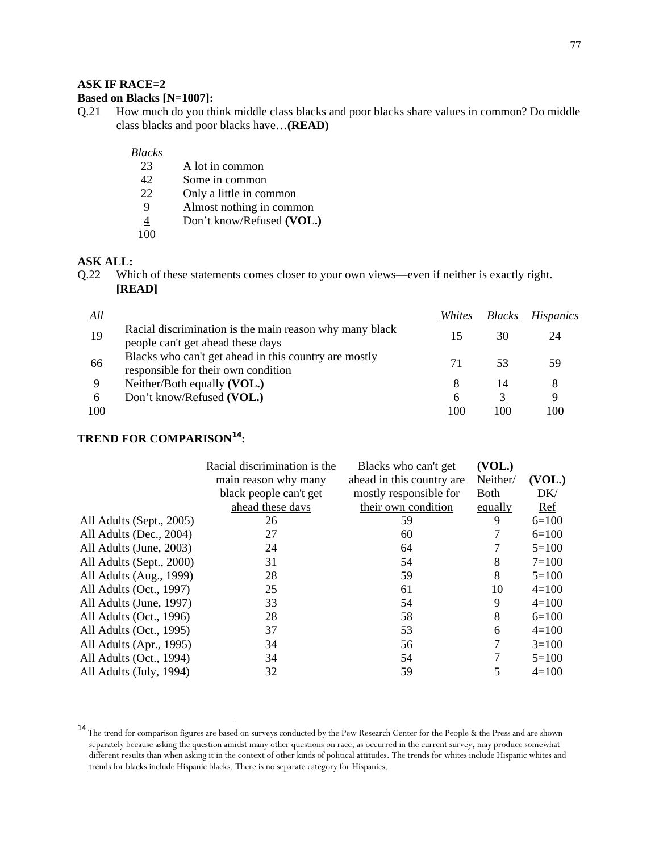#### **ASK IF RACE=2**

#### **Based on Blacks [N=1007]:**

Q.21 How much do you think middle class blacks and poor blacks share values in common? Do middle class blacks and poor blacks have…**(READ)** 

#### *Blacks*

- 23 A lot in common
- 42 Some in common
- 22 Only a little in common
- 9 Almost nothing in common
- 4 Don't know/Refused **(VOL.)**
- 100

## **ASK ALL:**

l

Q.22 Which of these statements comes closer to your own views—even if neither is exactly right. **[READ]** 

| All      |                                                                                              | Whites   | <b>Blacks</b> | <i>Hispanics</i> |
|----------|----------------------------------------------------------------------------------------------|----------|---------------|------------------|
| 19       | Racial discrimination is the main reason why many black<br>people can't get ahead these days | 15       | 30            | 24               |
| 66       | Blacks who can't get ahead in this country are mostly<br>responsible for their own condition | 71       | 53            | 59               |
|          | Neither/Both equally (VOL.)                                                                  | 8        | 14            |                  |
| 6<br>100 | Don't know/Refused (VOL.)                                                                    | 6<br>100 | 100           | 9<br>100         |

## **TREND FOR COMPARISON<sup>14</sup>:**

|                          | Racial discrimination is the | Blacks who can't get      | (VOL.)      |           |
|--------------------------|------------------------------|---------------------------|-------------|-----------|
|                          | main reason why many         | ahead in this country are | Neither/    | (VOL.)    |
|                          | black people can't get       | mostly responsible for    | <b>Both</b> | DK/       |
|                          | ahead these days             | their own condition       | equally     | Ref       |
| All Adults (Sept., 2005) | 26                           | 59                        | 9           | $6=100$   |
| All Adults (Dec., 2004)  | 27                           | 60                        |             | $6=100$   |
| All Adults (June, 2003)  | 24                           | 64                        |             | $5=100$   |
| All Adults (Sept., 2000) | 31                           | 54                        | 8           | $7 = 100$ |
| All Adults (Aug., 1999)  | 28                           | 59                        | 8           | $5=100$   |
| All Adults (Oct., 1997)  | 25                           | 61                        | 10          | $4=100$   |
| All Adults (June, 1997)  | 33                           | 54                        | 9           | $4=100$   |
| All Adults (Oct., 1996)  | 28                           | 58                        | 8           | $6=100$   |
| All Adults (Oct., 1995)  | 37                           | 53                        | 6           | $4=100$   |
| All Adults (Apr., 1995)  | 34                           | 56                        |             | $3=100$   |
| All Adults (Oct., 1994)  | 34                           | 54                        |             | $5=100$   |
| All Adults (July, 1994)  | 32                           | 59                        | 5           | $4=100$   |
|                          |                              |                           |             |           |

<sup>14</sup> The trend for comparison figures are based on surveys conducted by the Pew Research Center for the People & the Press and are shown separately because asking the question amidst many other questions on race, as occurred in the current survey, may produce somewhat different results than when asking it in the context of other kinds of political attitudes. The trends for whites include Hispanic whites and trends for blacks include Hispanic blacks. There is no separate category for Hispanics.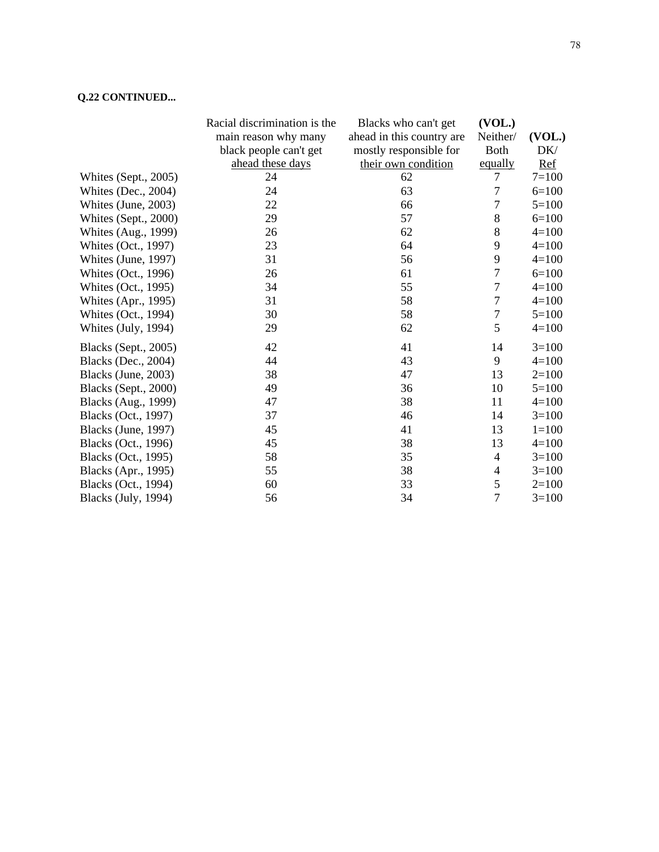## **Q.22 CONTINUED...**

|                            | Racial discrimination is the | Blacks who can't get      | (VOL.)           |           |
|----------------------------|------------------------------|---------------------------|------------------|-----------|
|                            | main reason why many         | ahead in this country are | Neither/         | (VOL.)    |
|                            | black people can't get       | mostly responsible for    | <b>Both</b>      | DK/       |
|                            | ahead these days             | their own condition       | equally          | $Ref$     |
| Whites (Sept., 2005)       | 24                           | 62                        | $\tau$           | $7 = 100$ |
| Whites (Dec., 2004)        | 24                           | 63                        | $\overline{7}$   | $6=100$   |
| Whites (June, 2003)        | 22                           | 66                        | 7                | $5 = 100$ |
| Whites (Sept., 2000)       | 29                           | 57                        | 8                | $6=100$   |
| Whites (Aug., 1999)        | 26                           | 62                        | 8                | $4=100$   |
| Whites (Oct., 1997)        | 23                           | 64                        | 9                | $4=100$   |
| Whites (June, 1997)        | 31                           | 56                        | $\mathbf{9}$     | $4 = 100$ |
| Whites (Oct., 1996)        | 26                           | 61                        | $\boldsymbol{7}$ | $6 = 100$ |
| <b>Whites (Oct., 1995)</b> | 34                           | 55                        | $\overline{7}$   | $4 = 100$ |
| Whites (Apr., 1995)        | 31                           | 58                        | $\tau$           | $4=100$   |
| Whites (Oct., 1994)        | 30                           | 58                        | $\boldsymbol{7}$ | $5=100$   |
| Whites (July, 1994)        | 29                           | 62                        | 5                | $4 = 100$ |
| Blacks (Sept., 2005)       | 42                           | 41                        | 14               | $3=100$   |
| Blacks (Dec., 2004)        | 44                           | 43                        | 9                | $4=100$   |
| Blacks (June, 2003)        | 38                           | 47                        | 13               | $2=100$   |
| Blacks (Sept., 2000)       | 49                           | 36                        | 10               | $5=100$   |
| Blacks (Aug., 1999)        | 47                           | 38                        | 11               | $4 = 100$ |
| Blacks (Oct., 1997)        | 37                           | 46                        | 14               | $3=100$   |
| Blacks (June, 1997)        | 45                           | 41                        | 13               | $1 = 100$ |
| Blacks (Oct., 1996)        | 45                           | 38                        | 13               | $4=100$   |
| Blacks (Oct., 1995)        | 58                           | 35                        | $\overline{4}$   | $3=100$   |
| Blacks (Apr., 1995)        | 55                           | 38                        | 4                | $3=100$   |
| Blacks (Oct., 1994)        | 60                           | 33                        | 5                | $2=100$   |
| Blacks (July, 1994)        | 56                           | 34                        | $\overline{7}$   | $3=100$   |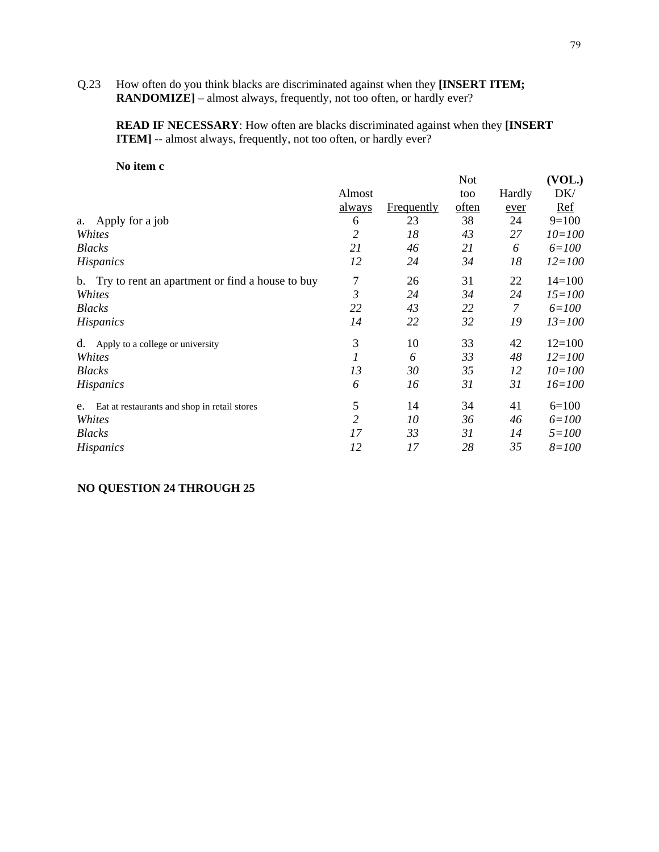#### Q.23 How often do you think blacks are discriminated against when they **[INSERT ITEM; RANDOMIZE**] – almost always, frequently, not too often, or hardly ever?

**READ IF NECESSARY**: How often are blacks discriminated against when they **[INSERT ITEM**] -- almost always, frequently, not too often, or hardly ever?

#### **No item c**

| то псти с                                          |               |                   |            |        |            |
|----------------------------------------------------|---------------|-------------------|------------|--------|------------|
|                                                    |               |                   | <b>Not</b> |        | (VOL.)     |
|                                                    | Almost        |                   | too        | Hardly | DK/        |
|                                                    | <u>always</u> | <b>Frequently</b> | often      | ever   | <u>Ref</u> |
| Apply for a job<br>a.                              | 6             | 23                | 38         | 24     | $9=100$    |
| Whites                                             | 2             | 18                | 43         | 27     | $10 = 100$ |
| <b>Blacks</b>                                      | 21            | 46                | 21         | 6      | $6 = 100$  |
| <b>Hispanics</b>                                   | 12            | 24                | 34         | 18     | $12 = 100$ |
| b. Try to rent an apartment or find a house to buy | $\tau$        | 26                | 31         | 22     | $14=100$   |
| Whites                                             | 3             | 24                | 34         | 24     | $15 = 100$ |
| <b>Blacks</b>                                      | 22            | 43                | 22         | 7      | $6 = 100$  |
| <b>Hispanics</b>                                   | 14            | 22                | 32         | 19     | $13 = 100$ |
| Apply to a college or university<br>d.             | 3             | 10                | 33         | 42     | $12=100$   |
| Whites                                             | 1             | 6                 | 33         | 48     | $12 = 100$ |
| <i>Blacks</i>                                      | 13            | 30                | 35         | 12     | $10 = 100$ |
| <b>Hispanics</b>                                   | 6             | 16                | 31         | 31     | $16 = 100$ |
| Eat at restaurants and shop in retail stores<br>e. | 5             | 14                | 34         | 41     | $6=100$    |
| Whites                                             | 2             | 10                | 36         | 46     | $6 = 100$  |
| <b>Blacks</b>                                      | 17            | 33                | 31         | 14     | $5 = 100$  |
| <i>Hispanics</i>                                   | 12            | 17                | 28         | 35     | $8 = 100$  |

## **NO QUESTION 24 THROUGH 25**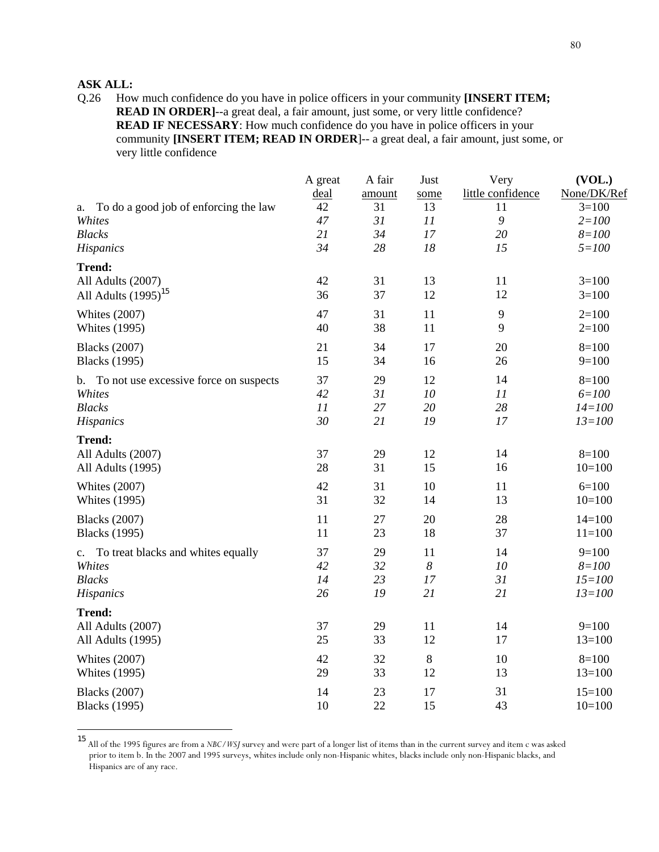## **ASK ALL:**

l

Q.26 How much confidence do you have in police officers in your community **[INSERT ITEM; READ IN ORDER]**--a great deal, a fair amount, just some, or very little confidence? **READ IF NECESSARY**: How much confidence do you have in police officers in your community **[INSERT ITEM; READ IN ORDER**]-- a great deal, a fair amount, just some, or very little confidence

|                                              | A great<br>deal | A fair<br>amount | Just<br>some     | Very<br>little confidence | (VOL.)<br>None/DK/Ref |
|----------------------------------------------|-----------------|------------------|------------------|---------------------------|-----------------------|
| To do a good job of enforcing the law<br>a.  | 42              | 31               | 13               | 11                        | $3=100$               |
| Whites                                       | 47              | 31               | 11               | $\mathfrak g$             | $2 = 100$             |
| <b>Blacks</b>                                | 21              | 34               | 17               | 20                        | $8 = 100$             |
| Hispanics                                    | 34              | 28               | 18               | 15                        | $5 = 100$             |
| <b>Trend:</b>                                |                 |                  |                  |                           |                       |
| All Adults (2007)                            | 42              | 31               | 13               | 11                        | $3=100$               |
| All Adults $(1995)^{15}$                     | 36              | 37               | 12               | 12                        | $3=100$               |
| <b>Whites (2007)</b>                         | 47              | 31               | 11               | 9                         | $2=100$               |
| <b>Whites (1995)</b>                         | 40              | 38               | 11               | 9                         | $2=100$               |
| <b>Blacks</b> (2007)                         | 21              | 34               | 17               | 20                        | $8=100$               |
| <b>Blacks</b> (1995)                         | 15              | 34               | 16               | 26                        | $9=100$               |
| To not use excessive force on suspects<br>b. | 37              | 29               | 12               | 14                        | $8=100$               |
| Whites                                       | 42              | 31               | $10\,$           | 11                        | $6 = 100$             |
| <b>Blacks</b>                                | 11              | 27               | 20               | 28                        | $14 = 100$            |
| Hispanics                                    | 30              | 21               | 19               | 17                        | $13 = 100$            |
| <b>Trend:</b>                                |                 |                  |                  |                           |                       |
| All Adults (2007)                            | 37              | 29               | 12               | 14                        | $8=100$               |
| All Adults (1995)                            | 28              | 31               | 15               | 16                        | $10=100$              |
| <b>Whites (2007)</b>                         | 42              | 31               | 10               | 11                        | $6=100$               |
| <b>Whites (1995)</b>                         | 31              | 32               | 14               | 13                        | $10=100$              |
| <b>Blacks</b> (2007)                         | 11              | 27               | 20               | 28                        | $14=100$              |
| <b>Blacks</b> (1995)                         | 11              | 23               | 18               | 37                        | $11=100$              |
| To treat blacks and whites equally<br>c.     | 37              | 29               | 11               | 14                        | $9=100$               |
| Whites                                       | 42              | 32               | $\boldsymbol{8}$ | 10                        | $8 = 100$             |
| <b>Blacks</b>                                | 14              | 23               | 17               | 31                        | $15 = 100$            |
| Hispanics                                    | 26              | 19               | 21               | 21                        | $13 = 100$            |
| <b>Trend:</b>                                |                 |                  |                  |                           |                       |
| All Adults (2007)                            | 37              | 29               | 11               | 14                        | $9=100$               |
| All Adults (1995)                            | 25              | 33               | 12               | 17                        | $13=100$              |
| <b>Whites (2007)</b>                         | 42              | 32               | 8                | 10                        | $8=100$               |
| <b>Whites (1995)</b>                         | 29              | 33               | 12               | 13                        | $13=100$              |
| <b>Blacks</b> (2007)                         | 14              | 23               | 17               | 31                        | $15=100$              |
| <b>Blacks</b> (1995)                         | 10              | 22               | 15               | 43                        | $10=100$              |

<sup>15</sup> All of the 1995 figures are from a *NBC/WSJ* survey and were part of a longer list of items than in the current survey and item c was asked prior to item b. In the 2007 and 1995 surveys, whites include only non-Hispanic whites, blacks include only non-Hispanic blacks, and Hispanics are of any race.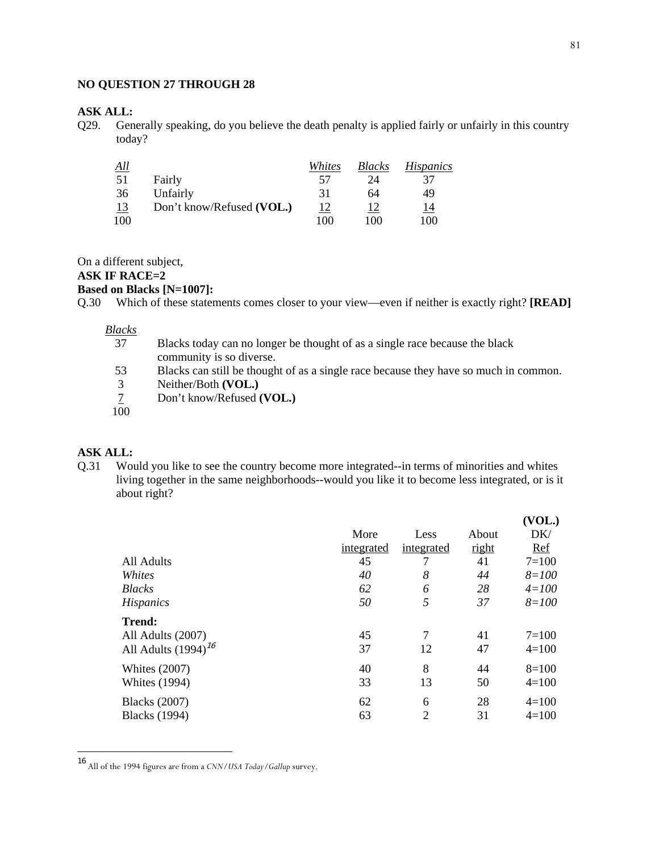81

#### **NO QUESTION 27 THROUGH 28**

# ASK ALL:<br>Q29. Gen

Generally speaking, do you believe the death penalty is applied fairly or unfairly in this country today?

| <u>All</u> |                           | Whites    | <b>Blacks</b> | <i>Hispanics</i> |
|------------|---------------------------|-----------|---------------|------------------|
| 51         | Fairly                    | 57        | 24            | 37               |
| 36         | Unfairly                  | 31        | 64            | 49               |
| <u>13</u>  | Don't know/Refused (VOL.) | <u>12</u> |               | <u>14</u>        |
| 100        |                           | 100       | 100           | 100              |

On a different subject,

## **ASK IF RACE=2**

## **Based on Blacks [N=1007]:**

Q.30 Which of these statements comes closer to your view—even if neither is exactly right? **[READ]** 

#### *Blacks*

- 37 Blacks today can no longer be thought of as a single race because the black community is so diverse.
- 53 Blacks can still be thought of as a single race because they have so much in common.
- 3 Neither/Both **(VOL.)**<br><u>7</u> Don't know/Refused **(**
- Don't know/Refused **(VOL.)**
- $100$

#### **ASK ALL:**

1

Q.31 Would you like to see the country become more integrated--in terms of minorities and whites living together in the same neighborhoods--would you like it to become less integrated, or is it about right?

|                          |            |                |       | (VOL.)    |
|--------------------------|------------|----------------|-------|-----------|
|                          | More       | Less           | About | DK/       |
|                          | integrated | integrated     | right | Ref       |
| All Adults               | 45         | 7              | 41    | $7 = 100$ |
| Whites                   | 40         | 8              | 44    | $8 = 100$ |
| <b>Blacks</b>            | 62         | 6              | 28    | $4 = 100$ |
| <b>Hispanics</b>         | 50         | 5              | 37    | $8 = 100$ |
| <b>Trend:</b>            |            |                |       |           |
| All Adults (2007)        | 45         | $\overline{7}$ | 41    | $7 = 100$ |
| All Adults $(1994)^{16}$ | 37         | 12             | 47    | $4=100$   |
| <b>Whites (2007)</b>     | 40         | 8              | 44    | $8=100$   |
| <b>Whites (1994)</b>     | 33         | 13             | 50    | $4=100$   |
| <b>Blacks</b> (2007)     | 62         | 6              | 28    | $4=100$   |
| <b>Blacks</b> (1994)     | 63         | $\overline{2}$ | 31    | $4=100$   |

<sup>16</sup> All of the 1994 figures are from a *CNN/USA Today/Gallup* survey.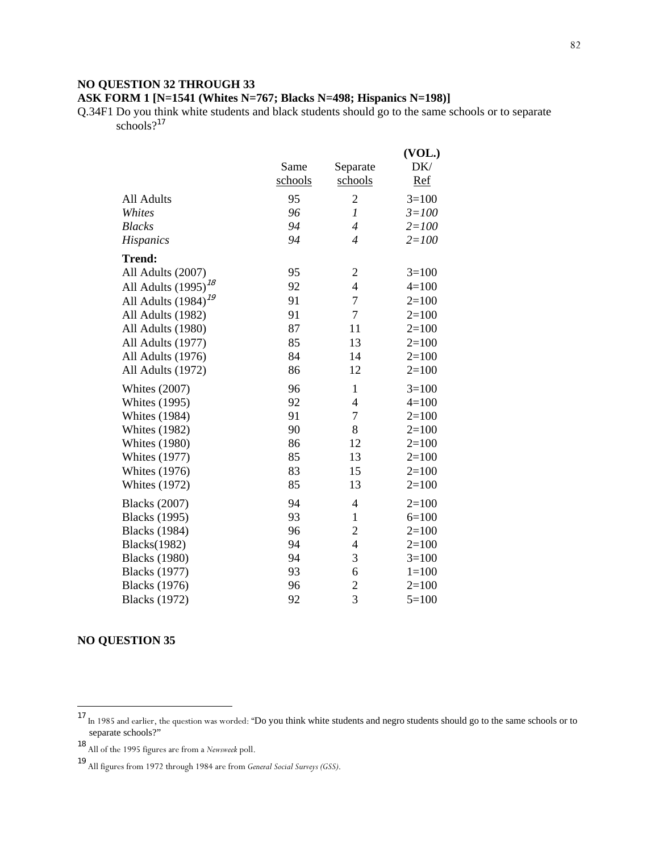## **NO QUESTION 32 THROUGH 33**

## **ASK FORM 1 [N=1541 (Whites N=767; Blacks N=498; Hispanics N=198)]**

Q.34F1 Do you think white students and black students should go to the same schools or to separate  $\text{schools}$ ?<sup>17</sup>

|                          |         |                          | (VOL.)     |
|--------------------------|---------|--------------------------|------------|
|                          | Same    | Separate                 | DK/        |
|                          | schools | schools                  | <u>Ref</u> |
| All Adults               | 95      | $\overline{c}$           | $3=100$    |
| Whites                   | 96      | $\mathfrak{1}$           | $3 = 100$  |
| <b>Blacks</b>            | 94      | $\overline{4}$           | $2 = 100$  |
| <b>Hispanics</b>         | 94      | $\overline{4}$           | $2 = 100$  |
| <b>Trend:</b>            |         |                          |            |
| All Adults (2007)        | 95      | $\overline{c}$           | $3=100$    |
| All Adults $(1995)^{18}$ | 92      | $\overline{\mathcal{L}}$ | $4 = 100$  |
| All Adults $(1984)^{19}$ | 91      | $\overline{7}$           | $2=100$    |
| All Adults (1982)        | 91      | $\overline{7}$           | $2=100$    |
| All Adults (1980)        | 87      | 11                       | $2=100$    |
| All Adults (1977)        | 85      | 13                       | $2=100$    |
| All Adults (1976)        | 84      | 14                       | $2=100$    |
| All Adults (1972)        | 86      | 12                       | $2=100$    |
| <b>Whites (2007)</b>     | 96      | 1                        | $3=100$    |
| <b>Whites (1995)</b>     | 92      | $\overline{4}$           | $4 = 100$  |
| <b>Whites (1984)</b>     | 91      | 7                        | $2=100$    |
| <b>Whites (1982)</b>     | 90      | 8                        | $2=100$    |
| <b>Whites (1980)</b>     | 86      | 12                       | $2=100$    |
| <b>Whites (1977)</b>     | 85      | 13                       | $2=100$    |
| <b>Whites</b> (1976)     | 83      | 15                       | $2=100$    |
| <b>Whites (1972)</b>     | 85      | 13                       | $2=100$    |
| <b>Blacks</b> (2007)     | 94      | $\overline{4}$           | $2=100$    |
| <b>Blacks</b> (1995)     | 93      | $\mathbf{1}$             | $6=100$    |
| <b>Blacks</b> (1984)     | 96      | $\overline{2}$           | $2=100$    |
| <b>Blacks</b> (1982)     | 94      | $\overline{4}$           | $2=100$    |
| <b>Blacks</b> (1980)     | 94      | 3                        | $3 = 100$  |
| <b>Blacks</b> (1977)     | 93      | 6                        | $1 = 100$  |
| <b>Blacks</b> (1976)     | 96      | $\mathbf{2}$             | $2=100$    |
| <b>Blacks</b> (1972)     | 92      | $\overline{3}$           | $5=100$    |

## **NO QUESTION 35**

1

<sup>&</sup>lt;sup>17</sup> In 1985 and earlier, the question was worded: "Do you think white students and negro students should go to the same schools or to separate schools?"

<sup>18</sup> All of the 1995 figures are from a *Newsweek* poll.

<sup>19</sup> All figures from 1972 through 1984 are from *General Social Surveys (GSS)*.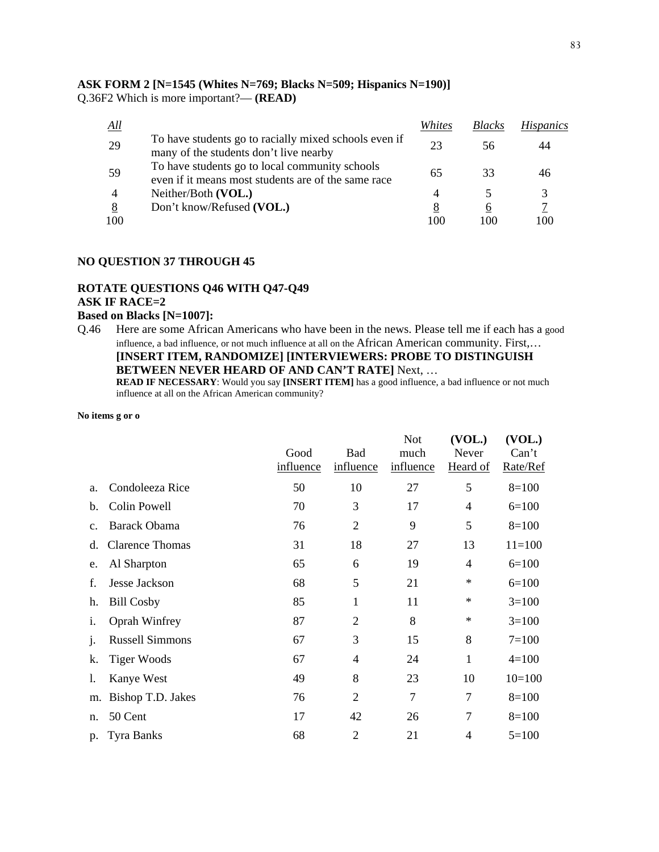**ASK FORM 2 [N=1545 (Whites N=769; Blacks N=509; Hispanics N=190)]**  Q.36F2 Which is more important?— **(READ)** 

| All |                                                                                                       | Whites | <b>Blacks</b>            | <b>Hispanics</b> |
|-----|-------------------------------------------------------------------------------------------------------|--------|--------------------------|------------------|
| 29  | To have students go to racially mixed schools even if<br>many of the students don't live nearby       | 23     | 56                       |                  |
| 59  | To have students go to local community schools<br>even if it means most students are of the same race | 65     | 33                       |                  |
|     | Neither/Both (VOL.)                                                                                   |        | $\overline{\phantom{1}}$ |                  |
| 8   | Don't know/Refused (VOL.)                                                                             | 8      | 6                        |                  |
| 100 |                                                                                                       | 100    | 100                      | 100              |

#### **NO QUESTION 37 THROUGH 45**

#### **ROTATE QUESTIONS Q46 WITH Q47-Q49 ASK IF RACE=2**

#### **Based on Blacks [N=1007]:**

Q.46 Here are some African Americans who have been in the news. Please tell me if each has a good influence, a bad influence, or not much influence at all on the African American community. First,… **[INSERT ITEM, RANDOMIZE] [INTERVIEWERS: PROBE TO DISTINGUISH BETWEEN NEVER HEARD OF AND CAN'T RATE]** Next, … **READ IF NECESSARY**: Would you say **[INSERT ITEM]** has a good influence, a bad influence or not much

influence at all on the African American community?

**No items g or o** 

|                |                        | Good<br>influence | <b>Bad</b><br>influence | <b>Not</b><br>much<br>influence | (VOL.)<br>Never<br>Heard of | (VOL.)<br>Can't<br>Rate/Ref |
|----------------|------------------------|-------------------|-------------------------|---------------------------------|-----------------------------|-----------------------------|
| a.             | Condoleeza Rice        | 50                | 10                      | 27                              | 5                           | $8=100$                     |
| b.             | Colin Powell           | 70                | 3                       | 17                              | 4                           | $6=100$                     |
| $\mathbf{c}$ . | <b>Barack Obama</b>    | 76                | $\overline{2}$          | 9                               | 5                           | $8=100$                     |
| d.             | <b>Clarence Thomas</b> | 31                | 18                      | 27                              | 13                          | $11=100$                    |
| e.             | Al Sharpton            | 65                | 6                       | 19                              | 4                           | $6=100$                     |
| f.             | <b>Jesse Jackson</b>   | 68                | 5                       | 21                              | $\ast$                      | $6=100$                     |
| h.             | <b>Bill Cosby</b>      | 85                | 1                       | 11                              | ∗                           | $3=100$                     |
| i.             | <b>Oprah Winfrey</b>   | 87                | $\overline{2}$          | 8                               | $\ast$                      | $3=100$                     |
| $\mathbf{J}$   | <b>Russell Simmons</b> | 67                | 3                       | 15                              | 8                           | $7=100$                     |
| k.             | <b>Tiger Woods</b>     | 67                | 4                       | 24                              | $\mathbf{1}$                | $4=100$                     |
| 1.             | Kanye West             | 49                | 8                       | 23                              | 10                          | $10=100$                    |
| m.             | Bishop T.D. Jakes      | 76                | $\overline{2}$          | $\overline{7}$                  | 7                           | $8=100$                     |
| n.             | 50 Cent                | 17                | 42                      | 26                              | 7                           | $8=100$                     |
| p.             | <b>Tyra Banks</b>      | 68                | $\overline{2}$          | 21                              | 4                           | $5=100$                     |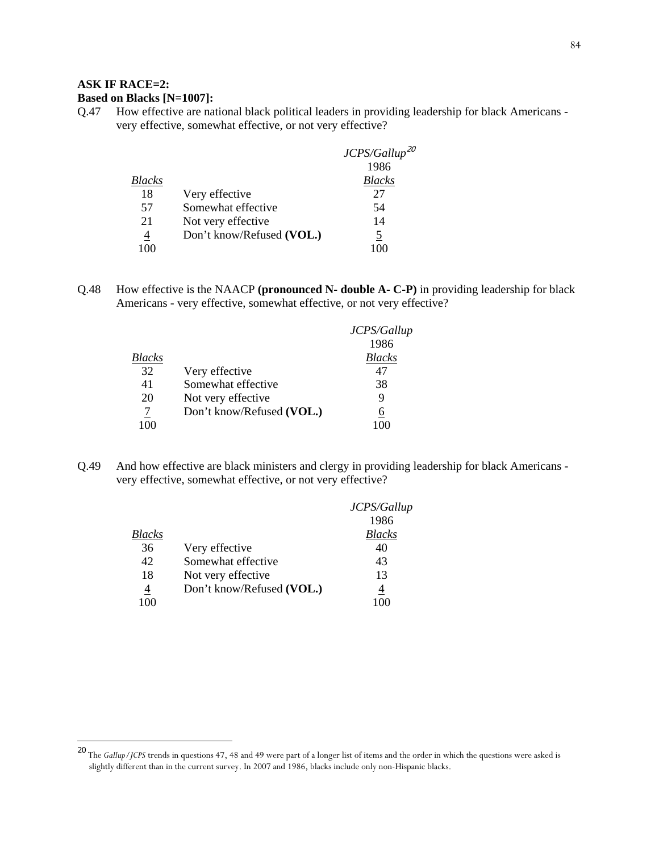## **ASK IF RACE=2:**

-

## **Based on Blacks [N=1007]:**

Q.47 How effective are national black political leaders in providing leadership for black Americans very effective, somewhat effective, or not very effective?

|        |                           | $JCPS/Gallup^{20}$ |
|--------|---------------------------|--------------------|
|        |                           | 1986               |
| Blacks |                           | <b>Blacks</b>      |
| 18     | Very effective            | 27                 |
| .57    | Somewhat effective        | 54                 |
| 21     | Not very effective        | 14                 |
| 4      | Don't know/Refused (VOL.) | 5                  |
|        |                           |                    |

Q.48 How effective is the NAACP **(pronounced N- double A- C-P)** in providing leadership for black Americans - very effective, somewhat effective, or not very effective?

|        |                           | JCPS/Gallup   |
|--------|---------------------------|---------------|
|        |                           | 1986          |
| Blacks |                           | <b>Blacks</b> |
| 32     | Very effective            | 47            |
| 41     | Somewhat effective        | 38            |
| 20     | Not very effective        | 9             |
|        | Don't know/Refused (VOL.) | 6             |
| 100    |                           |               |

Q.49 And how effective are black ministers and clergy in providing leadership for black Americans very effective, somewhat effective, or not very effective?

|                |                           | JCPS/Gallup   |
|----------------|---------------------------|---------------|
|                |                           | 1986          |
| Blacks         |                           | <b>Blacks</b> |
| 36             | Very effective            | 40            |
| 42             | Somewhat effective        | 43            |
| 18             | Not very effective        | 13            |
| $\overline{4}$ | Don't know/Refused (VOL.) | 4             |
|                |                           |               |

<sup>20</sup> The *Gallup/JCPS* trends in questions 47, 48 and 49 were part of a longer list of items and the order in which the questions were asked is slightly different than in the current survey. In 2007 and 1986, blacks include only non-Hispanic blacks.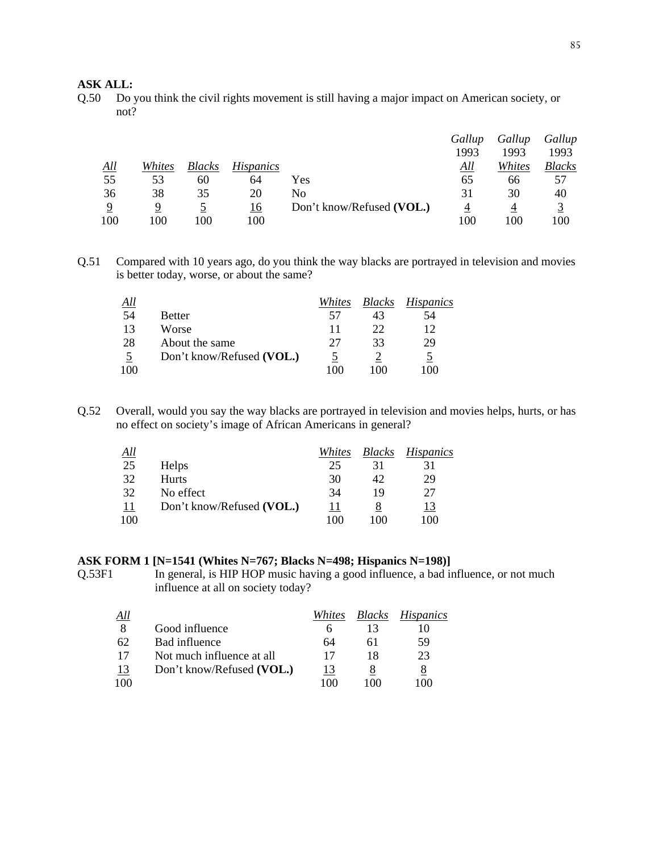### **ASK ALL:**

Q.50 Do you think the civil rights movement is still having a major impact on American society, or not?

|             |        |               |                  |                           | Gallup | Gallup | Gallup        |
|-------------|--------|---------------|------------------|---------------------------|--------|--------|---------------|
|             |        |               |                  |                           | 1993   | 1993   | 1993          |
| $\Delta$ ll | Whites | <b>Blacks</b> | <i>Hispanics</i> |                           | All    | Whites | <i>Blacks</i> |
| 55          | 53     | 60            | 64               | Yes                       | 65     | 66     | 57            |
| 36          | 38     | 35            | 20               | No                        | 31     | 30     | 40            |
| $\mathbf Q$ | Q      |               | 16               | Don't know/Refused (VOL.) | 4      |        |               |
| 100         | 100    | 100           | 100              |                           | 100    | 100    | 100           |

Q.51 Compared with 10 years ago, do you think the way blacks are portrayed in television and movies is better today, worse, or about the same?

| <u>All</u> |                           | Whites | <i>Blacks</i> | <i>Hispanics</i> |
|------------|---------------------------|--------|---------------|------------------|
| 54         | <b>Better</b>             | 57     | 43            | 54               |
| 13         | Worse                     | 11     | 22            | 12               |
| 28         | About the same            | 27     | 33            | 29               |
|            | Don't know/Refused (VOL.) |        |               | $\mathcal{L}$    |
| 100        |                           | 100    | 100           | 100              |

Q.52 Overall, would you say the way blacks are portrayed in television and movies helps, hurts, or has no effect on society's image of African Americans in general?

| <u>All</u> |                           | Whites | <b>Blacks</b> | <i>Hispanics</i> |
|------------|---------------------------|--------|---------------|------------------|
| 25         | <b>Helps</b>              | 25     | 31            | 31               |
| 32         | <b>Hurts</b>              | 30     | 42            | 29               |
| 32         | No effect                 | 34     | 19            | 27               |
| <u> 11</u> | Don't know/Refused (VOL.) | 11     |               | <u>13</u>        |
| 100        |                           | 100    | 100           | 100              |

#### **ASK FORM 1 [N=1541 (Whites N=767; Blacks N=498; Hispanics N=198)]**

Q.53F1 In general, is HIP HOP music having a good influence, a bad influence, or not much influence at all on society today?

| <u>All</u> |                           | Whites | <b>Blacks</b>   | <i>Hispanics</i> |
|------------|---------------------------|--------|-----------------|------------------|
| 8          | Good influence            |        | 13              |                  |
| 62         | Bad influence             | 64     | hΙ              | 59               |
| 17         | Not much influence at all | 17     | 18              | 23               |
| 13         | Don't know/Refused (VOL.) | 13     |                 | 8                |
| 100        |                           | 100    | $\pm 0$ $\pm 0$ | 100              |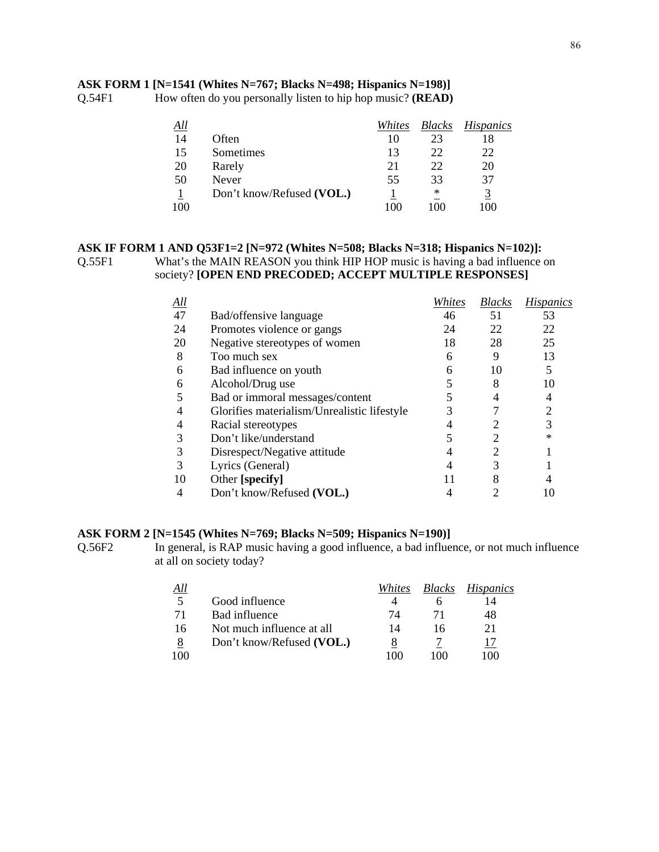### **ASK FORM 1 [N=1541 (Whites N=767; Blacks N=498; Hispanics N=198)]**

Q.54F1 How often do you personally listen to hip hop music? **(READ)**

| All |                           | Whites | <b>Blacks</b> | Hispanics |
|-----|---------------------------|--------|---------------|-----------|
| 14  | Often                     | 10     | 23            | 18        |
| 15  | Sometimes                 | 13     | 22            | 22        |
| 20  | Rarely                    | 21     | 22            | 20        |
| 50  | Never                     | 55     | 33            | 37        |
|     | Don't know/Refused (VOL.) |        | ∗             | 3         |
| 100 |                           | 100    | 100           | 100       |

#### **ASK IF FORM 1 AND Q53F1=2 [N=972 (Whites N=508; Blacks N=318; Hispanics N=102)]:**  Q.55F1 What's the MAIN REASON you think HIP HOP music is having a bad influence on society? **[OPEN END PRECODED; ACCEPT MULTIPLE RESPONSES]**

| <u>All</u> |                                             | Whites | <i>Blacks</i> | <b>Hispanics</b> |
|------------|---------------------------------------------|--------|---------------|------------------|
| 47         | Bad/offensive language                      | 46     | 51            | 53               |
| 24         | Promotes violence or gangs                  | 24     | 22            | 22               |
| 20         | Negative stereotypes of women               | 18     | 28            | 25               |
| 8          | Too much sex                                | 6      | 9             | 13               |
| 6          | Bad influence on youth                      | 6      | 10            | 5                |
| 6          | Alcohol/Drug use                            |        | 8             | 10               |
|            | Bad or immoral messages/content             |        |               | 4                |
|            | Glorifies materialism/Unrealistic lifestyle |        |               |                  |
| 4          | Racial stereotypes                          |        |               | 3                |
| 3          | Don't like/understand                       |        |               | ∗                |
| 3          | Disrespect/Negative attitude                |        | 2             |                  |
| 3          | Lyrics (General)                            |        |               |                  |
| 10         | Other [specify]                             |        |               |                  |
|            | Don't know/Refused (VOL.)                   |        |               | 10               |

#### **ASK FORM 2 [N=1545 (Whites N=769; Blacks N=509; Hispanics N=190)]**

Q.56F2 In general, is RAP music having a good influence, a bad influence, or not much influence at all on society today?

| All |                           | Whites | <b>Blacks</b> | <i>Hispanics</i> |
|-----|---------------------------|--------|---------------|------------------|
| .5  | Good influence            |        |               |                  |
| 71  | Bad influence             | 74     | 71            | 48               |
| 16  | Not much influence at all | 14     | 16            | 21               |
| 8   | Don't know/Refused (VOL.) |        |               | 17               |
| 100 |                           | 100    | 100           | 100              |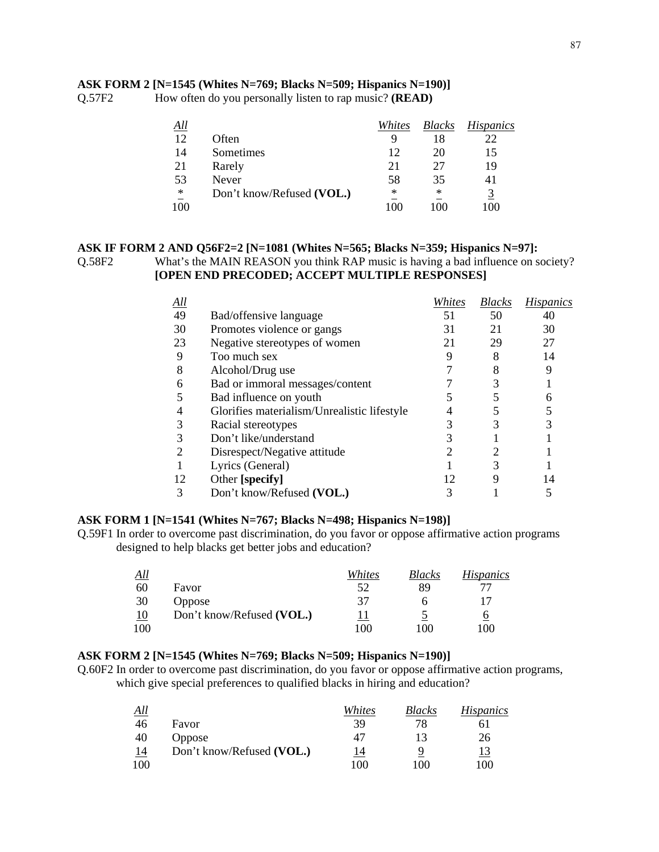#### 87

#### **ASK FORM 2 [N=1545 (Whites N=769; Blacks N=509; Hispanics N=190)]**

Q.57F2 How often do you personally listen to rap music? **(READ)**

| <u>All</u> |                           | Whites | <b>Blacks</b> | <i>Hispanics</i> |
|------------|---------------------------|--------|---------------|------------------|
| 12         | Often                     | 9      | 18            | 22               |
| 14         | Sometimes                 | 12     | 20            | 15               |
| 21         | Rarely                    | 21     | 27            | 19               |
| 53         | Never                     | 58     | 35            | 41               |
| $\ast$     | Don't know/Refused (VOL.) | ∗      | ∗             | 3                |
| 100        |                           |        | 100           | 100              |

#### **ASK IF FORM 2 AND Q56F2=2 [N=1081 (Whites N=565; Blacks N=359; Hispanics N=97]:**  Q.58F2 What's the MAIN REASON you think RAP music is having a bad influence on society? **[OPEN END PRECODED; ACCEPT MULTIPLE RESPONSES]**

| <u>All</u> |                                             | Whites | <b>Blacks</b> | <b>Hispanics</b> |
|------------|---------------------------------------------|--------|---------------|------------------|
| 49         | Bad/offensive language                      | 51     | 50            | 40               |
| 30         | Promotes violence or gangs                  | 31     | 21            | 30               |
| 23         | Negative stereotypes of women               | 21     | 29            | 27               |
| 9          | Too much sex                                |        | 8             | 14               |
| 8          | Alcohol/Drug use                            |        |               |                  |
| 6          | Bad or immoral messages/content             |        |               |                  |
|            | Bad influence on youth                      |        |               |                  |
| 4          | Glorifies materialism/Unrealistic lifestyle |        |               |                  |
| 3          | Racial stereotypes                          |        |               |                  |
| 3          | Don't like/understand                       |        |               |                  |
| 2          | Disrespect/Negative attitude                |        |               |                  |
|            | Lyrics (General)                            |        |               |                  |
| 12         | Other [specify]                             | 12     |               |                  |
|            | Don't know/Refused (VOL.)                   |        |               |                  |

#### **ASK FORM 1 [N=1541 (Whites N=767; Blacks N=498; Hispanics N=198)]**

Q.59F1 In order to overcome past discrimination, do you favor or oppose affirmative action programs designed to help blacks get better jobs and education?

| All       |                           | Whites | <i>Blacks</i> | <i>Hispanics</i> |
|-----------|---------------------------|--------|---------------|------------------|
| 60        | Favor                     | 52     | 89            |                  |
| 30        | <b>Oppose</b>             | 37     | n             |                  |
| <u>10</u> | Don't know/Refused (VOL.) |        |               | 6                |
| 100       |                           | 100    | 100           | 100              |

#### **ASK FORM 2 [N=1545 (Whites N=769; Blacks N=509; Hispanics N=190)]**

Q.60F2 In order to overcome past discrimination, do you favor or oppose affirmative action programs, which give special preferences to qualified blacks in hiring and education?

| All       |                           | Whites | Blacks | <i>Hispanics</i> |
|-----------|---------------------------|--------|--------|------------------|
| 46        | Favor                     | 39     | 78     | b I              |
| 40        | <b>Oppose</b>             | 47     | 13     | 26               |
| <u>14</u> | Don't know/Refused (VOL.) | 14     |        | <u> 13</u>       |
| 100       |                           | 100    | 100    | 100              |